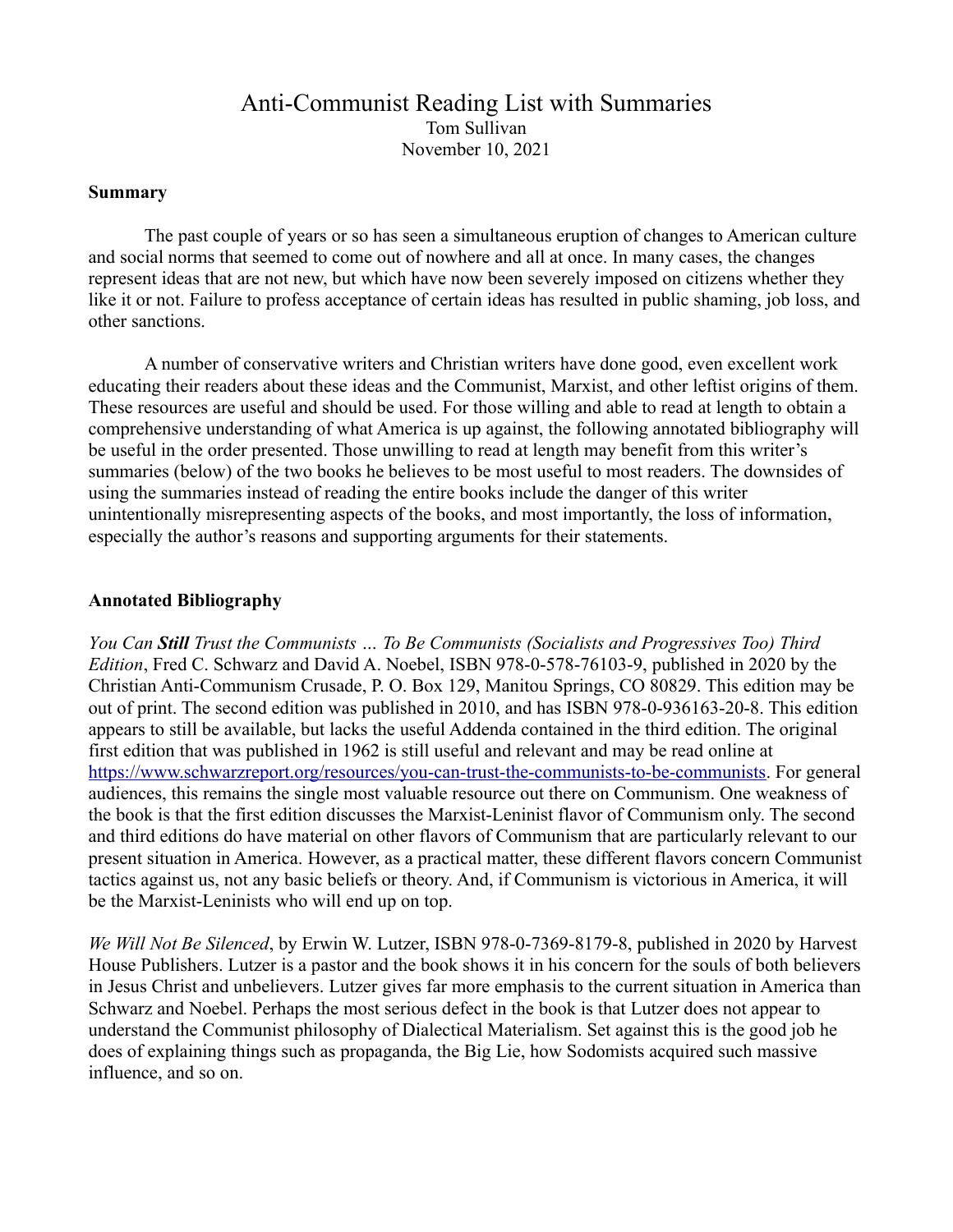# Anti-Communist Reading List with Summaries Tom Sullivan November 10, 2021

#### **Summary**

The past couple of years or so has seen a simultaneous eruption of changes to American culture and social norms that seemed to come out of nowhere and all at once. In many cases, the changes represent ideas that are not new, but which have now been severely imposed on citizens whether they like it or not. Failure to profess acceptance of certain ideas has resulted in public shaming, job loss, and other sanctions.

A number of conservative writers and Christian writers have done good, even excellent work educating their readers about these ideas and the Communist, Marxist, and other leftist origins of them. These resources are useful and should be used. For those willing and able to read at length to obtain a comprehensive understanding of what America is up against, the following annotated bibliography will be useful in the order presented. Those unwilling to read at length may benefit from this writer's summaries (below) of the two books he believes to be most useful to most readers. The downsides of using the summaries instead of reading the entire books include the danger of this writer unintentionally misrepresenting aspects of the books, and most importantly, the loss of information, especially the author's reasons and supporting arguments for their statements.

#### **Annotated Bibliography**

*You Can Still Trust the Communists … To Be Communists (Socialists and Progressives Too) Third Edition*, Fred C. Schwarz and David A. Noebel, ISBN 978-0-578-76103-9, published in 2020 by the Christian Anti-Communism Crusade, P. O. Box 129, Manitou Springs, CO 80829. This edition may be out of print. The second edition was published in 2010, and has ISBN 978-0-936163-20-8. This edition appears to still be available, but lacks the useful Addenda contained in the third edition. The original first edition that was published in 1962 is still useful and relevant and may be read online at <https://www.schwarzreport.org/resources/you-can-trust-the-communists-to-be-communists>. For general audiences, this remains the single most valuable resource out there on Communism. One weakness of the book is that the first edition discusses the Marxist-Leninist flavor of Communism only. The second and third editions do have material on other flavors of Communism that are particularly relevant to our present situation in America. However, as a practical matter, these different flavors concern Communist tactics against us, not any basic beliefs or theory. And, if Communism is victorious in America, it will be the Marxist-Leninists who will end up on top.

*We Will Not Be Silenced*, by Erwin W. Lutzer, ISBN 978-0-7369-8179-8, published in 2020 by Harvest House Publishers. Lutzer is a pastor and the book shows it in his concern for the souls of both believers in Jesus Christ and unbelievers. Lutzer gives far more emphasis to the current situation in America than Schwarz and Noebel. Perhaps the most serious defect in the book is that Lutzer does not appear to understand the Communist philosophy of Dialectical Materialism. Set against this is the good job he does of explaining things such as propaganda, the Big Lie, how Sodomists acquired such massive influence, and so on.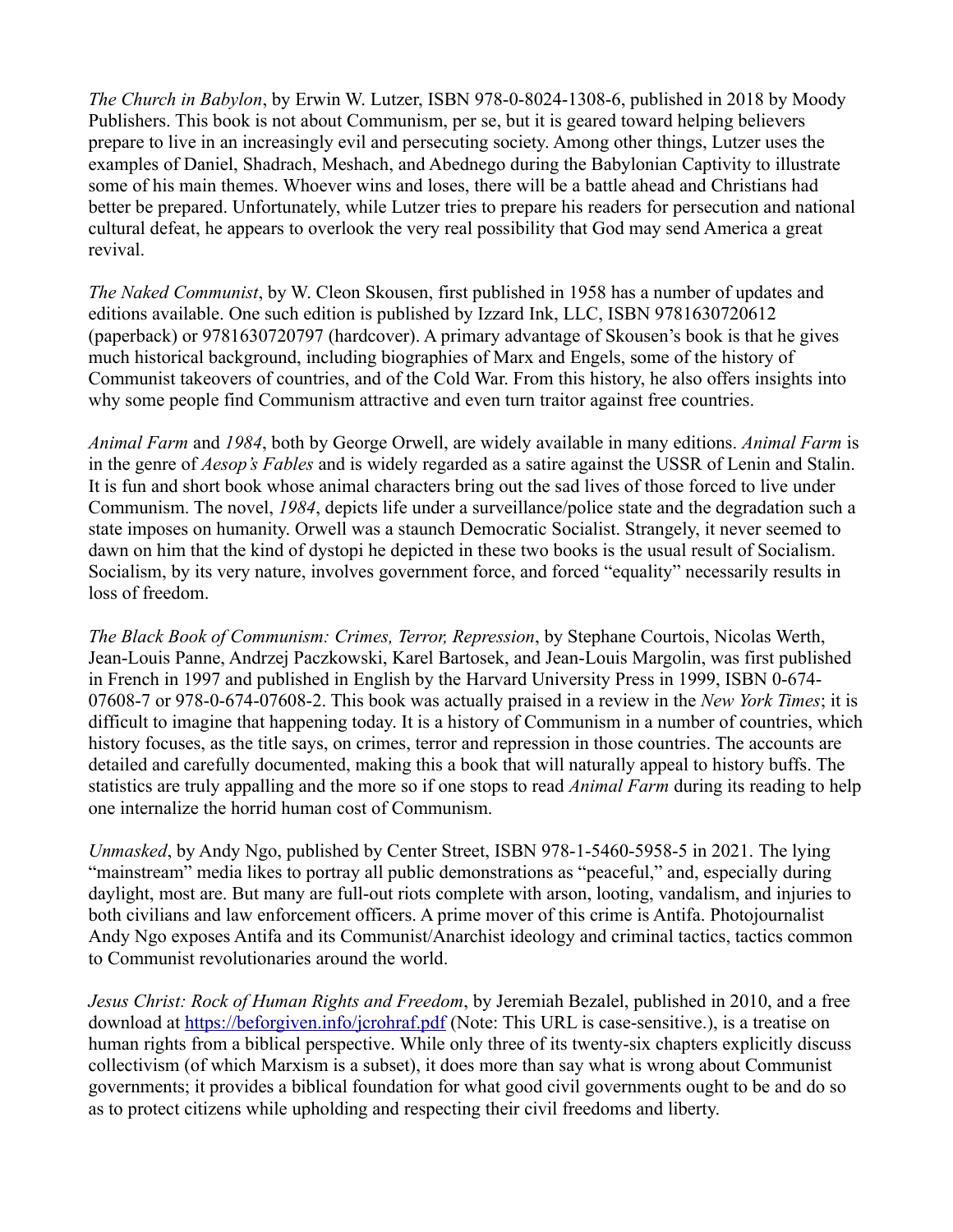*The Church in Babylon*, by Erwin W. Lutzer, ISBN 978-0-8024-1308-6, published in 2018 by Moody Publishers. This book is not about Communism, per se, but it is geared toward helping believers prepare to live in an increasingly evil and persecuting society. Among other things, Lutzer uses the examples of Daniel, Shadrach, Meshach, and Abednego during the Babylonian Captivity to illustrate some of his main themes. Whoever wins and loses, there will be a battle ahead and Christians had better be prepared. Unfortunately, while Lutzer tries to prepare his readers for persecution and national cultural defeat, he appears to overlook the very real possibility that God may send America a great revival.

*The Naked Communist*, by W. Cleon Skousen, first published in 1958 has a number of updates and editions available. One such edition is published by Izzard Ink, LLC, ISBN 9781630720612 (paperback) or 9781630720797 (hardcover). A primary advantage of Skousen's book is that he gives much historical background, including biographies of Marx and Engels, some of the history of Communist takeovers of countries, and of the Cold War. From this history, he also offers insights into why some people find Communism attractive and even turn traitor against free countries.

*Animal Farm* and *1984*, both by George Orwell, are widely available in many editions. *Animal Farm* is in the genre of *Aesop's Fables* and is widely regarded as a satire against the USSR of Lenin and Stalin. It is fun and short book whose animal characters bring out the sad lives of those forced to live under Communism. The novel, *1984*, depicts life under a surveillance/police state and the degradation such a state imposes on humanity. Orwell was a staunch Democratic Socialist. Strangely, it never seemed to dawn on him that the kind of dystopi he depicted in these two books is the usual result of Socialism. Socialism, by its very nature, involves government force, and forced "equality" necessarily results in loss of freedom.

*The Black Book of Communism: Crimes, Terror, Repression*, by Stephane Courtois, Nicolas Werth, Jean-Louis Panne, Andrzej Paczkowski, Karel Bartosek, and Jean-Louis Margolin, was first published in French in 1997 and published in English by the Harvard University Press in 1999, ISBN 0-674- 07608-7 or 978-0-674-07608-2. This book was actually praised in a review in the *New York Times*; it is difficult to imagine that happening today. It is a history of Communism in a number of countries, which history focuses, as the title says, on crimes, terror and repression in those countries. The accounts are detailed and carefully documented, making this a book that will naturally appeal to history buffs. The statistics are truly appalling and the more so if one stops to read *Animal Farm* during its reading to help one internalize the horrid human cost of Communism.

*Unmasked*, by Andy Ngo, published by Center Street, ISBN 978-1-5460-5958-5 in 2021. The lying "mainstream" media likes to portray all public demonstrations as "peaceful," and, especially during daylight, most are. But many are full-out riots complete with arson, looting, vandalism, and injuries to both civilians and law enforcement officers. A prime mover of this crime is Antifa. Photojournalist Andy Ngo exposes Antifa and its Communist/Anarchist ideology and criminal tactics, tactics common to Communist revolutionaries around the world.

*Jesus Christ: Rock of Human Rights and Freedom*, by Jeremiah Bezalel, published in 2010, and a free download at <https://beforgiven.info/jcrohraf.pdf>(Note: This URL is case-sensitive.), is a treatise on human rights from a biblical perspective. While only three of its twenty-six chapters explicitly discuss collectivism (of which Marxism is a subset), it does more than say what is wrong about Communist governments; it provides a biblical foundation for what good civil governments ought to be and do so as to protect citizens while upholding and respecting their civil freedoms and liberty.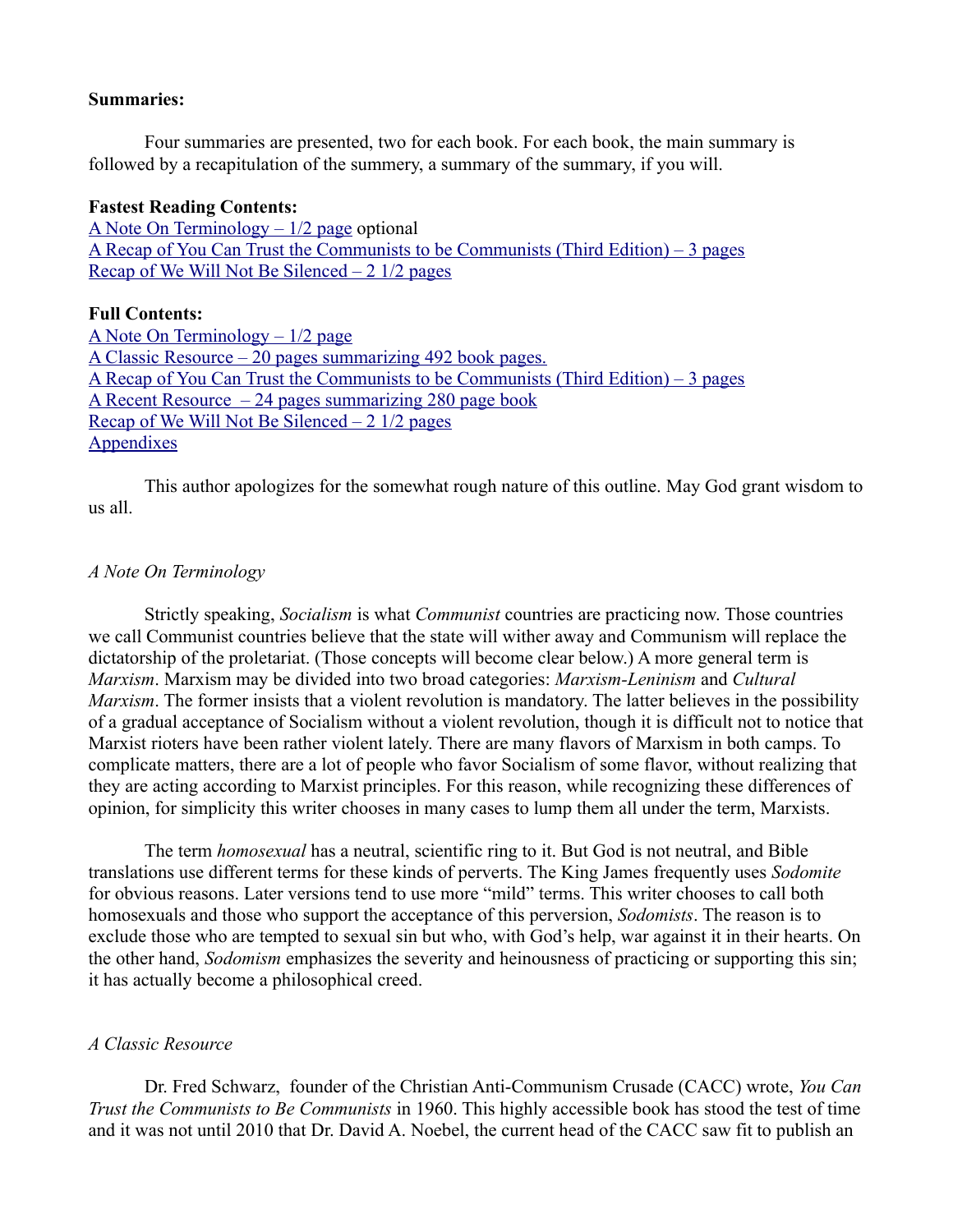#### **Summaries:**

Four summaries are presented, two for each book. For each book, the main summary is followed by a recapitulation of the summery, a summary of the summary, if you will.

#### **Fastest Reading Contents:**

[A Note On Terminology – 1/2 page](#page-2-1) optional [A Recap of You Can Trust the Communists to be Communists \(Third Edition\) – 3 pages](#page-24-0) [Recap of We Will Not Be Silenced – 2 1/2 pages](#page-51-0)

#### **Full Contents:**

[A Note On Terminology – 1/2 page](#page-2-1) [A Classic Resource – 20 pages summarizing 492 book pages.](#page-2-0) [A Recap of You Can Trust the Communists to be Communists \(Third Edition\) – 3 pages](#page-24-0) [A Recent Resource – 24 pages summarizing 280 page book](#page-27-0) Recap of We Will Not Be Silenced  $-2$  1/2 pages **[Appendixes](#page-53-0)** 

This author apologizes for the somewhat rough nature of this outline. May God grant wisdom to us all.

#### <span id="page-2-1"></span>*A Note On Terminology*

Strictly speaking, *Socialism* is what *Communist* countries are practicing now. Those countries we call Communist countries believe that the state will wither away and Communism will replace the dictatorship of the proletariat. (Those concepts will become clear below.) A more general term is *Marxism*. Marxism may be divided into two broad categories: *Marxism-Leninism* and *Cultural Marxism*. The former insists that a violent revolution is mandatory. The latter believes in the possibility of a gradual acceptance of Socialism without a violent revolution, though it is difficult not to notice that Marxist rioters have been rather violent lately. There are many flavors of Marxism in both camps. To complicate matters, there are a lot of people who favor Socialism of some flavor, without realizing that they are acting according to Marxist principles. For this reason, while recognizing these differences of opinion, for simplicity this writer chooses in many cases to lump them all under the term, Marxists.

The term *homosexual* has a neutral, scientific ring to it. But God is not neutral, and Bible translations use different terms for these kinds of perverts. The King James frequently uses *Sodomite* for obvious reasons. Later versions tend to use more "mild" terms. This writer chooses to call both homosexuals and those who support the acceptance of this perversion, *Sodomists*. The reason is to exclude those who are tempted to sexual sin but who, with God's help, war against it in their hearts. On the other hand, *Sodomism* emphasizes the severity and heinousness of practicing or supporting this sin; it has actually become a philosophical creed.

#### <span id="page-2-0"></span>*A Classic Resource*

Dr. Fred Schwarz, founder of the Christian Anti-Communism Crusade (CACC) wrote, *You Can Trust the Communists to Be Communists* in 1960. This highly accessible book has stood the test of time and it was not until 2010 that Dr. David A. Noebel, the current head of the CACC saw fit to publish an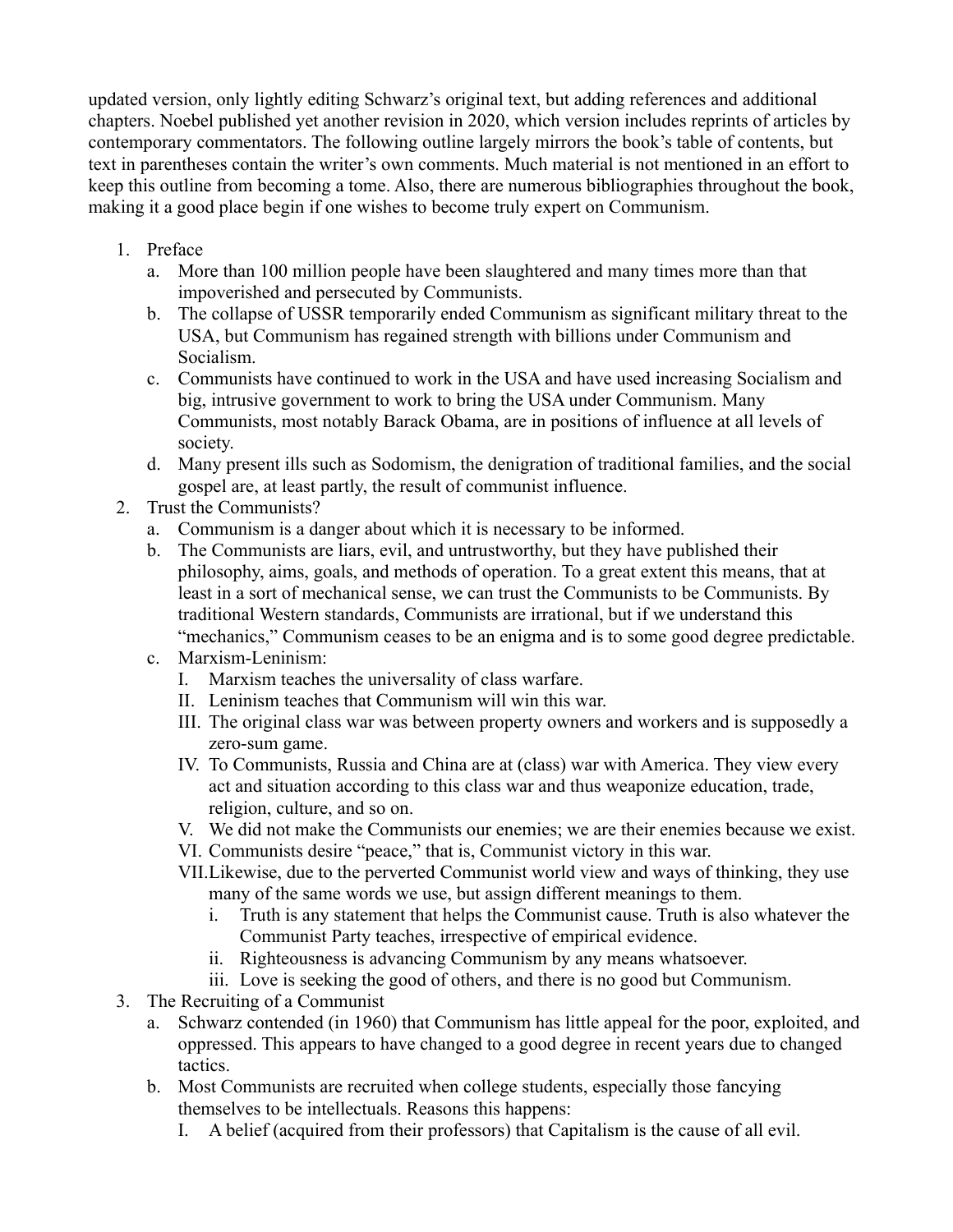updated version, only lightly editing Schwarz's original text, but adding references and additional chapters. Noebel published yet another revision in 2020, which version includes reprints of articles by contemporary commentators. The following outline largely mirrors the book's table of contents, but text in parentheses contain the writer's own comments. Much material is not mentioned in an effort to keep this outline from becoming a tome. Also, there are numerous bibliographies throughout the book, making it a good place begin if one wishes to become truly expert on Communism.

- 1. Preface
	- a. More than 100 million people have been slaughtered and many times more than that impoverished and persecuted by Communists.
	- b. The collapse of USSR temporarily ended Communism as significant military threat to the USA, but Communism has regained strength with billions under Communism and Socialism.
	- c. Communists have continued to work in the USA and have used increasing Socialism and big, intrusive government to work to bring the USA under Communism. Many Communists, most notably Barack Obama, are in positions of influence at all levels of society.
	- d. Many present ills such as Sodomism, the denigration of traditional families, and the social gospel are, at least partly, the result of communist influence.
- 2. Trust the Communists?
	- a. Communism is a danger about which it is necessary to be informed.
	- b. The Communists are liars, evil, and untrustworthy, but they have published their philosophy, aims, goals, and methods of operation. To a great extent this means, that at least in a sort of mechanical sense, we can trust the Communists to be Communists. By traditional Western standards, Communists are irrational, but if we understand this "mechanics," Communism ceases to be an enigma and is to some good degree predictable.
	- c. Marxism-Leninism:
		- I. Marxism teaches the universality of class warfare.
		- II. Leninism teaches that Communism will win this war.
		- III. The original class war was between property owners and workers and is supposedly a zero-sum game.
		- IV. To Communists, Russia and China are at (class) war with America. They view every act and situation according to this class war and thus weaponize education, trade, religion, culture, and so on.
		- V. We did not make the Communists our enemies; we are their enemies because we exist.
		- VI. Communists desire "peace," that is, Communist victory in this war.
		- VII.Likewise, due to the perverted Communist world view and ways of thinking, they use many of the same words we use, but assign different meanings to them.
			- i. Truth is any statement that helps the Communist cause. Truth is also whatever the Communist Party teaches, irrespective of empirical evidence.
			- ii. Righteousness is advancing Communism by any means whatsoever.
			- iii. Love is seeking the good of others, and there is no good but Communism.
- 3. The Recruiting of a Communist
	- a. Schwarz contended (in 1960) that Communism has little appeal for the poor, exploited, and oppressed. This appears to have changed to a good degree in recent years due to changed tactics.
	- b. Most Communists are recruited when college students, especially those fancying themselves to be intellectuals. Reasons this happens:
		- I. A belief (acquired from their professors) that Capitalism is the cause of all evil.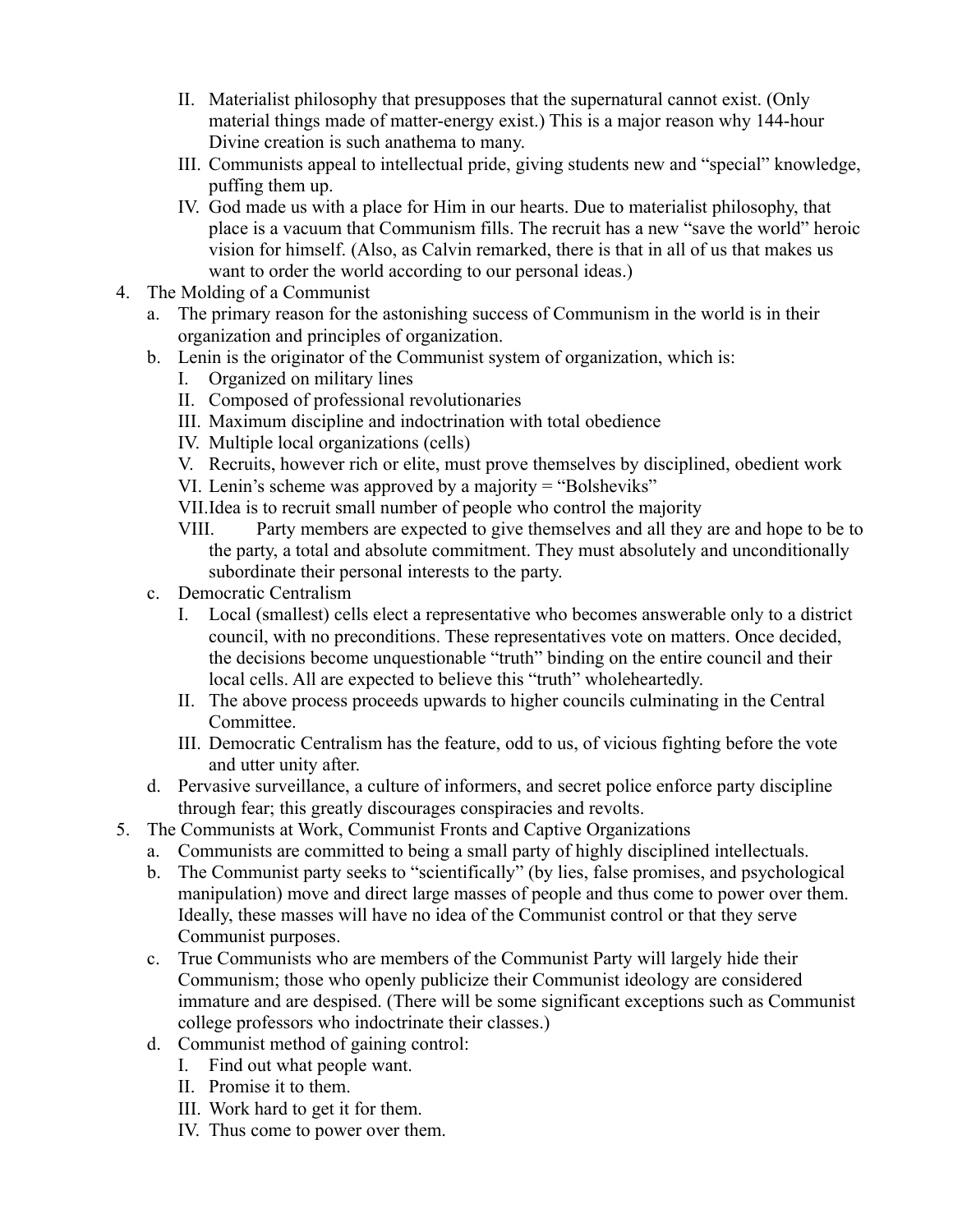- II. Materialist philosophy that presupposes that the supernatural cannot exist. (Only material things made of matter-energy exist.) This is a major reason why 144-hour Divine creation is such anathema to many.
- III. Communists appeal to intellectual pride, giving students new and "special" knowledge, puffing them up.
- IV. God made us with a place for Him in our hearts. Due to materialist philosophy, that place is a vacuum that Communism fills. The recruit has a new "save the world" heroic vision for himself. (Also, as Calvin remarked, there is that in all of us that makes us want to order the world according to our personal ideas.)
- 4. The Molding of a Communist
	- a. The primary reason for the astonishing success of Communism in the world is in their organization and principles of organization.
	- b. Lenin is the originator of the Communist system of organization, which is:
		- I. Organized on military lines
		- II. Composed of professional revolutionaries
		- III. Maximum discipline and indoctrination with total obedience
		- IV. Multiple local organizations (cells)
		- V. Recruits, however rich or elite, must prove themselves by disciplined, obedient work
		- VI. Lenin's scheme was approved by a majority = "Bolsheviks"
		- VII.Idea is to recruit small number of people who control the majority
		- VIII. Party members are expected to give themselves and all they are and hope to be to the party, a total and absolute commitment. They must absolutely and unconditionally subordinate their personal interests to the party.
	- c. Democratic Centralism
		- I. Local (smallest) cells elect a representative who becomes answerable only to a district council, with no preconditions. These representatives vote on matters. Once decided, the decisions become unquestionable "truth" binding on the entire council and their local cells. All are expected to believe this "truth" wholeheartedly.
		- II. The above process proceeds upwards to higher councils culminating in the Central **Committee**
		- III. Democratic Centralism has the feature, odd to us, of vicious fighting before the vote and utter unity after.
	- d. Pervasive surveillance, a culture of informers, and secret police enforce party discipline through fear; this greatly discourages conspiracies and revolts.
- 5. The Communists at Work, Communist Fronts and Captive Organizations
	- a. Communists are committed to being a small party of highly disciplined intellectuals.
	- b. The Communist party seeks to "scientifically" (by lies, false promises, and psychological manipulation) move and direct large masses of people and thus come to power over them. Ideally, these masses will have no idea of the Communist control or that they serve Communist purposes.
	- c. True Communists who are members of the Communist Party will largely hide their Communism; those who openly publicize their Communist ideology are considered immature and are despised. (There will be some significant exceptions such as Communist college professors who indoctrinate their classes.)
	- d. Communist method of gaining control:
		- I. Find out what people want.
		- II. Promise it to them.
		- III. Work hard to get it for them.
		- IV. Thus come to power over them.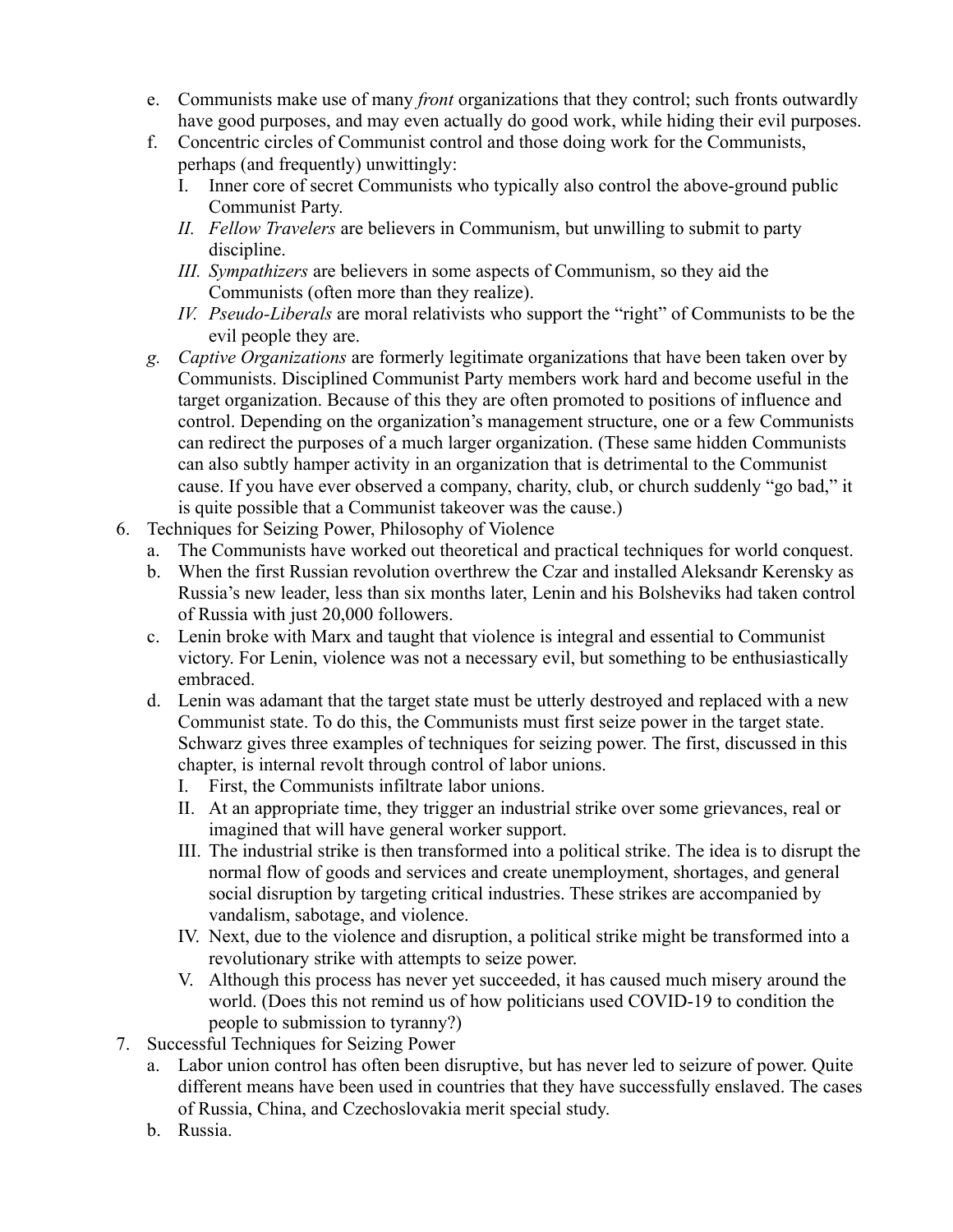- e. Communists make use of many *front* organizations that they control; such fronts outwardly have good purposes, and may even actually do good work, while hiding their evil purposes.
- f. Concentric circles of Communist control and those doing work for the Communists, perhaps (and frequently) unwittingly:
	- I. Inner core of secret Communists who typically also control the above-ground public Communist Party.
	- *II. Fellow Travelers* are believers in Communism, but unwilling to submit to party discipline.
	- *III. Sympathizers* are believers in some aspects of Communism, so they aid the Communists (often more than they realize).
	- *IV. Pseudo-Liberals* are moral relativists who support the "right" of Communists to be the evil people they are.
- *g. Captive Organizations* are formerly legitimate organizations that have been taken over by Communists. Disciplined Communist Party members work hard and become useful in the target organization. Because of this they are often promoted to positions of influence and control. Depending on the organization's management structure, one or a few Communists can redirect the purposes of a much larger organization. (These same hidden Communists can also subtly hamper activity in an organization that is detrimental to the Communist cause. If you have ever observed a company, charity, club, or church suddenly "go bad," it is quite possible that a Communist takeover was the cause.)
- 6. Techniques for Seizing Power, Philosophy of Violence
	- a. The Communists have worked out theoretical and practical techniques for world conquest.
	- b. When the first Russian revolution overthrew the Czar and installed Aleksandr Kerensky as Russia's new leader, less than six months later, Lenin and his Bolsheviks had taken control of Russia with just 20,000 followers.
	- c. Lenin broke with Marx and taught that violence is integral and essential to Communist victory. For Lenin, violence was not a necessary evil, but something to be enthusiastically embraced.
	- d. Lenin was adamant that the target state must be utterly destroyed and replaced with a new Communist state. To do this, the Communists must first seize power in the target state. Schwarz gives three examples of techniques for seizing power. The first, discussed in this chapter, is internal revolt through control of labor unions.
		- I. First, the Communists infiltrate labor unions.
		- II. At an appropriate time, they trigger an industrial strike over some grievances, real or imagined that will have general worker support.
		- III. The industrial strike is then transformed into a political strike. The idea is to disrupt the normal flow of goods and services and create unemployment, shortages, and general social disruption by targeting critical industries. These strikes are accompanied by vandalism, sabotage, and violence.
		- IV. Next, due to the violence and disruption, a political strike might be transformed into a revolutionary strike with attempts to seize power.
		- V. Although this process has never yet succeeded, it has caused much misery around the world. (Does this not remind us of how politicians used COVID-19 to condition the people to submission to tyranny?)
- 7. Successful Techniques for Seizing Power
	- a. Labor union control has often been disruptive, but has never led to seizure of power. Quite different means have been used in countries that they have successfully enslaved. The cases of Russia, China, and Czechoslovakia merit special study.
	- b. Russia.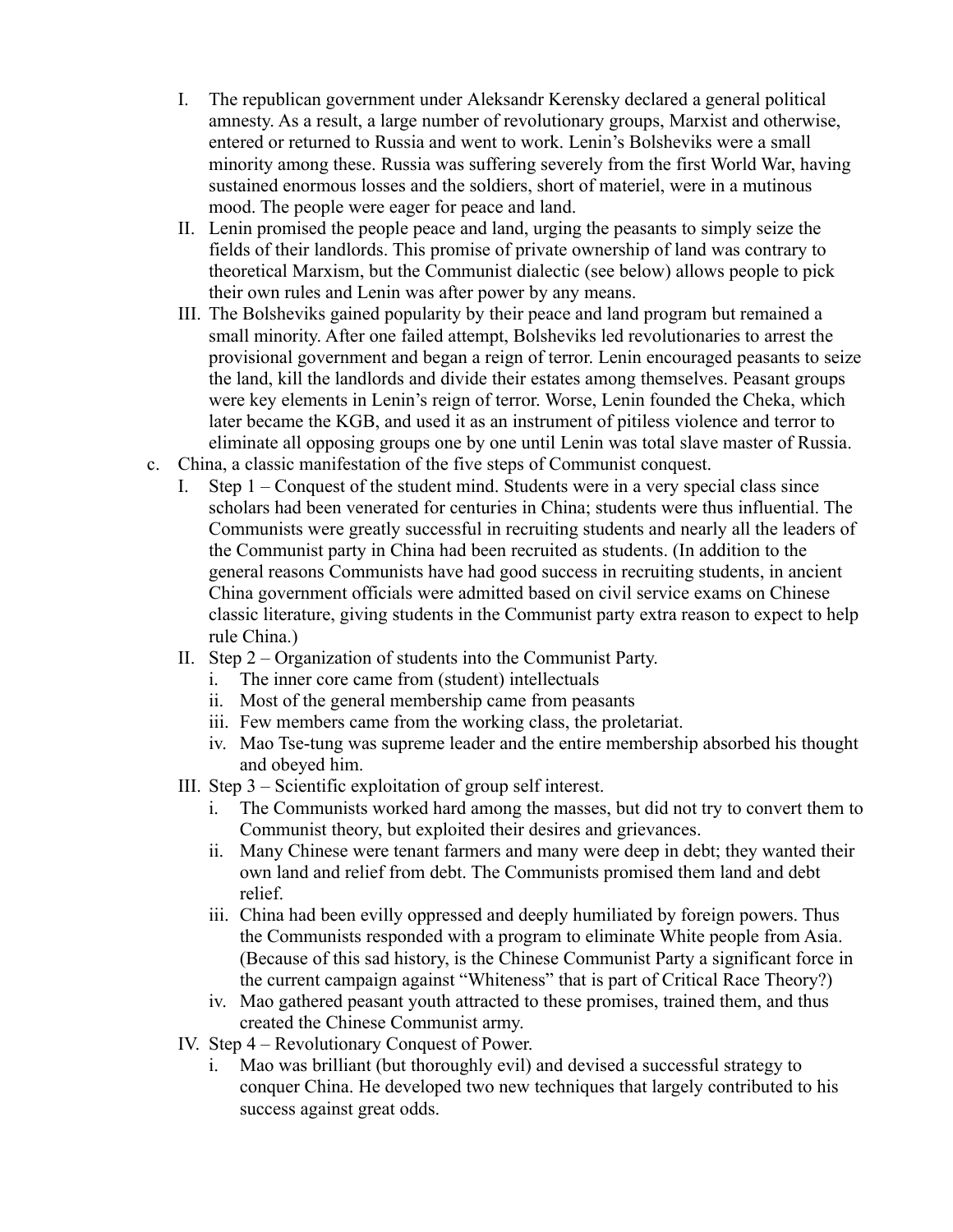- I. The republican government under Aleksandr Kerensky declared a general political amnesty. As a result, a large number of revolutionary groups, Marxist and otherwise, entered or returned to Russia and went to work. Lenin's Bolsheviks were a small minority among these. Russia was suffering severely from the first World War, having sustained enormous losses and the soldiers, short of materiel, were in a mutinous mood. The people were eager for peace and land.
- II. Lenin promised the people peace and land, urging the peasants to simply seize the fields of their landlords. This promise of private ownership of land was contrary to theoretical Marxism, but the Communist dialectic (see below) allows people to pick their own rules and Lenin was after power by any means.
- III. The Bolsheviks gained popularity by their peace and land program but remained a small minority. After one failed attempt, Bolsheviks led revolutionaries to arrest the provisional government and began a reign of terror. Lenin encouraged peasants to seize the land, kill the landlords and divide their estates among themselves. Peasant groups were key elements in Lenin's reign of terror. Worse, Lenin founded the Cheka, which later became the KGB, and used it as an instrument of pitiless violence and terror to eliminate all opposing groups one by one until Lenin was total slave master of Russia.
- c. China, a classic manifestation of the five steps of Communist conquest.
	- I. Step 1 Conquest of the student mind. Students were in a very special class since scholars had been venerated for centuries in China; students were thus influential. The Communists were greatly successful in recruiting students and nearly all the leaders of the Communist party in China had been recruited as students. (In addition to the general reasons Communists have had good success in recruiting students, in ancient China government officials were admitted based on civil service exams on Chinese classic literature, giving students in the Communist party extra reason to expect to help rule China.)
	- II. Step 2 Organization of students into the Communist Party.
		- i. The inner core came from (student) intellectuals
		- ii. Most of the general membership came from peasants
		- iii. Few members came from the working class, the proletariat.
		- iv. Mao Tse-tung was supreme leader and the entire membership absorbed his thought and obeyed him.
	- III. Step 3 Scientific exploitation of group self interest.
		- i. The Communists worked hard among the masses, but did not try to convert them to Communist theory, but exploited their desires and grievances.
		- ii. Many Chinese were tenant farmers and many were deep in debt; they wanted their own land and relief from debt. The Communists promised them land and debt relief.
		- iii. China had been evilly oppressed and deeply humiliated by foreign powers. Thus the Communists responded with a program to eliminate White people from Asia. (Because of this sad history, is the Chinese Communist Party a significant force in the current campaign against "Whiteness" that is part of Critical Race Theory?)
		- iv. Mao gathered peasant youth attracted to these promises, trained them, and thus created the Chinese Communist army.
	- IV. Step 4 Revolutionary Conquest of Power.
		- i. Mao was brilliant (but thoroughly evil) and devised a successful strategy to conquer China. He developed two new techniques that largely contributed to his success against great odds.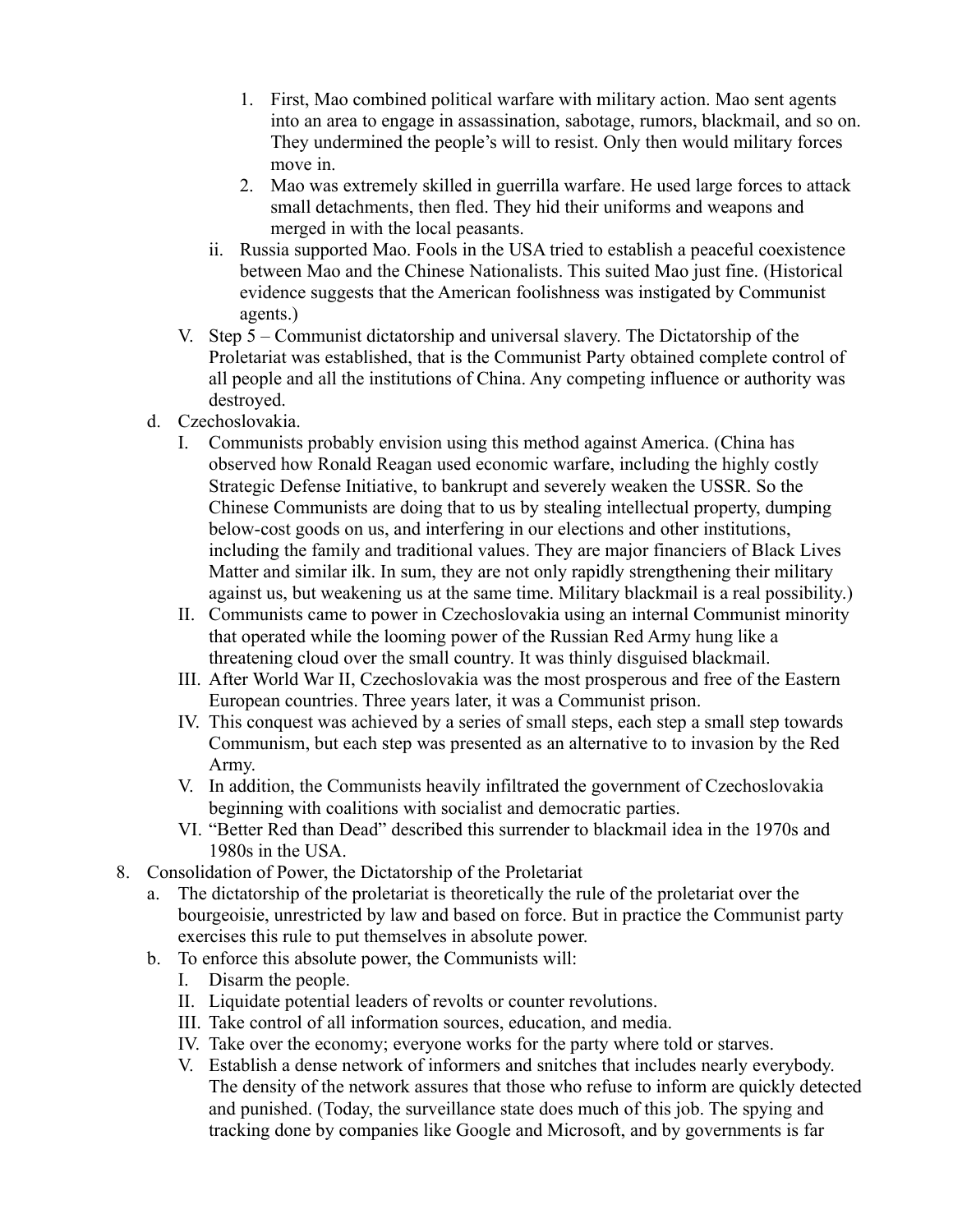- 1. First, Mao combined political warfare with military action. Mao sent agents into an area to engage in assassination, sabotage, rumors, blackmail, and so on. They undermined the people's will to resist. Only then would military forces move in.
- 2. Mao was extremely skilled in guerrilla warfare. He used large forces to attack small detachments, then fled. They hid their uniforms and weapons and merged in with the local peasants.
- ii. Russia supported Mao. Fools in the USA tried to establish a peaceful coexistence between Mao and the Chinese Nationalists. This suited Mao just fine. (Historical evidence suggests that the American foolishness was instigated by Communist agents.)
- V. Step 5 Communist dictatorship and universal slavery. The Dictatorship of the Proletariat was established, that is the Communist Party obtained complete control of all people and all the institutions of China. Any competing influence or authority was destroyed.
- d. Czechoslovakia.
	- I. Communists probably envision using this method against America. (China has observed how Ronald Reagan used economic warfare, including the highly costly Strategic Defense Initiative, to bankrupt and severely weaken the USSR. So the Chinese Communists are doing that to us by stealing intellectual property, dumping below-cost goods on us, and interfering in our elections and other institutions, including the family and traditional values. They are major financiers of Black Lives Matter and similar ilk. In sum, they are not only rapidly strengthening their military against us, but weakening us at the same time. Military blackmail is a real possibility.)
	- II. Communists came to power in Czechoslovakia using an internal Communist minority that operated while the looming power of the Russian Red Army hung like a threatening cloud over the small country. It was thinly disguised blackmail.
	- III. After World War II, Czechoslovakia was the most prosperous and free of the Eastern European countries. Three years later, it was a Communist prison.
	- IV. This conquest was achieved by a series of small steps, each step a small step towards Communism, but each step was presented as an alternative to to invasion by the Red Army.
	- V. In addition, the Communists heavily infiltrated the government of Czechoslovakia beginning with coalitions with socialist and democratic parties.
	- VI. "Better Red than Dead" described this surrender to blackmail idea in the 1970s and 1980s in the USA.
- 8. Consolidation of Power, the Dictatorship of the Proletariat
	- a. The dictatorship of the proletariat is theoretically the rule of the proletariat over the bourgeoisie, unrestricted by law and based on force. But in practice the Communist party exercises this rule to put themselves in absolute power.
	- b. To enforce this absolute power, the Communists will:
		- I. Disarm the people.
		- II. Liquidate potential leaders of revolts or counter revolutions.
		- III. Take control of all information sources, education, and media.
		- IV. Take over the economy; everyone works for the party where told or starves.
		- V. Establish a dense network of informers and snitches that includes nearly everybody. The density of the network assures that those who refuse to inform are quickly detected and punished. (Today, the surveillance state does much of this job. The spying and tracking done by companies like Google and Microsoft, and by governments is far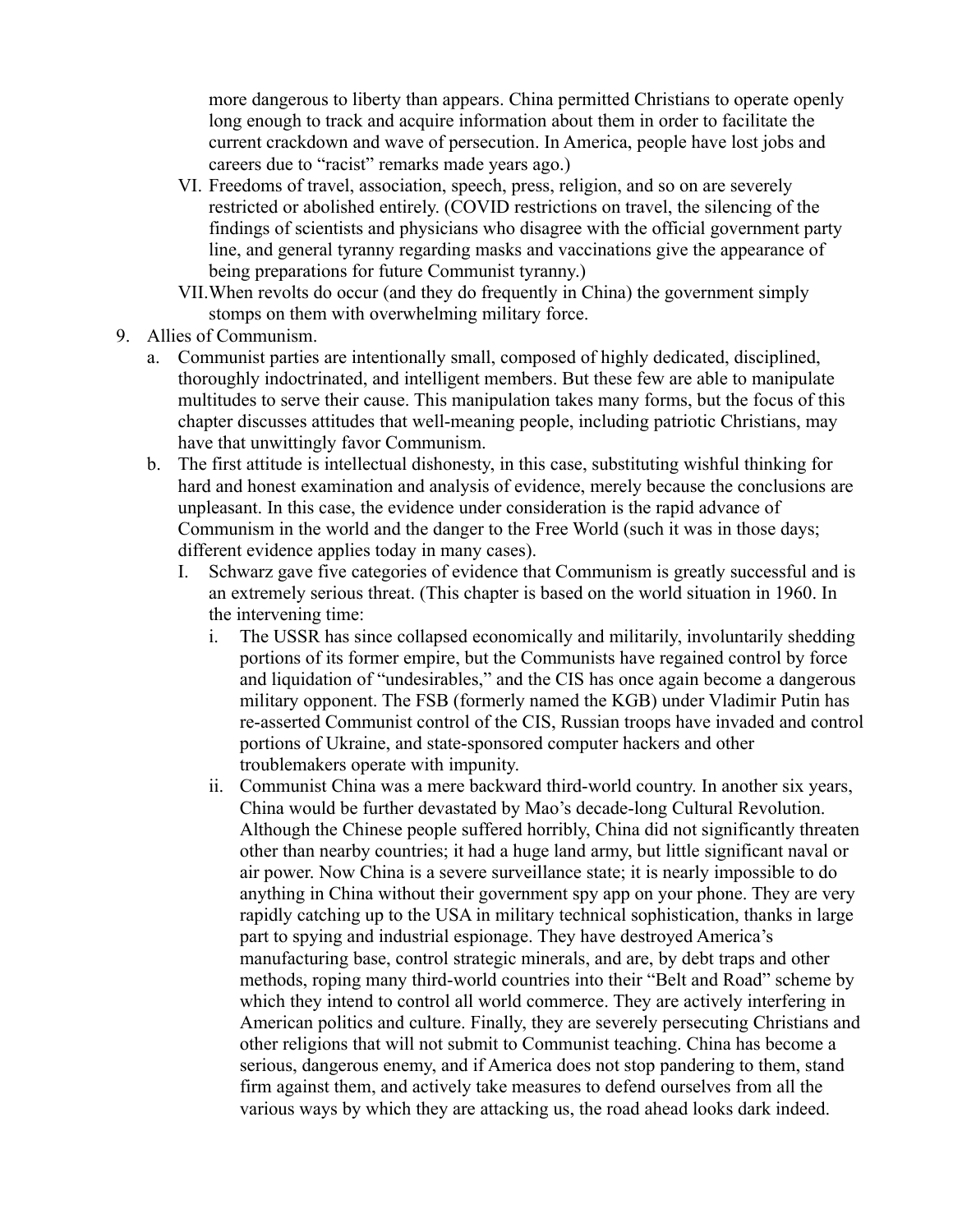more dangerous to liberty than appears. China permitted Christians to operate openly long enough to track and acquire information about them in order to facilitate the current crackdown and wave of persecution. In America, people have lost jobs and careers due to "racist" remarks made years ago.)

- VI. Freedoms of travel, association, speech, press, religion, and so on are severely restricted or abolished entirely. (COVID restrictions on travel, the silencing of the findings of scientists and physicians who disagree with the official government party line, and general tyranny regarding masks and vaccinations give the appearance of being preparations for future Communist tyranny.)
- VII.When revolts do occur (and they do frequently in China) the government simply stomps on them with overwhelming military force.
- 9. Allies of Communism.
	- a. Communist parties are intentionally small, composed of highly dedicated, disciplined, thoroughly indoctrinated, and intelligent members. But these few are able to manipulate multitudes to serve their cause. This manipulation takes many forms, but the focus of this chapter discusses attitudes that well-meaning people, including patriotic Christians, may have that unwittingly favor Communism.
	- b. The first attitude is intellectual dishonesty, in this case, substituting wishful thinking for hard and honest examination and analysis of evidence, merely because the conclusions are unpleasant. In this case, the evidence under consideration is the rapid advance of Communism in the world and the danger to the Free World (such it was in those days; different evidence applies today in many cases).
		- I. Schwarz gave five categories of evidence that Communism is greatly successful and is an extremely serious threat. (This chapter is based on the world situation in 1960. In the intervening time:
			- i. The USSR has since collapsed economically and militarily, involuntarily shedding portions of its former empire, but the Communists have regained control by force and liquidation of "undesirables," and the CIS has once again become a dangerous military opponent. The FSB (formerly named the KGB) under Vladimir Putin has re-asserted Communist control of the CIS, Russian troops have invaded and control portions of Ukraine, and state-sponsored computer hackers and other troublemakers operate with impunity.
			- ii. Communist China was a mere backward third-world country. In another six years, China would be further devastated by Mao's decade-long Cultural Revolution. Although the Chinese people suffered horribly, China did not significantly threaten other than nearby countries; it had a huge land army, but little significant naval or air power. Now China is a severe surveillance state; it is nearly impossible to do anything in China without their government spy app on your phone. They are very rapidly catching up to the USA in military technical sophistication, thanks in large part to spying and industrial espionage. They have destroyed America's manufacturing base, control strategic minerals, and are, by debt traps and other methods, roping many third-world countries into their "Belt and Road" scheme by which they intend to control all world commerce. They are actively interfering in American politics and culture. Finally, they are severely persecuting Christians and other religions that will not submit to Communist teaching. China has become a serious, dangerous enemy, and if America does not stop pandering to them, stand firm against them, and actively take measures to defend ourselves from all the various ways by which they are attacking us, the road ahead looks dark indeed.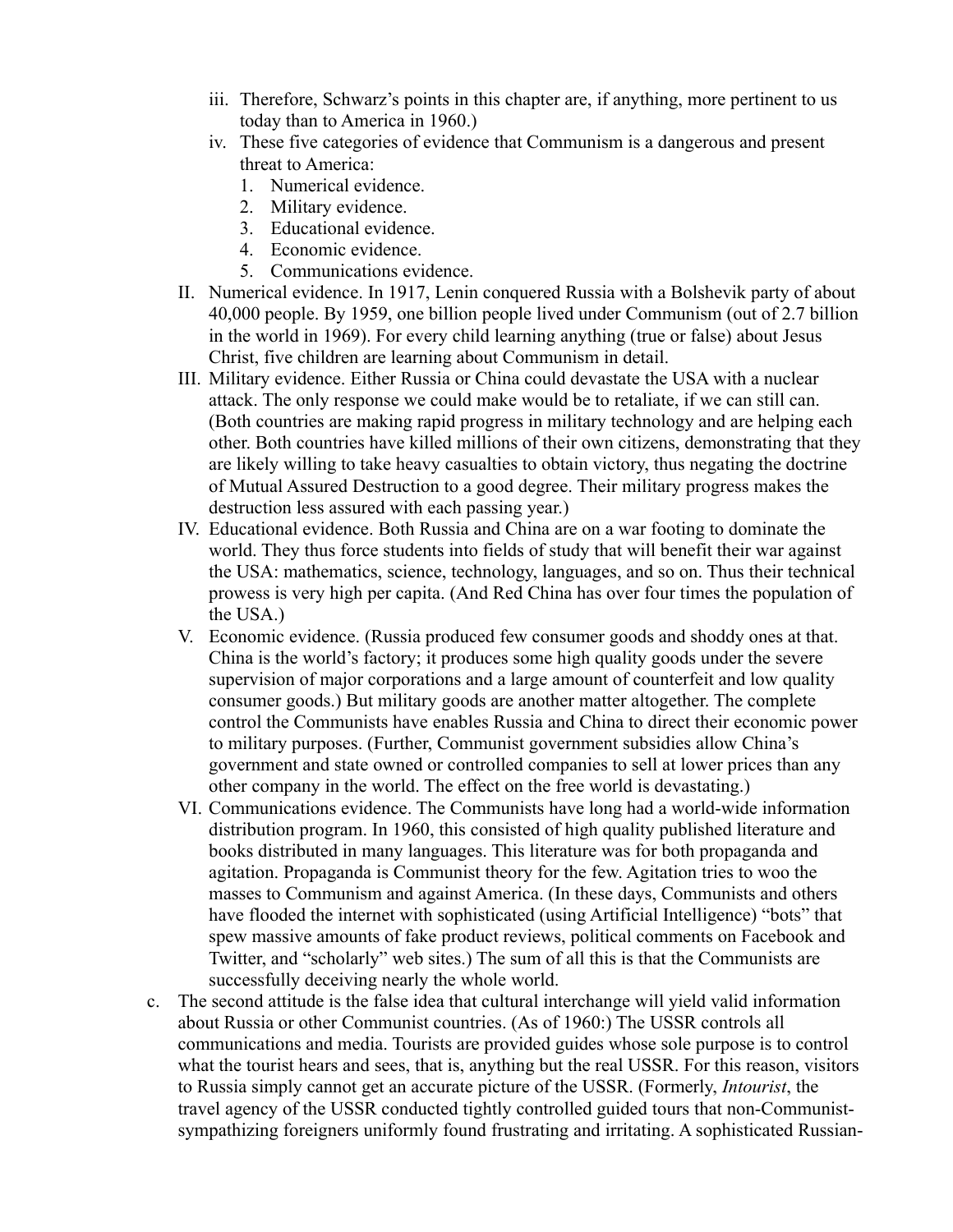- iii. Therefore, Schwarz's points in this chapter are, if anything, more pertinent to us today than to America in 1960.)
- iv. These five categories of evidence that Communism is a dangerous and present threat to America:
	- 1. Numerical evidence.
	- 2. Military evidence.
	- 3. Educational evidence.
	- 4. Economic evidence.
	- 5. Communications evidence.
- II. Numerical evidence. In 1917, Lenin conquered Russia with a Bolshevik party of about 40,000 people. By 1959, one billion people lived under Communism (out of 2.7 billion in the world in 1969). For every child learning anything (true or false) about Jesus Christ, five children are learning about Communism in detail.
- III. Military evidence. Either Russia or China could devastate the USA with a nuclear attack. The only response we could make would be to retaliate, if we can still can. (Both countries are making rapid progress in military technology and are helping each other. Both countries have killed millions of their own citizens, demonstrating that they are likely willing to take heavy casualties to obtain victory, thus negating the doctrine of Mutual Assured Destruction to a good degree. Their military progress makes the destruction less assured with each passing year.)
- IV. Educational evidence. Both Russia and China are on a war footing to dominate the world. They thus force students into fields of study that will benefit their war against the USA: mathematics, science, technology, languages, and so on. Thus their technical prowess is very high per capita. (And Red China has over four times the population of the USA.)
- V. Economic evidence. (Russia produced few consumer goods and shoddy ones at that. China is the world's factory; it produces some high quality goods under the severe supervision of major corporations and a large amount of counterfeit and low quality consumer goods.) But military goods are another matter altogether. The complete control the Communists have enables Russia and China to direct their economic power to military purposes. (Further, Communist government subsidies allow China's government and state owned or controlled companies to sell at lower prices than any other company in the world. The effect on the free world is devastating.)
- VI. Communications evidence. The Communists have long had a world-wide information distribution program. In 1960, this consisted of high quality published literature and books distributed in many languages. This literature was for both propaganda and agitation. Propaganda is Communist theory for the few. Agitation tries to woo the masses to Communism and against America. (In these days, Communists and others have flooded the internet with sophisticated (using Artificial Intelligence) "bots" that spew massive amounts of fake product reviews, political comments on Facebook and Twitter, and "scholarly" web sites.) The sum of all this is that the Communists are successfully deceiving nearly the whole world.
- c. The second attitude is the false idea that cultural interchange will yield valid information about Russia or other Communist countries. (As of 1960:) The USSR controls all communications and media. Tourists are provided guides whose sole purpose is to control what the tourist hears and sees, that is, anything but the real USSR. For this reason, visitors to Russia simply cannot get an accurate picture of the USSR. (Formerly, *Intourist*, the travel agency of the USSR conducted tightly controlled guided tours that non-Communistsympathizing foreigners uniformly found frustrating and irritating. A sophisticated Russian-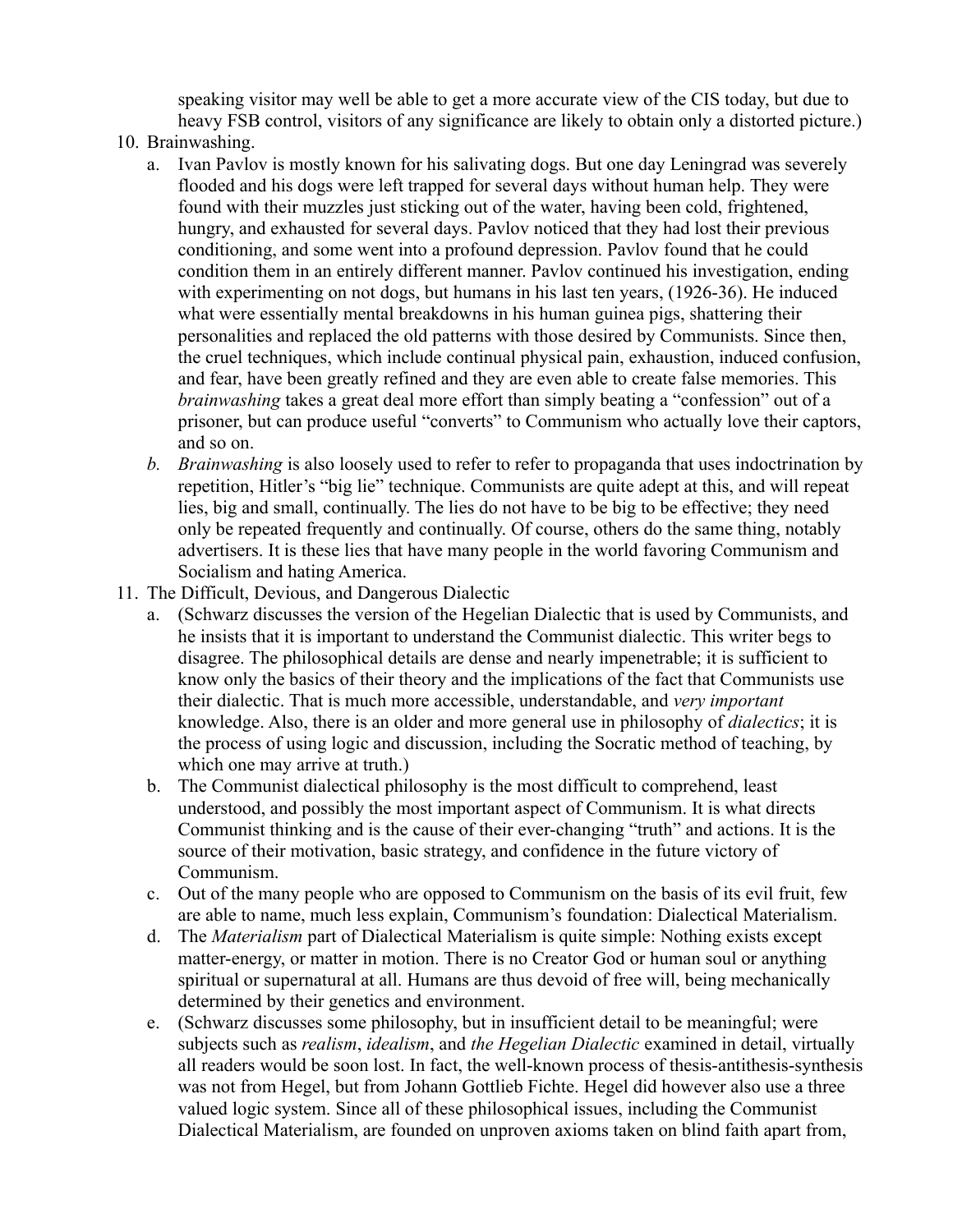speaking visitor may well be able to get a more accurate view of the CIS today, but due to heavy FSB control, visitors of any significance are likely to obtain only a distorted picture.)

- 10. Brainwashing.
	- a. Ivan Pavlov is mostly known for his salivating dogs. But one day Leningrad was severely flooded and his dogs were left trapped for several days without human help. They were found with their muzzles just sticking out of the water, having been cold, frightened, hungry, and exhausted for several days. Pavlov noticed that they had lost their previous conditioning, and some went into a profound depression. Pavlov found that he could condition them in an entirely different manner. Pavlov continued his investigation, ending with experimenting on not dogs, but humans in his last ten years, (1926-36). He induced what were essentially mental breakdowns in his human guinea pigs, shattering their personalities and replaced the old patterns with those desired by Communists. Since then, the cruel techniques, which include continual physical pain, exhaustion, induced confusion, and fear, have been greatly refined and they are even able to create false memories. This *brainwashing* takes a great deal more effort than simply beating a "confession" out of a prisoner, but can produce useful "converts" to Communism who actually love their captors, and so on.
	- *b. Brainwashing* is also loosely used to refer to refer to propaganda that uses indoctrination by repetition, Hitler's "big lie" technique. Communists are quite adept at this, and will repeat lies, big and small, continually. The lies do not have to be big to be effective; they need only be repeated frequently and continually. Of course, others do the same thing, notably advertisers. It is these lies that have many people in the world favoring Communism and Socialism and hating America.
- 11. The Difficult, Devious, and Dangerous Dialectic
	- a. (Schwarz discusses the version of the Hegelian Dialectic that is used by Communists, and he insists that it is important to understand the Communist dialectic. This writer begs to disagree. The philosophical details are dense and nearly impenetrable; it is sufficient to know only the basics of their theory and the implications of the fact that Communists use their dialectic. That is much more accessible, understandable, and *very important*  knowledge. Also, there is an older and more general use in philosophy of *dialectics*; it is the process of using logic and discussion, including the Socratic method of teaching, by which one may arrive at truth.)
	- b. The Communist dialectical philosophy is the most difficult to comprehend, least understood, and possibly the most important aspect of Communism. It is what directs Communist thinking and is the cause of their ever-changing "truth" and actions. It is the source of their motivation, basic strategy, and confidence in the future victory of Communism.
	- c. Out of the many people who are opposed to Communism on the basis of its evil fruit, few are able to name, much less explain, Communism's foundation: Dialectical Materialism.
	- d. The *Materialism* part of Dialectical Materialism is quite simple: Nothing exists except matter-energy, or matter in motion. There is no Creator God or human soul or anything spiritual or supernatural at all. Humans are thus devoid of free will, being mechanically determined by their genetics and environment.
	- e. (Schwarz discusses some philosophy, but in insufficient detail to be meaningful; were subjects such as *realism*, *idealism*, and *the Hegelian Dialectic* examined in detail, virtually all readers would be soon lost. In fact, the well-known process of thesis-antithesis-synthesis was not from Hegel, but from Johann Gottlieb Fichte. Hegel did however also use a three valued logic system. Since all of these philosophical issues, including the Communist Dialectical Materialism, are founded on unproven axioms taken on blind faith apart from,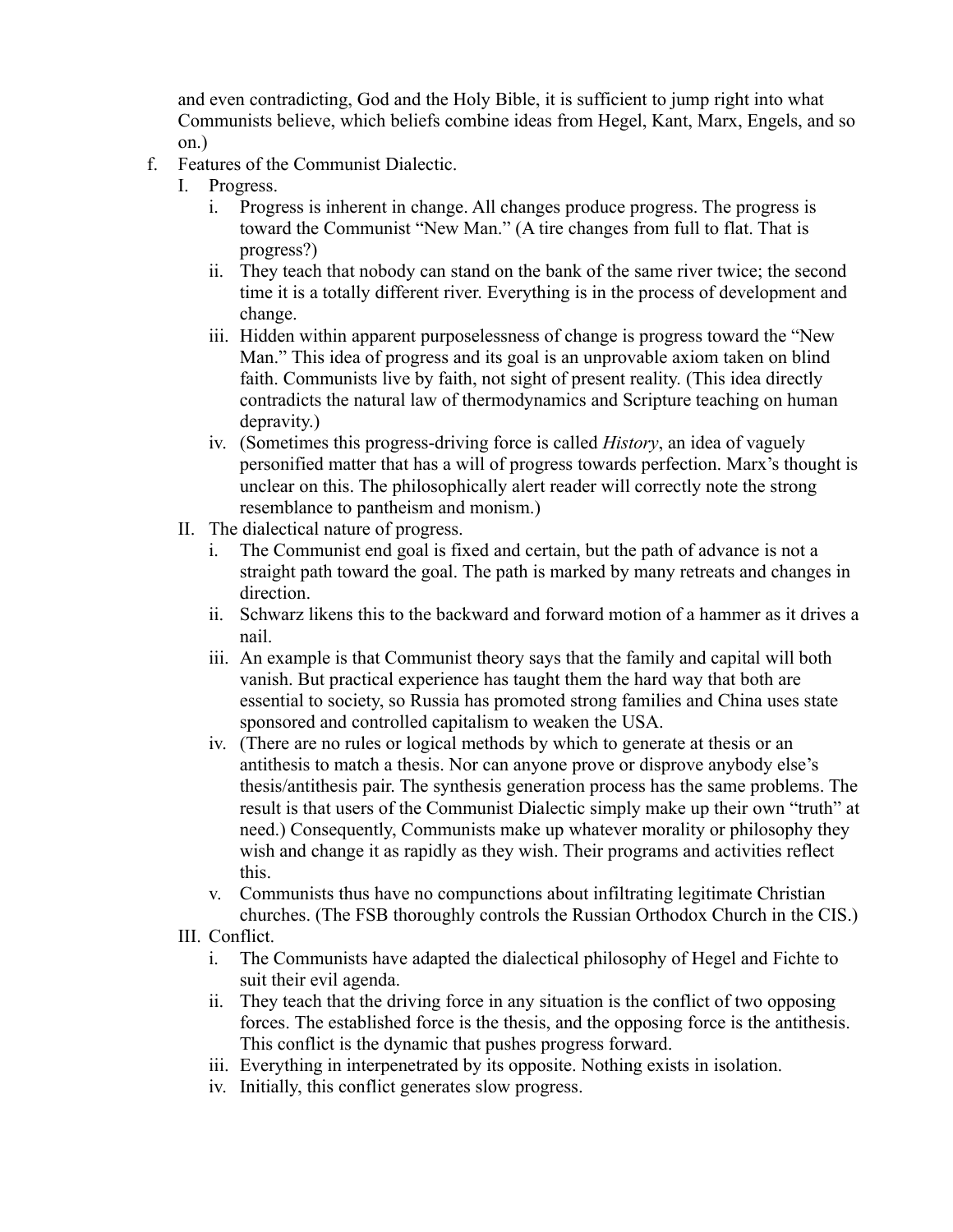and even contradicting, God and the Holy Bible, it is sufficient to jump right into what Communists believe, which beliefs combine ideas from Hegel, Kant, Marx, Engels, and so on.)

- f. Features of the Communist Dialectic.
	- I. Progress.
		- i. Progress is inherent in change. All changes produce progress. The progress is toward the Communist "New Man." (A tire changes from full to flat. That is progress?)
		- ii. They teach that nobody can stand on the bank of the same river twice; the second time it is a totally different river. Everything is in the process of development and change.
		- iii. Hidden within apparent purposelessness of change is progress toward the "New Man." This idea of progress and its goal is an unprovable axiom taken on blind faith. Communists live by faith, not sight of present reality. (This idea directly contradicts the natural law of thermodynamics and Scripture teaching on human depravity.)
		- iv. (Sometimes this progress-driving force is called *History*, an idea of vaguely personified matter that has a will of progress towards perfection. Marx's thought is unclear on this. The philosophically alert reader will correctly note the strong resemblance to pantheism and monism.)
	- II. The dialectical nature of progress.
		- i. The Communist end goal is fixed and certain, but the path of advance is not a straight path toward the goal. The path is marked by many retreats and changes in direction.
		- ii. Schwarz likens this to the backward and forward motion of a hammer as it drives a nail.
		- iii. An example is that Communist theory says that the family and capital will both vanish. But practical experience has taught them the hard way that both are essential to society, so Russia has promoted strong families and China uses state sponsored and controlled capitalism to weaken the USA.
		- iv. (There are no rules or logical methods by which to generate at thesis or an antithesis to match a thesis. Nor can anyone prove or disprove anybody else's thesis/antithesis pair. The synthesis generation process has the same problems. The result is that users of the Communist Dialectic simply make up their own "truth" at need.) Consequently, Communists make up whatever morality or philosophy they wish and change it as rapidly as they wish. Their programs and activities reflect this.
		- v. Communists thus have no compunctions about infiltrating legitimate Christian churches. (The FSB thoroughly controls the Russian Orthodox Church in the CIS.)
	- III. Conflict.
		- i. The Communists have adapted the dialectical philosophy of Hegel and Fichte to suit their evil agenda.
		- ii. They teach that the driving force in any situation is the conflict of two opposing forces. The established force is the thesis, and the opposing force is the antithesis. This conflict is the dynamic that pushes progress forward.
		- iii. Everything in interpenetrated by its opposite. Nothing exists in isolation.
		- iv. Initially, this conflict generates slow progress.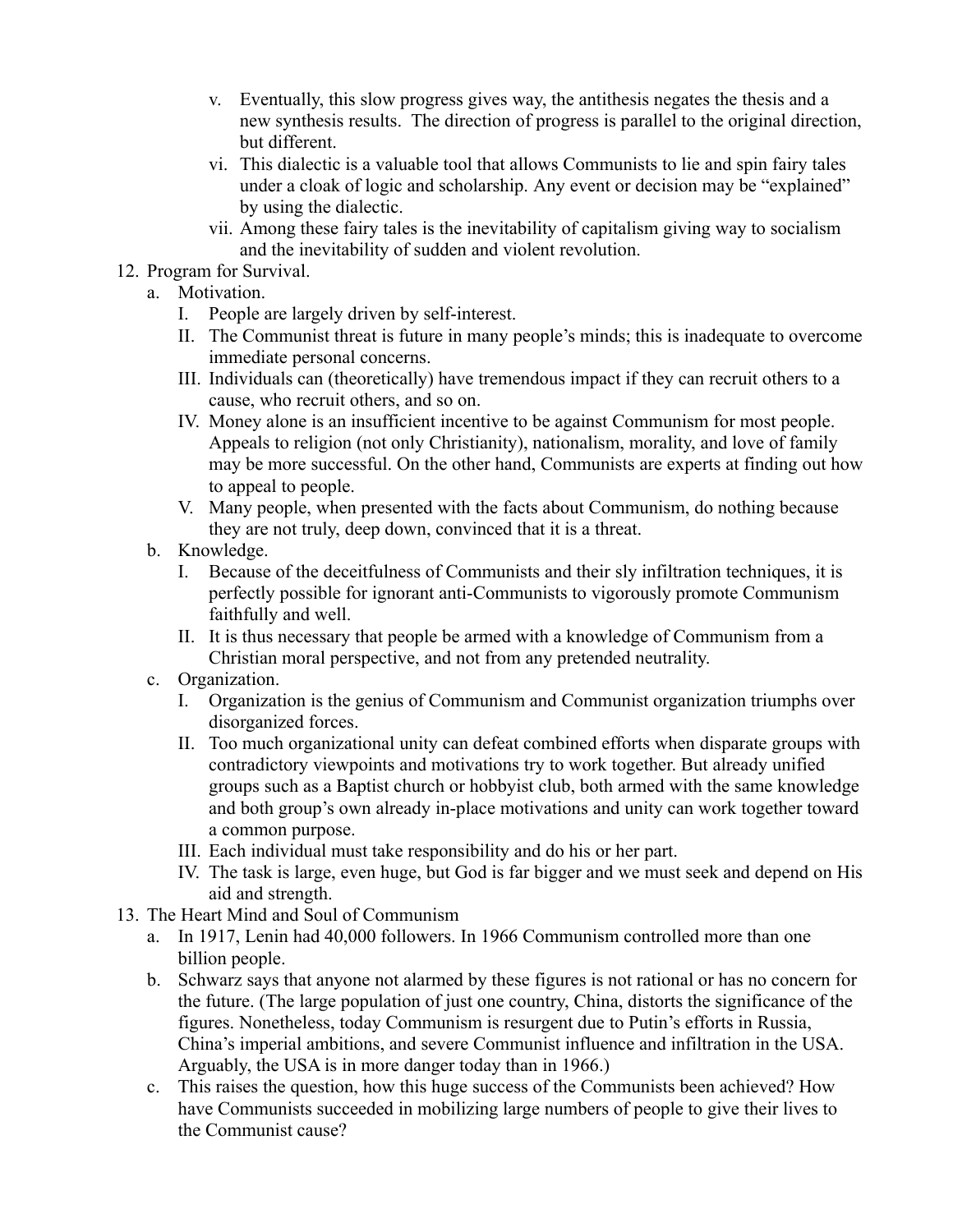- v. Eventually, this slow progress gives way, the antithesis negates the thesis and a new synthesis results. The direction of progress is parallel to the original direction, but different.
- vi. This dialectic is a valuable tool that allows Communists to lie and spin fairy tales under a cloak of logic and scholarship. Any event or decision may be "explained" by using the dialectic.
- vii. Among these fairy tales is the inevitability of capitalism giving way to socialism and the inevitability of sudden and violent revolution.
- 12. Program for Survival.
	- a. Motivation.
		- I. People are largely driven by self-interest.
		- II. The Communist threat is future in many people's minds; this is inadequate to overcome immediate personal concerns.
		- III. Individuals can (theoretically) have tremendous impact if they can recruit others to a cause, who recruit others, and so on.
		- IV. Money alone is an insufficient incentive to be against Communism for most people. Appeals to religion (not only Christianity), nationalism, morality, and love of family may be more successful. On the other hand, Communists are experts at finding out how to appeal to people.
		- V. Many people, when presented with the facts about Communism, do nothing because they are not truly, deep down, convinced that it is a threat.
	- b. Knowledge.
		- I. Because of the deceitfulness of Communists and their sly infiltration techniques, it is perfectly possible for ignorant anti-Communists to vigorously promote Communism faithfully and well.
		- II. It is thus necessary that people be armed with a knowledge of Communism from a Christian moral perspective, and not from any pretended neutrality.
	- c. Organization.
		- I. Organization is the genius of Communism and Communist organization triumphs over disorganized forces.
		- II. Too much organizational unity can defeat combined efforts when disparate groups with contradictory viewpoints and motivations try to work together. But already unified groups such as a Baptist church or hobbyist club, both armed with the same knowledge and both group's own already in-place motivations and unity can work together toward a common purpose.
		- III. Each individual must take responsibility and do his or her part.
		- IV. The task is large, even huge, but God is far bigger and we must seek and depend on His aid and strength.
- 13. The Heart Mind and Soul of Communism
	- a. In 1917, Lenin had 40,000 followers. In 1966 Communism controlled more than one billion people.
	- b. Schwarz says that anyone not alarmed by these figures is not rational or has no concern for the future. (The large population of just one country, China, distorts the significance of the figures. Nonetheless, today Communism is resurgent due to Putin's efforts in Russia, China's imperial ambitions, and severe Communist influence and infiltration in the USA. Arguably, the USA is in more danger today than in 1966.)
	- c. This raises the question, how this huge success of the Communists been achieved? How have Communists succeeded in mobilizing large numbers of people to give their lives to the Communist cause?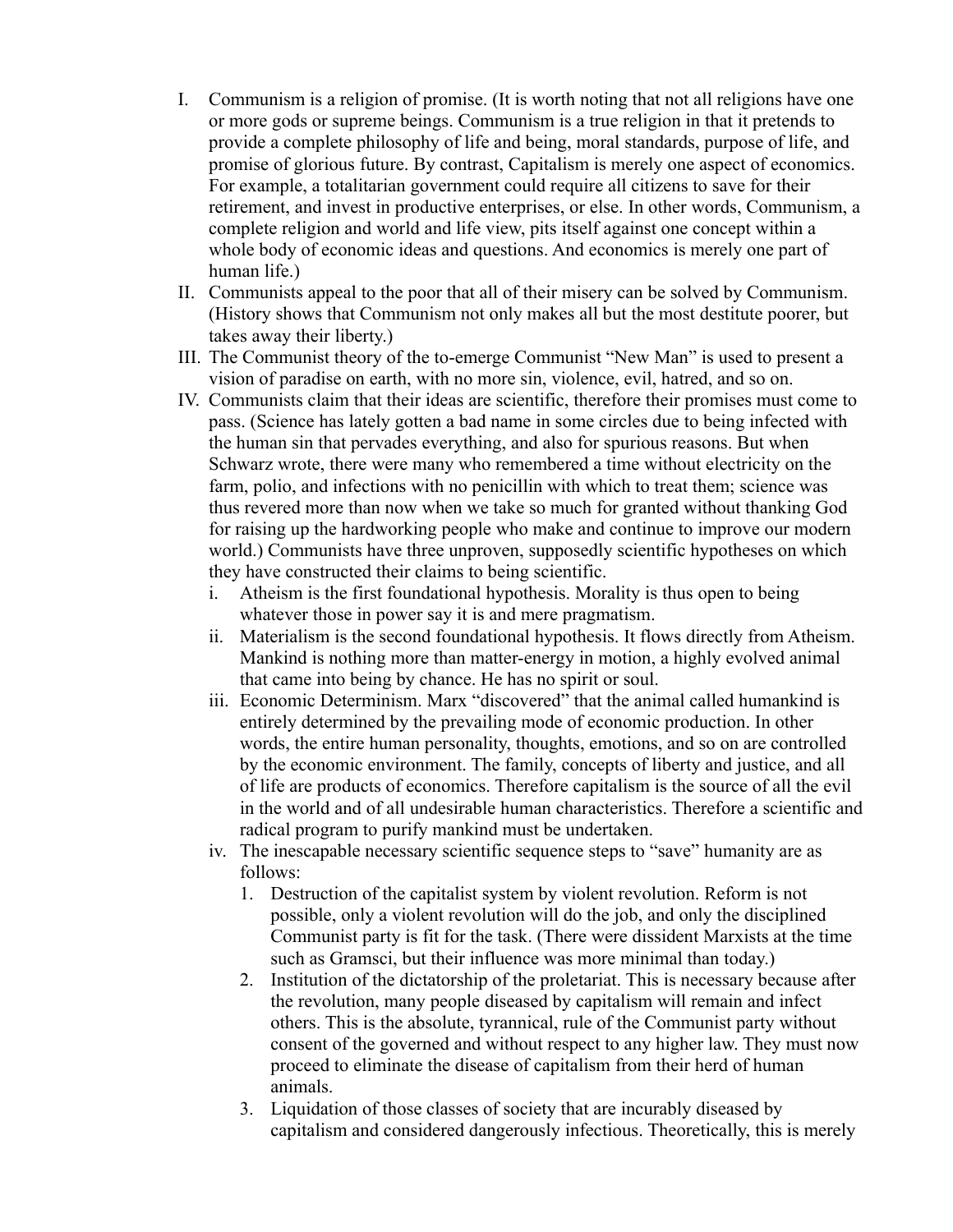- I. Communism is a religion of promise. (It is worth noting that not all religions have one or more gods or supreme beings. Communism is a true religion in that it pretends to provide a complete philosophy of life and being, moral standards, purpose of life, and promise of glorious future. By contrast, Capitalism is merely one aspect of economics. For example, a totalitarian government could require all citizens to save for their retirement, and invest in productive enterprises, or else. In other words, Communism, a complete religion and world and life view, pits itself against one concept within a whole body of economic ideas and questions. And economics is merely one part of human life.)
- II. Communists appeal to the poor that all of their misery can be solved by Communism. (History shows that Communism not only makes all but the most destitute poorer, but takes away their liberty.)
- III. The Communist theory of the to-emerge Communist "New Man" is used to present a vision of paradise on earth, with no more sin, violence, evil, hatred, and so on.
- IV. Communists claim that their ideas are scientific, therefore their promises must come to pass. (Science has lately gotten a bad name in some circles due to being infected with the human sin that pervades everything, and also for spurious reasons. But when Schwarz wrote, there were many who remembered a time without electricity on the farm, polio, and infections with no penicillin with which to treat them; science was thus revered more than now when we take so much for granted without thanking God for raising up the hardworking people who make and continue to improve our modern world.) Communists have three unproven, supposedly scientific hypotheses on which they have constructed their claims to being scientific.
	- i. Atheism is the first foundational hypothesis. Morality is thus open to being whatever those in power say it is and mere pragmatism.
	- ii. Materialism is the second foundational hypothesis. It flows directly from Atheism. Mankind is nothing more than matter-energy in motion, a highly evolved animal that came into being by chance. He has no spirit or soul.
	- iii. Economic Determinism. Marx "discovered" that the animal called humankind is entirely determined by the prevailing mode of economic production. In other words, the entire human personality, thoughts, emotions, and so on are controlled by the economic environment. The family, concepts of liberty and justice, and all of life are products of economics. Therefore capitalism is the source of all the evil in the world and of all undesirable human characteristics. Therefore a scientific and radical program to purify mankind must be undertaken.
	- iv. The inescapable necessary scientific sequence steps to "save" humanity are as follows:
		- 1. Destruction of the capitalist system by violent revolution. Reform is not possible, only a violent revolution will do the job, and only the disciplined Communist party is fit for the task. (There were dissident Marxists at the time such as Gramsci, but their influence was more minimal than today.)
		- 2. Institution of the dictatorship of the proletariat. This is necessary because after the revolution, many people diseased by capitalism will remain and infect others. This is the absolute, tyrannical, rule of the Communist party without consent of the governed and without respect to any higher law. They must now proceed to eliminate the disease of capitalism from their herd of human animals.
		- 3. Liquidation of those classes of society that are incurably diseased by capitalism and considered dangerously infectious. Theoretically, this is merely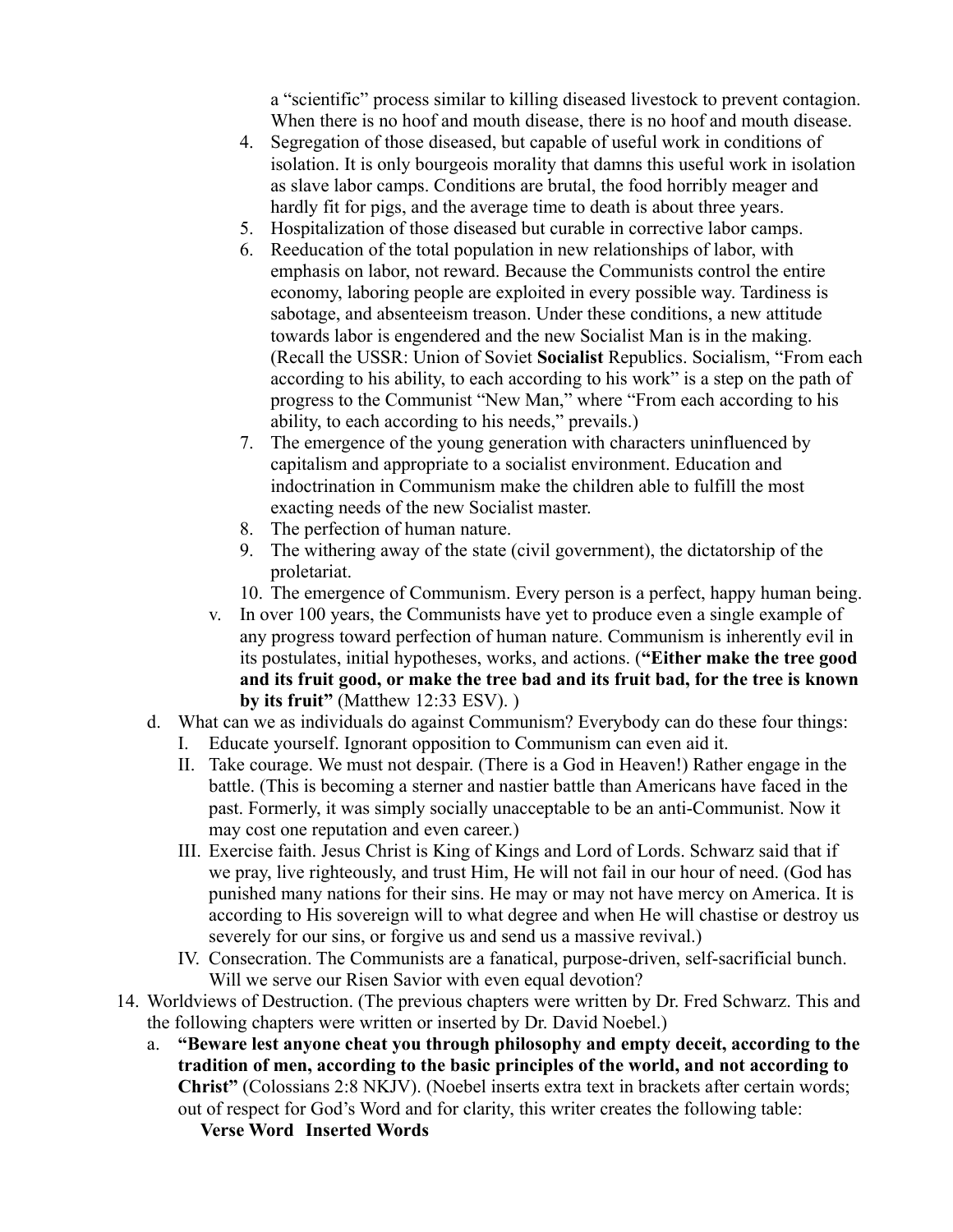a "scientific" process similar to killing diseased livestock to prevent contagion. When there is no hoof and mouth disease, there is no hoof and mouth disease.

- 4. Segregation of those diseased, but capable of useful work in conditions of isolation. It is only bourgeois morality that damns this useful work in isolation as slave labor camps. Conditions are brutal, the food horribly meager and hardly fit for pigs, and the average time to death is about three years.
- 5. Hospitalization of those diseased but curable in corrective labor camps.
- 6. Reeducation of the total population in new relationships of labor, with emphasis on labor, not reward. Because the Communists control the entire economy, laboring people are exploited in every possible way. Tardiness is sabotage, and absenteeism treason. Under these conditions, a new attitude towards labor is engendered and the new Socialist Man is in the making. (Recall the USSR: Union of Soviet **Socialist** Republics. Socialism, "From each according to his ability, to each according to his work" is a step on the path of progress to the Communist "New Man," where "From each according to his ability, to each according to his needs," prevails.)
- 7. The emergence of the young generation with characters uninfluenced by capitalism and appropriate to a socialist environment. Education and indoctrination in Communism make the children able to fulfill the most exacting needs of the new Socialist master.
- 8. The perfection of human nature.
- 9. The withering away of the state (civil government), the dictatorship of the proletariat.
- 10. The emergence of Communism. Every person is a perfect, happy human being.
- v. In over 100 years, the Communists have yet to produce even a single example of any progress toward perfection of human nature. Communism is inherently evil in its postulates, initial hypotheses, works, and actions. (**"Either make the tree good and its fruit good, or make the tree bad and its fruit bad, for the tree is known by its fruit"** (Matthew 12:33 ESV). )
- d. What can we as individuals do against Communism? Everybody can do these four things:
	- I. Educate yourself. Ignorant opposition to Communism can even aid it.
	- II. Take courage. We must not despair. (There is a God in Heaven!) Rather engage in the battle. (This is becoming a sterner and nastier battle than Americans have faced in the past. Formerly, it was simply socially unacceptable to be an anti-Communist. Now it may cost one reputation and even career.)
	- III. Exercise faith. Jesus Christ is King of Kings and Lord of Lords. Schwarz said that if we pray, live righteously, and trust Him, He will not fail in our hour of need. (God has punished many nations for their sins. He may or may not have mercy on America. It is according to His sovereign will to what degree and when He will chastise or destroy us severely for our sins, or forgive us and send us a massive revival.)
	- IV. Consecration. The Communists are a fanatical, purpose-driven, self-sacrificial bunch. Will we serve our Risen Savior with even equal devotion?
- 14. Worldviews of Destruction. (The previous chapters were written by Dr. Fred Schwarz. This and the following chapters were written or inserted by Dr. David Noebel.)
	- a. **"Beware lest anyone cheat you through philosophy and empty deceit, according to the tradition of men, according to the basic principles of the world, and not according to Christ"** (Colossians 2:8 NKJV). (Noebel inserts extra text in brackets after certain words; out of respect for God's Word and for clarity, this writer creates the following table: **Verse Word Inserted Words**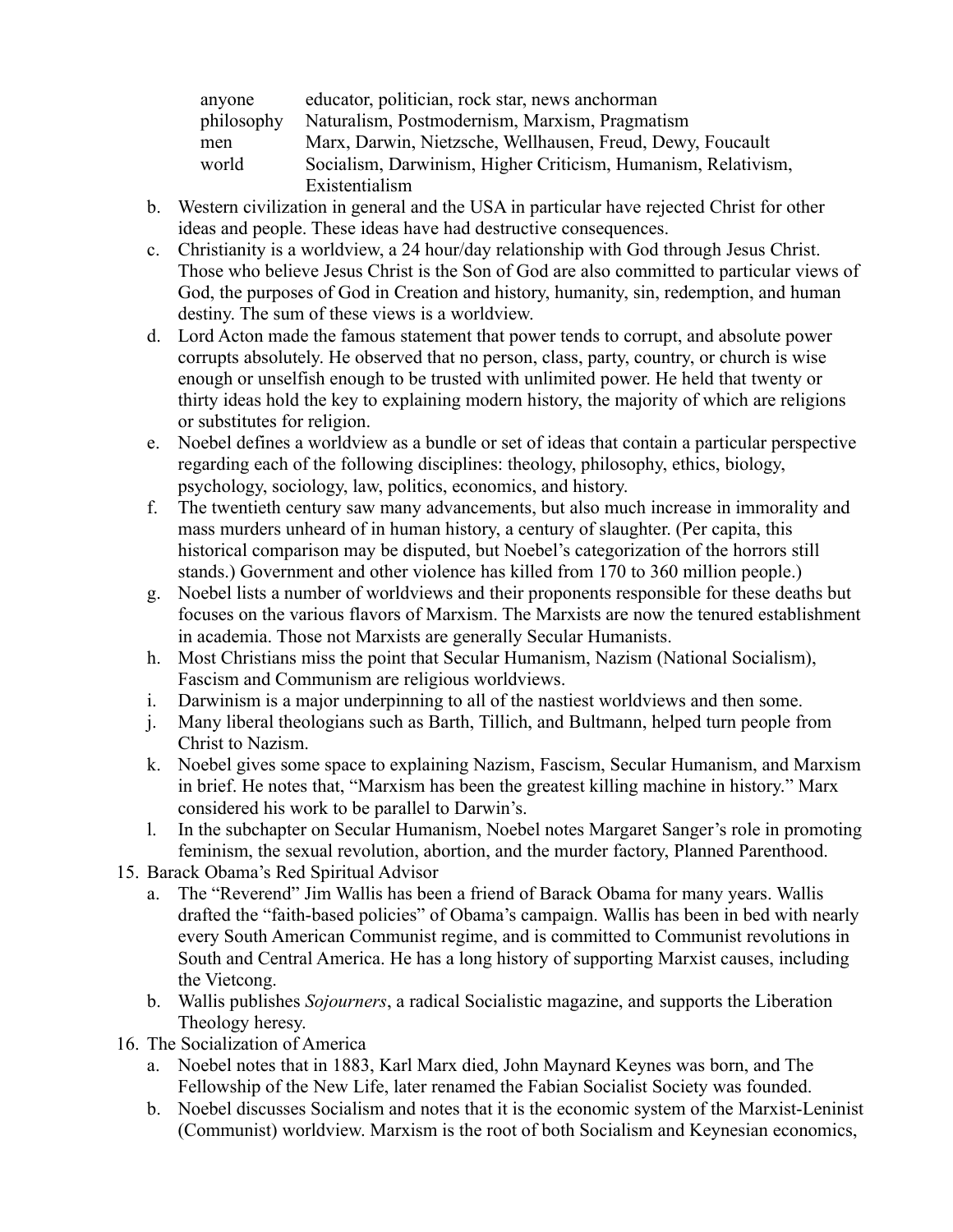| anyone     | educator, politician, rock star, news anchorman               |
|------------|---------------------------------------------------------------|
| philosophy | Naturalism, Postmodernism, Marxism, Pragmatism                |
| men        | Marx, Darwin, Nietzsche, Wellhausen, Freud, Dewy, Foucault    |
| world      | Socialism, Darwinism, Higher Criticism, Humanism, Relativism, |
|            | Existentialism                                                |

- b. Western civilization in general and the USA in particular have rejected Christ for other ideas and people. These ideas have had destructive consequences.
- c. Christianity is a worldview, a 24 hour/day relationship with God through Jesus Christ. Those who believe Jesus Christ is the Son of God are also committed to particular views of God, the purposes of God in Creation and history, humanity, sin, redemption, and human destiny. The sum of these views is a worldview.
- d. Lord Acton made the famous statement that power tends to corrupt, and absolute power corrupts absolutely. He observed that no person, class, party, country, or church is wise enough or unselfish enough to be trusted with unlimited power. He held that twenty or thirty ideas hold the key to explaining modern history, the majority of which are religions or substitutes for religion.
- e. Noebel defines a worldview as a bundle or set of ideas that contain a particular perspective regarding each of the following disciplines: theology, philosophy, ethics, biology, psychology, sociology, law, politics, economics, and history.
- f. The twentieth century saw many advancements, but also much increase in immorality and mass murders unheard of in human history, a century of slaughter. (Per capita, this historical comparison may be disputed, but Noebel's categorization of the horrors still stands.) Government and other violence has killed from 170 to 360 million people.)
- g. Noebel lists a number of worldviews and their proponents responsible for these deaths but focuses on the various flavors of Marxism. The Marxists are now the tenured establishment in academia. Those not Marxists are generally Secular Humanists.
- h. Most Christians miss the point that Secular Humanism, Nazism (National Socialism), Fascism and Communism are religious worldviews.
- i. Darwinism is a major underpinning to all of the nastiest worldviews and then some.
- j. Many liberal theologians such as Barth, Tillich, and Bultmann, helped turn people from Christ to Nazism.
- k. Noebel gives some space to explaining Nazism, Fascism, Secular Humanism, and Marxism in brief. He notes that, "Marxism has been the greatest killing machine in history." Marx considered his work to be parallel to Darwin's.
- l. In the subchapter on Secular Humanism, Noebel notes Margaret Sanger's role in promoting feminism, the sexual revolution, abortion, and the murder factory, Planned Parenthood.
- 15. Barack Obama's Red Spiritual Advisor
	- a. The "Reverend" Jim Wallis has been a friend of Barack Obama for many years. Wallis drafted the "faith-based policies" of Obama's campaign. Wallis has been in bed with nearly every South American Communist regime, and is committed to Communist revolutions in South and Central America. He has a long history of supporting Marxist causes, including the Vietcong.
	- b. Wallis publishes *Sojourners*, a radical Socialistic magazine, and supports the Liberation Theology heresy.
- 16. The Socialization of America
	- a. Noebel notes that in 1883, Karl Marx died, John Maynard Keynes was born, and The Fellowship of the New Life, later renamed the Fabian Socialist Society was founded.
	- b. Noebel discusses Socialism and notes that it is the economic system of the Marxist-Leninist (Communist) worldview. Marxism is the root of both Socialism and Keynesian economics,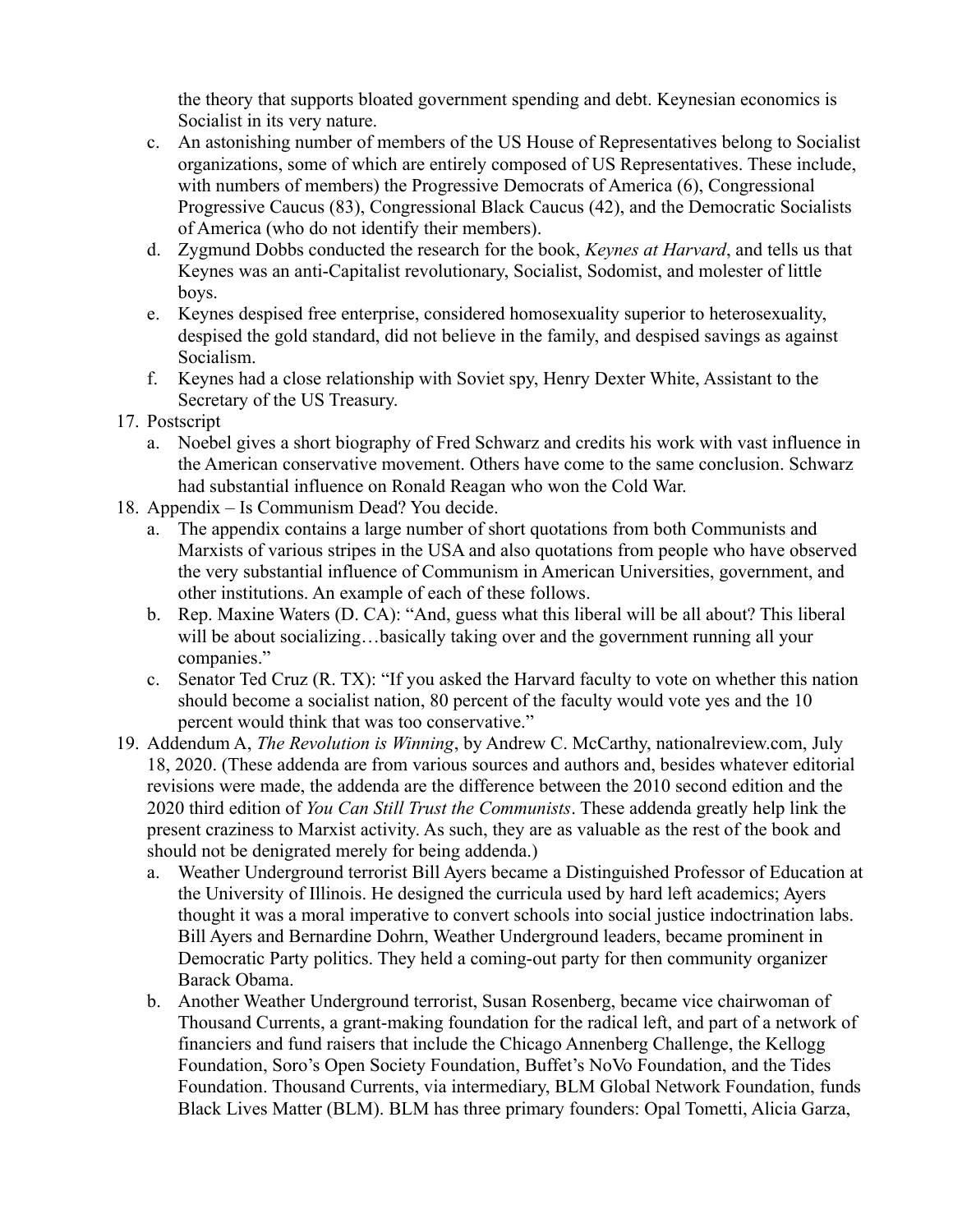the theory that supports bloated government spending and debt. Keynesian economics is Socialist in its very nature.

- c. An astonishing number of members of the US House of Representatives belong to Socialist organizations, some of which are entirely composed of US Representatives. These include, with numbers of members) the Progressive Democrats of America (6), Congressional Progressive Caucus (83), Congressional Black Caucus (42), and the Democratic Socialists of America (who do not identify their members).
- d. Zygmund Dobbs conducted the research for the book, *Keynes at Harvard*, and tells us that Keynes was an anti-Capitalist revolutionary, Socialist, Sodomist, and molester of little boys.
- e. Keynes despised free enterprise, considered homosexuality superior to heterosexuality, despised the gold standard, did not believe in the family, and despised savings as against Socialism.
- f. Keynes had a close relationship with Soviet spy, Henry Dexter White, Assistant to the Secretary of the US Treasury.
- 17. Postscript
	- a. Noebel gives a short biography of Fred Schwarz and credits his work with vast influence in the American conservative movement. Others have come to the same conclusion. Schwarz had substantial influence on Ronald Reagan who won the Cold War.
- 18. Appendix Is Communism Dead? You decide.
	- a. The appendix contains a large number of short quotations from both Communists and Marxists of various stripes in the USA and also quotations from people who have observed the very substantial influence of Communism in American Universities, government, and other institutions. An example of each of these follows.
	- b. Rep. Maxine Waters (D. CA): "And, guess what this liberal will be all about? This liberal will be about socializing...basically taking over and the government running all your companies."
	- c. Senator Ted Cruz (R. TX): "If you asked the Harvard faculty to vote on whether this nation should become a socialist nation, 80 percent of the faculty would vote yes and the 10 percent would think that was too conservative."
- 19. Addendum A, *The Revolution is Winning*, by Andrew C. McCarthy, nationalreview.com, July 18, 2020. (These addenda are from various sources and authors and, besides whatever editorial revisions were made, the addenda are the difference between the 2010 second edition and the 2020 third edition of *You Can Still Trust the Communists*. These addenda greatly help link the present craziness to Marxist activity. As such, they are as valuable as the rest of the book and should not be denigrated merely for being addenda.)
	- a. Weather Underground terrorist Bill Ayers became a Distinguished Professor of Education at the University of Illinois. He designed the curricula used by hard left academics; Ayers thought it was a moral imperative to convert schools into social justice indoctrination labs. Bill Ayers and Bernardine Dohrn, Weather Underground leaders, became prominent in Democratic Party politics. They held a coming-out party for then community organizer Barack Obama.
	- b. Another Weather Underground terrorist, Susan Rosenberg, became vice chairwoman of Thousand Currents, a grant-making foundation for the radical left, and part of a network of financiers and fund raisers that include the Chicago Annenberg Challenge, the Kellogg Foundation, Soro's Open Society Foundation, Buffet's NoVo Foundation, and the Tides Foundation. Thousand Currents, via intermediary, BLM Global Network Foundation, funds Black Lives Matter (BLM). BLM has three primary founders: Opal Tometti, Alicia Garza,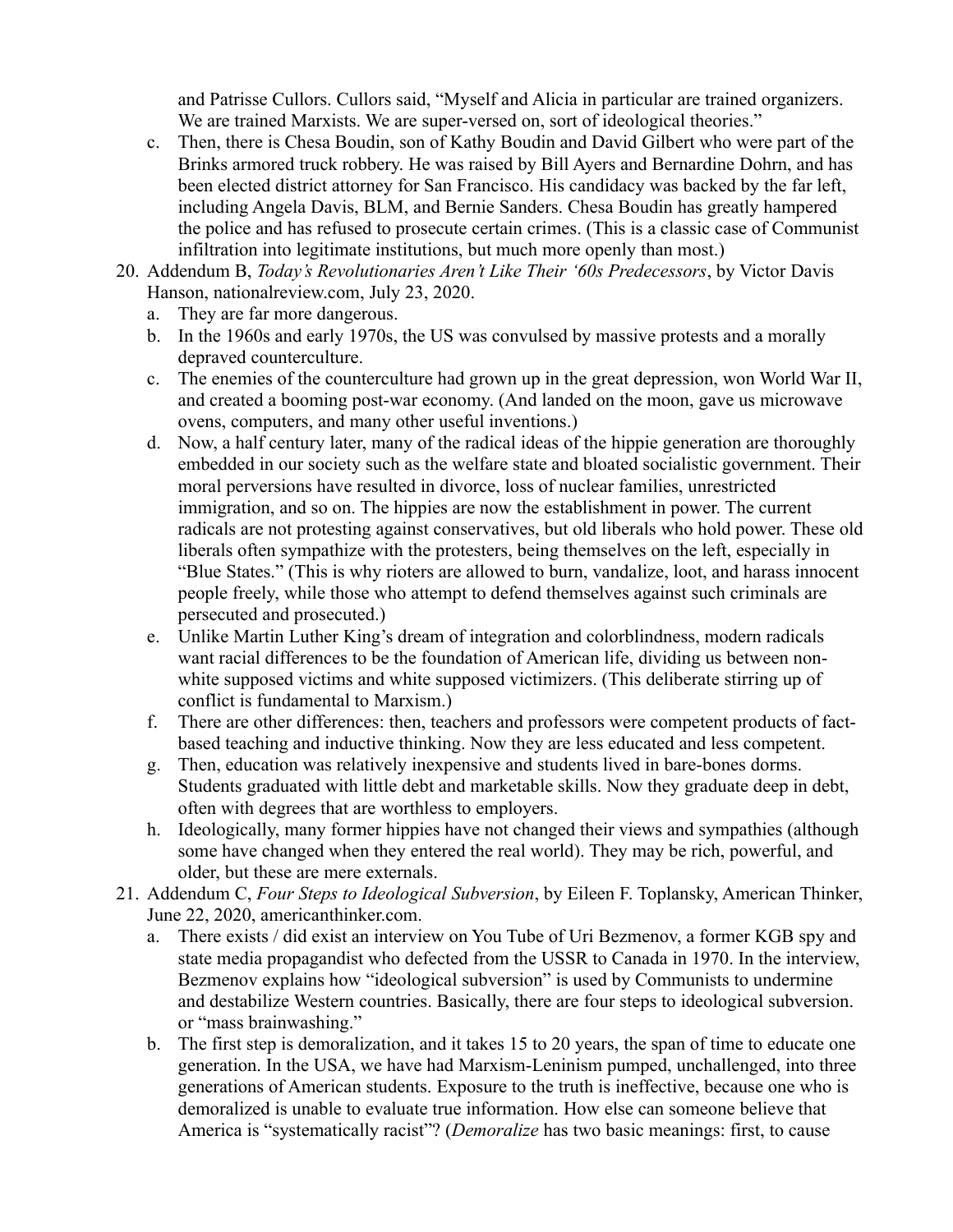and Patrisse Cullors. Cullors said, "Myself and Alicia in particular are trained organizers. We are trained Marxists. We are super-versed on, sort of ideological theories."

- c. Then, there is Chesa Boudin, son of Kathy Boudin and David Gilbert who were part of the Brinks armored truck robbery. He was raised by Bill Ayers and Bernardine Dohrn, and has been elected district attorney for San Francisco. His candidacy was backed by the far left, including Angela Davis, BLM, and Bernie Sanders. Chesa Boudin has greatly hampered the police and has refused to prosecute certain crimes. (This is a classic case of Communist infiltration into legitimate institutions, but much more openly than most.)
- 20. Addendum B, *Today's Revolutionaries Aren't Like Their '60s Predecessors*, by Victor Davis Hanson, nationalreview.com, July 23, 2020.
	- a. They are far more dangerous.
	- b. In the 1960s and early 1970s, the US was convulsed by massive protests and a morally depraved counterculture.
	- c. The enemies of the counterculture had grown up in the great depression, won World War II, and created a booming post-war economy. (And landed on the moon, gave us microwave ovens, computers, and many other useful inventions.)
	- d. Now, a half century later, many of the radical ideas of the hippie generation are thoroughly embedded in our society such as the welfare state and bloated socialistic government. Their moral perversions have resulted in divorce, loss of nuclear families, unrestricted immigration, and so on. The hippies are now the establishment in power. The current radicals are not protesting against conservatives, but old liberals who hold power. These old liberals often sympathize with the protesters, being themselves on the left, especially in "Blue States." (This is why rioters are allowed to burn, vandalize, loot, and harass innocent people freely, while those who attempt to defend themselves against such criminals are persecuted and prosecuted.)
	- e. Unlike Martin Luther King's dream of integration and colorblindness, modern radicals want racial differences to be the foundation of American life, dividing us between nonwhite supposed victims and white supposed victimizers. (This deliberate stirring up of conflict is fundamental to Marxism.)
	- f. There are other differences: then, teachers and professors were competent products of factbased teaching and inductive thinking. Now they are less educated and less competent.
	- g. Then, education was relatively inexpensive and students lived in bare-bones dorms. Students graduated with little debt and marketable skills. Now they graduate deep in debt, often with degrees that are worthless to employers.
	- h. Ideologically, many former hippies have not changed their views and sympathies (although some have changed when they entered the real world). They may be rich, powerful, and older, but these are mere externals.
- 21. Addendum C, *Four Steps to Ideological Subversion*, by Eileen F. Toplansky, American Thinker, June 22, 2020, americanthinker.com.
	- a. There exists / did exist an interview on You Tube of Uri Bezmenov, a former KGB spy and state media propagandist who defected from the USSR to Canada in 1970. In the interview, Bezmenov explains how "ideological subversion" is used by Communists to undermine and destabilize Western countries. Basically, there are four steps to ideological subversion. or "mass brainwashing."
	- b. The first step is demoralization, and it takes 15 to 20 years, the span of time to educate one generation. In the USA, we have had Marxism-Leninism pumped, unchallenged, into three generations of American students. Exposure to the truth is ineffective, because one who is demoralized is unable to evaluate true information. How else can someone believe that America is "systematically racist"? (*Demoralize* has two basic meanings: first, to cause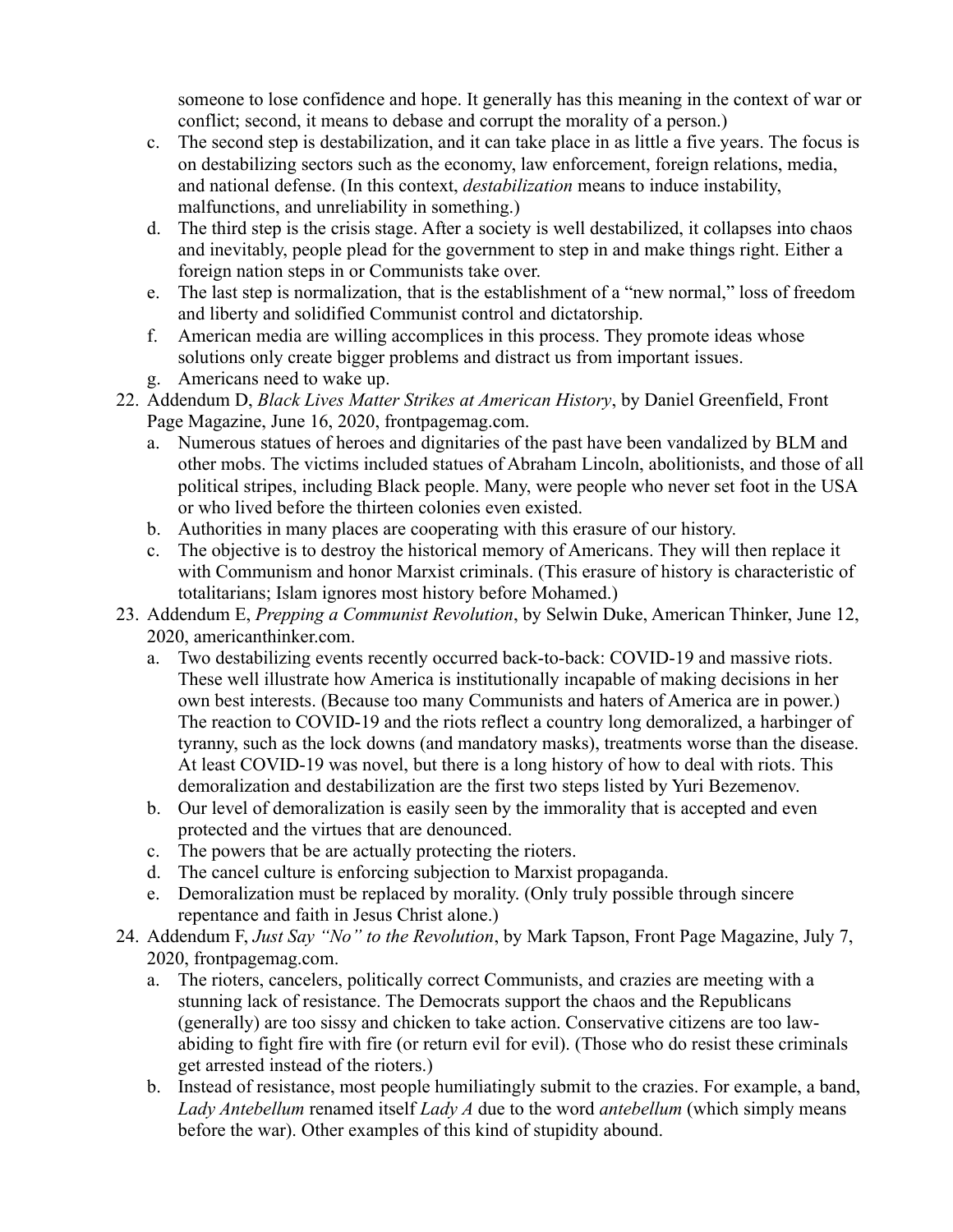someone to lose confidence and hope. It generally has this meaning in the context of war or conflict; second, it means to debase and corrupt the morality of a person.)

- c. The second step is destabilization, and it can take place in as little a five years. The focus is on destabilizing sectors such as the economy, law enforcement, foreign relations, media, and national defense. (In this context, *destabilization* means to induce instability, malfunctions, and unreliability in something.)
- d. The third step is the crisis stage. After a society is well destabilized, it collapses into chaos and inevitably, people plead for the government to step in and make things right. Either a foreign nation steps in or Communists take over.
- e. The last step is normalization, that is the establishment of a "new normal," loss of freedom and liberty and solidified Communist control and dictatorship.
- f. American media are willing accomplices in this process. They promote ideas whose solutions only create bigger problems and distract us from important issues.
- g. Americans need to wake up.
- 22. Addendum D, *Black Lives Matter Strikes at American History*, by Daniel Greenfield, Front Page Magazine, June 16, 2020, frontpagemag.com.
	- a. Numerous statues of heroes and dignitaries of the past have been vandalized by BLM and other mobs. The victims included statues of Abraham Lincoln, abolitionists, and those of all political stripes, including Black people. Many, were people who never set foot in the USA or who lived before the thirteen colonies even existed.
	- b. Authorities in many places are cooperating with this erasure of our history.
	- c. The objective is to destroy the historical memory of Americans. They will then replace it with Communism and honor Marxist criminals. (This erasure of history is characteristic of totalitarians; Islam ignores most history before Mohamed.)
- 23. Addendum E, *Prepping a Communist Revolution*, by Selwin Duke, American Thinker, June 12, 2020, americanthinker.com.
	- a. Two destabilizing events recently occurred back-to-back: COVID-19 and massive riots. These well illustrate how America is institutionally incapable of making decisions in her own best interests. (Because too many Communists and haters of America are in power.) The reaction to COVID-19 and the riots reflect a country long demoralized, a harbinger of tyranny, such as the lock downs (and mandatory masks), treatments worse than the disease. At least COVID-19 was novel, but there is a long history of how to deal with riots. This demoralization and destabilization are the first two steps listed by Yuri Bezemenov.
	- b. Our level of demoralization is easily seen by the immorality that is accepted and even protected and the virtues that are denounced.
	- c. The powers that be are actually protecting the rioters.
	- d. The cancel culture is enforcing subjection to Marxist propaganda.
	- e. Demoralization must be replaced by morality. (Only truly possible through sincere repentance and faith in Jesus Christ alone.)
- 24. Addendum F, *Just Say "No" to the Revolution*, by Mark Tapson, Front Page Magazine, July 7, 2020, frontpagemag.com.
	- a. The rioters, cancelers, politically correct Communists, and crazies are meeting with a stunning lack of resistance. The Democrats support the chaos and the Republicans (generally) are too sissy and chicken to take action. Conservative citizens are too lawabiding to fight fire with fire (or return evil for evil). (Those who do resist these criminals get arrested instead of the rioters.)
	- b. Instead of resistance, most people humiliatingly submit to the crazies. For example, a band, *Lady Antebellum* renamed itself *Lady A* due to the word *antebellum* (which simply means before the war). Other examples of this kind of stupidity abound.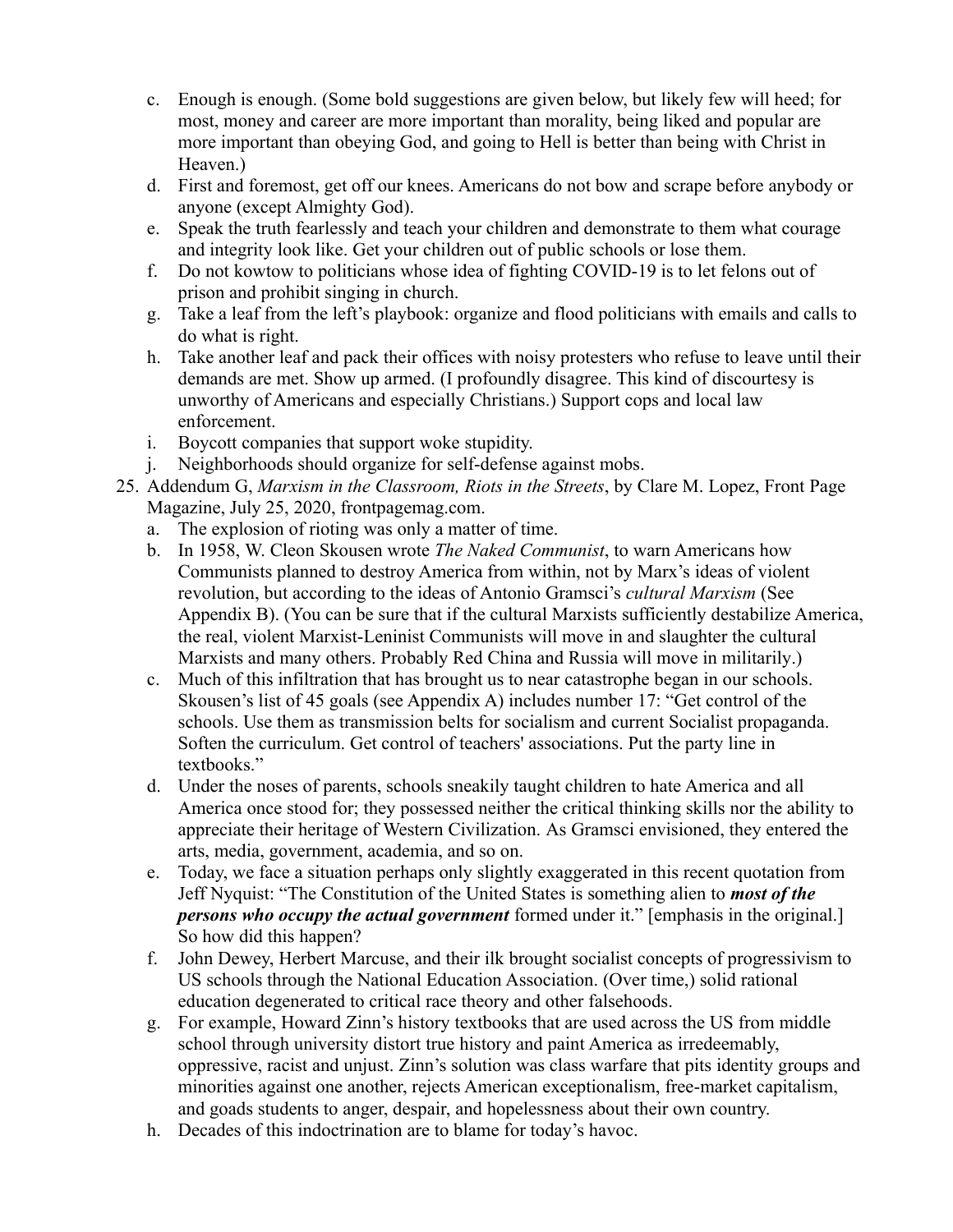- c. Enough is enough. (Some bold suggestions are given below, but likely few will heed; for most, money and career are more important than morality, being liked and popular are more important than obeying God, and going to Hell is better than being with Christ in Heaven.)
- d. First and foremost, get off our knees. Americans do not bow and scrape before anybody or anyone (except Almighty God).
- e. Speak the truth fearlessly and teach your children and demonstrate to them what courage and integrity look like. Get your children out of public schools or lose them.
- f. Do not kowtow to politicians whose idea of fighting COVID-19 is to let felons out of prison and prohibit singing in church.
- g. Take a leaf from the left's playbook: organize and flood politicians with emails and calls to do what is right.
- h. Take another leaf and pack their offices with noisy protesters who refuse to leave until their demands are met. Show up armed. (I profoundly disagree. This kind of discourtesy is unworthy of Americans and especially Christians.) Support cops and local law enforcement.
- i. Boycott companies that support woke stupidity.
- j. Neighborhoods should organize for self-defense against mobs.
- 25. Addendum G, *Marxism in the Classroom, Riots in the Streets*, by Clare M. Lopez, Front Page Magazine, July 25, 2020, frontpagemag.com.
	- a. The explosion of rioting was only a matter of time.
	- b. In 1958, W. Cleon Skousen wrote *The Naked Communist*, to warn Americans how Communists planned to destroy America from within, not by Marx's ideas of violent revolution, but according to the ideas of Antonio Gramsci's *cultural Marxism* (See Appendix B). (You can be sure that if the cultural Marxists sufficiently destabilize America, the real, violent Marxist-Leninist Communists will move in and slaughter the cultural Marxists and many others. Probably Red China and Russia will move in militarily.)
	- c. Much of this infiltration that has brought us to near catastrophe began in our schools. Skousen's list of 45 goals (see Appendix A) includes number 17: "Get control of the schools. Use them as transmission belts for socialism and current Socialist propaganda. Soften the curriculum. Get control of teachers' associations. Put the party line in textbooks."
	- d. Under the noses of parents, schools sneakily taught children to hate America and all America once stood for; they possessed neither the critical thinking skills nor the ability to appreciate their heritage of Western Civilization. As Gramsci envisioned, they entered the arts, media, government, academia, and so on.
	- e. Today, we face a situation perhaps only slightly exaggerated in this recent quotation from Jeff Nyquist: "The Constitution of the United States is something alien to *most of the persons who occupy the actual government* formed under it." [emphasis in the original.] So how did this happen?
	- f. John Dewey, Herbert Marcuse, and their ilk brought socialist concepts of progressivism to US schools through the National Education Association. (Over time,) solid rational education degenerated to critical race theory and other falsehoods.
	- g. For example, Howard Zinn's history textbooks that are used across the US from middle school through university distort true history and paint America as irredeemably, oppressive, racist and unjust. Zinn's solution was class warfare that pits identity groups and minorities against one another, rejects American exceptionalism, free-market capitalism, and goads students to anger, despair, and hopelessness about their own country.
	- h. Decades of this indoctrination are to blame for today's havoc.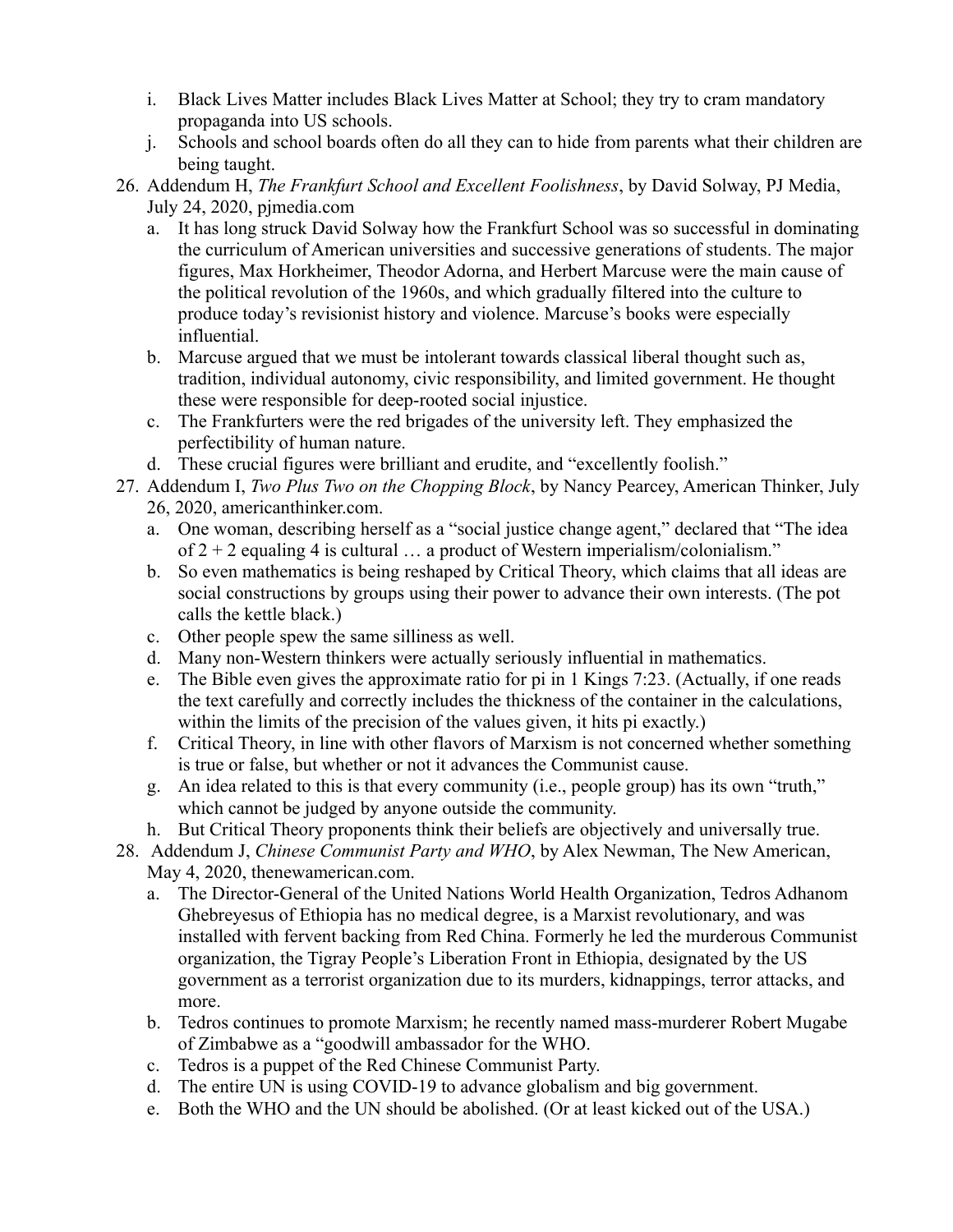- i. Black Lives Matter includes Black Lives Matter at School; they try to cram mandatory propaganda into US schools.
- j. Schools and school boards often do all they can to hide from parents what their children are being taught.
- 26. Addendum H, *The Frankfurt School and Excellent Foolishness*, by David Solway, PJ Media, July 24, 2020, pjmedia.com
	- a. It has long struck David Solway how the Frankfurt School was so successful in dominating the curriculum of American universities and successive generations of students. The major figures, Max Horkheimer, Theodor Adorna, and Herbert Marcuse were the main cause of the political revolution of the 1960s, and which gradually filtered into the culture to produce today's revisionist history and violence. Marcuse's books were especially influential.
	- b. Marcuse argued that we must be intolerant towards classical liberal thought such as, tradition, individual autonomy, civic responsibility, and limited government. He thought these were responsible for deep-rooted social injustice.
	- c. The Frankfurters were the red brigades of the university left. They emphasized the perfectibility of human nature.
	- d. These crucial figures were brilliant and erudite, and "excellently foolish."
- 27. Addendum I, *Two Plus Two on the Chopping Block*, by Nancy Pearcey, American Thinker, July 26, 2020, americanthinker.com.
	- a. One woman, describing herself as a "social justice change agent," declared that "The idea of  $2 + 2$  equaling 4 is cultural ... a product of Western imperialism/colonialism."
	- b. So even mathematics is being reshaped by Critical Theory, which claims that all ideas are social constructions by groups using their power to advance their own interests. (The pot calls the kettle black.)
	- c. Other people spew the same silliness as well.
	- d. Many non-Western thinkers were actually seriously influential in mathematics.
	- e. The Bible even gives the approximate ratio for pi in 1 Kings 7:23. (Actually, if one reads the text carefully and correctly includes the thickness of the container in the calculations, within the limits of the precision of the values given, it hits pi exactly.)
	- f. Critical Theory, in line with other flavors of Marxism is not concerned whether something is true or false, but whether or not it advances the Communist cause.
	- g. An idea related to this is that every community (i.e., people group) has its own "truth," which cannot be judged by anyone outside the community.
	- h. But Critical Theory proponents think their beliefs are objectively and universally true.
- 28. Addendum J, *Chinese Communist Party and WHO*, by Alex Newman, The New American, May 4, 2020, thenewamerican.com.
	- a. The Director-General of the United Nations World Health Organization, Tedros Adhanom Ghebreyesus of Ethiopia has no medical degree, is a Marxist revolutionary, and was installed with fervent backing from Red China. Formerly he led the murderous Communist organization, the Tigray People's Liberation Front in Ethiopia, designated by the US government as a terrorist organization due to its murders, kidnappings, terror attacks, and more.
	- b. Tedros continues to promote Marxism; he recently named mass-murderer Robert Mugabe of Zimbabwe as a "goodwill ambassador for the WHO.
	- c. Tedros is a puppet of the Red Chinese Communist Party.
	- d. The entire UN is using COVID-19 to advance globalism and big government.
	- e. Both the WHO and the UN should be abolished. (Or at least kicked out of the USA.)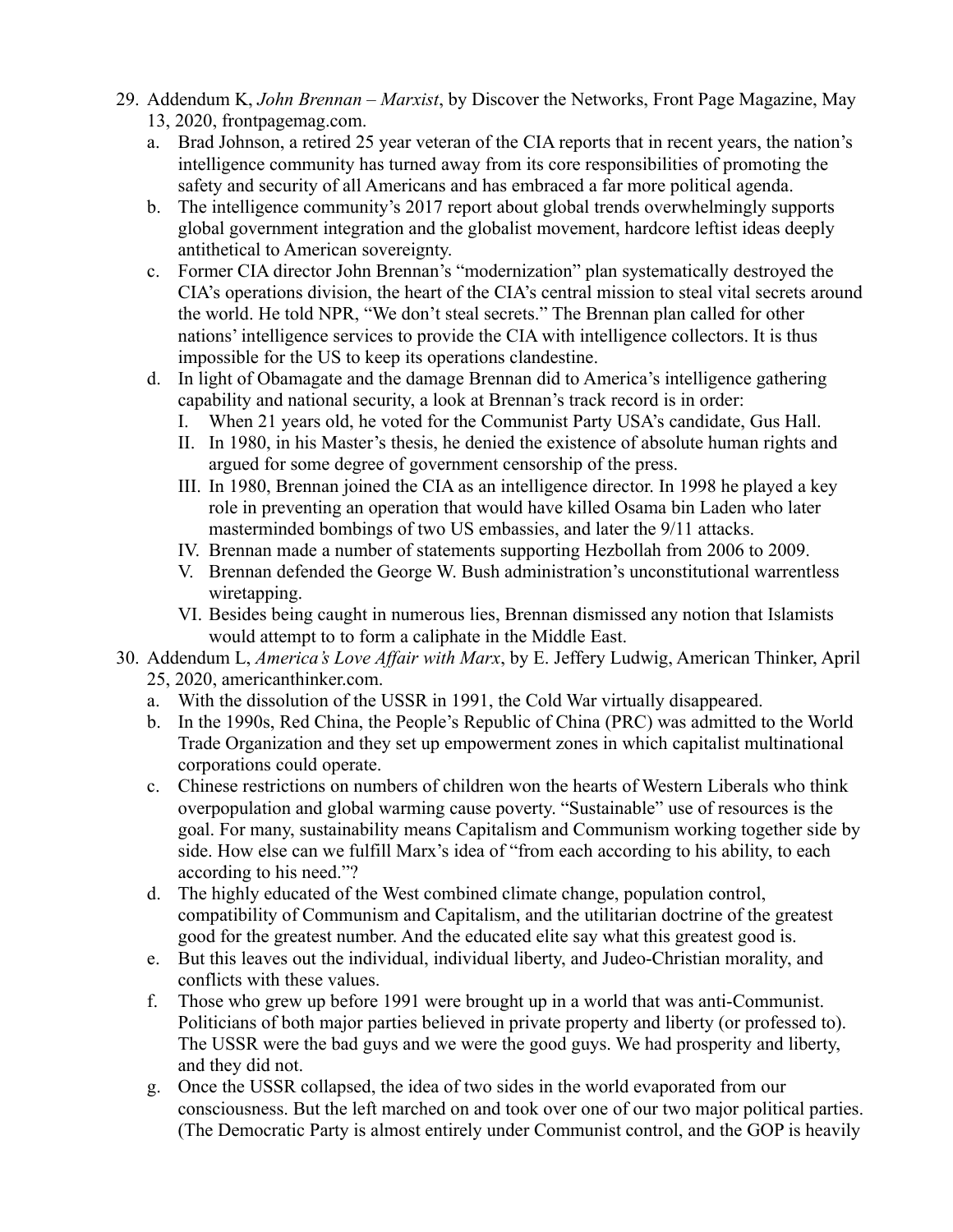- 29. Addendum K, *John Brennan Marxist*, by Discover the Networks, Front Page Magazine, May 13, 2020, frontpagemag.com.
	- a. Brad Johnson, a retired 25 year veteran of the CIA reports that in recent years, the nation's intelligence community has turned away from its core responsibilities of promoting the safety and security of all Americans and has embraced a far more political agenda.
	- b. The intelligence community's 2017 report about global trends overwhelmingly supports global government integration and the globalist movement, hardcore leftist ideas deeply antithetical to American sovereignty.
	- c. Former CIA director John Brennan's "modernization" plan systematically destroyed the CIA's operations division, the heart of the CIA's central mission to steal vital secrets around the world. He told NPR, "We don't steal secrets." The Brennan plan called for other nations' intelligence services to provide the CIA with intelligence collectors. It is thus impossible for the US to keep its operations clandestine.
	- d. In light of Obamagate and the damage Brennan did to America's intelligence gathering capability and national security, a look at Brennan's track record is in order:
		- I. When 21 years old, he voted for the Communist Party USA's candidate, Gus Hall.
		- II. In 1980, in his Master's thesis, he denied the existence of absolute human rights and argued for some degree of government censorship of the press.
		- III. In 1980, Brennan joined the CIA as an intelligence director. In 1998 he played a key role in preventing an operation that would have killed Osama bin Laden who later masterminded bombings of two US embassies, and later the 9/11 attacks.
		- IV. Brennan made a number of statements supporting Hezbollah from 2006 to 2009.
		- V. Brennan defended the George W. Bush administration's unconstitutional warrentless wiretapping.
		- VI. Besides being caught in numerous lies, Brennan dismissed any notion that Islamists would attempt to to form a caliphate in the Middle East.
- 30. Addendum L, *America's Love Affair with Marx*, by E. Jeffery Ludwig, American Thinker, April 25, 2020, americanthinker.com.
	- a. With the dissolution of the USSR in 1991, the Cold War virtually disappeared.
	- b. In the 1990s, Red China, the People's Republic of China (PRC) was admitted to the World Trade Organization and they set up empowerment zones in which capitalist multinational corporations could operate.
	- c. Chinese restrictions on numbers of children won the hearts of Western Liberals who think overpopulation and global warming cause poverty. "Sustainable" use of resources is the goal. For many, sustainability means Capitalism and Communism working together side by side. How else can we fulfill Marx's idea of "from each according to his ability, to each according to his need."?
	- d. The highly educated of the West combined climate change, population control, compatibility of Communism and Capitalism, and the utilitarian doctrine of the greatest good for the greatest number. And the educated elite say what this greatest good is.
	- e. But this leaves out the individual, individual liberty, and Judeo-Christian morality, and conflicts with these values.
	- f. Those who grew up before 1991 were brought up in a world that was anti-Communist. Politicians of both major parties believed in private property and liberty (or professed to). The USSR were the bad guys and we were the good guys. We had prosperity and liberty, and they did not.
	- g. Once the USSR collapsed, the idea of two sides in the world evaporated from our consciousness. But the left marched on and took over one of our two major political parties. (The Democratic Party is almost entirely under Communist control, and the GOP is heavily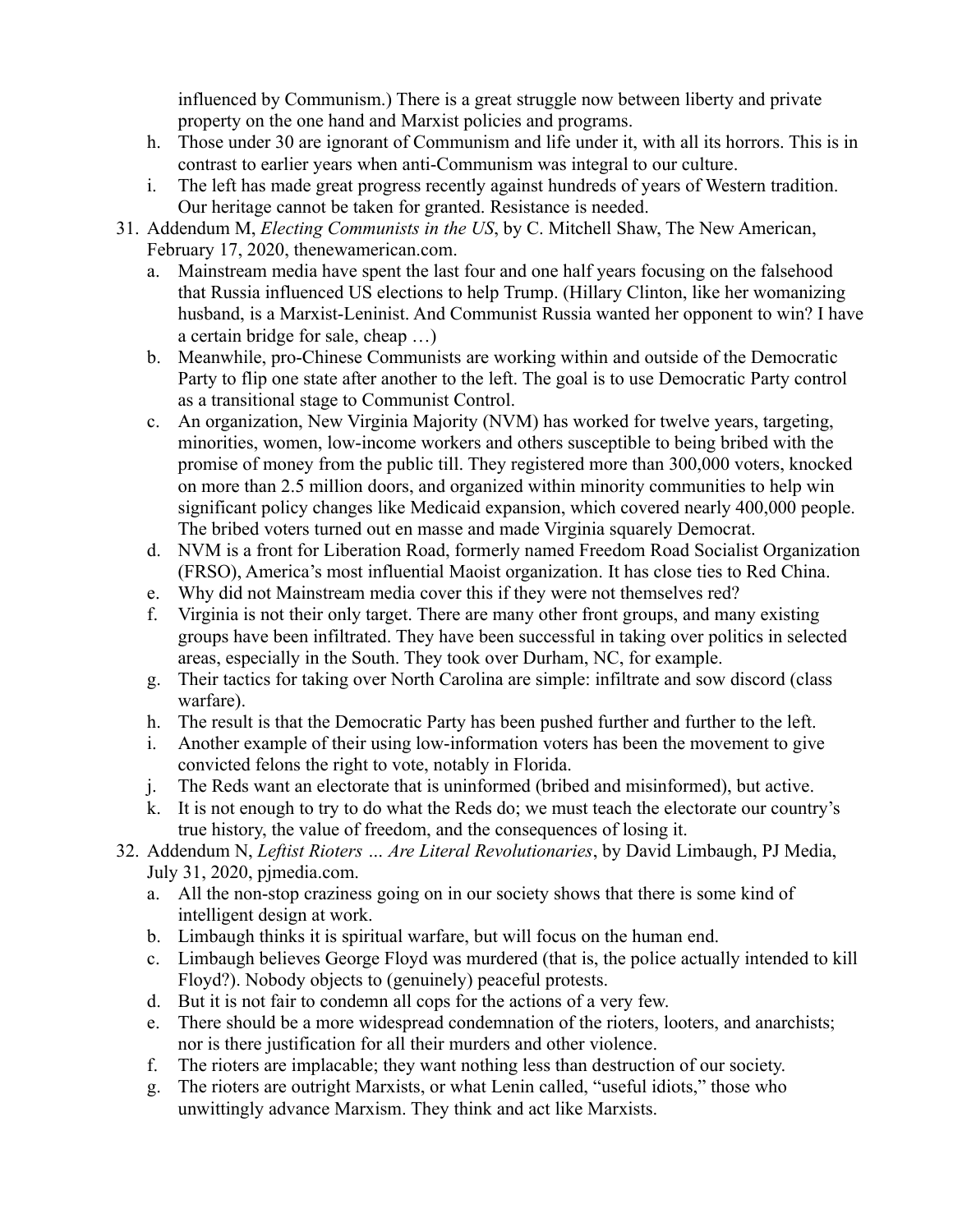influenced by Communism.) There is a great struggle now between liberty and private property on the one hand and Marxist policies and programs.

- h. Those under 30 are ignorant of Communism and life under it, with all its horrors. This is in contrast to earlier years when anti-Communism was integral to our culture.
- i. The left has made great progress recently against hundreds of years of Western tradition. Our heritage cannot be taken for granted. Resistance is needed.
- 31. Addendum M, *Electing Communists in the US*, by C. Mitchell Shaw, The New American, February 17, 2020, thenewamerican.com.
	- a. Mainstream media have spent the last four and one half years focusing on the falsehood that Russia influenced US elections to help Trump. (Hillary Clinton, like her womanizing husband, is a Marxist-Leninist. And Communist Russia wanted her opponent to win? I have a certain bridge for sale, cheap …)
	- b. Meanwhile, pro-Chinese Communists are working within and outside of the Democratic Party to flip one state after another to the left. The goal is to use Democratic Party control as a transitional stage to Communist Control.
	- c. An organization, New Virginia Majority (NVM) has worked for twelve years, targeting, minorities, women, low-income workers and others susceptible to being bribed with the promise of money from the public till. They registered more than 300,000 voters, knocked on more than 2.5 million doors, and organized within minority communities to help win significant policy changes like Medicaid expansion, which covered nearly 400,000 people. The bribed voters turned out en masse and made Virginia squarely Democrat.
	- d. NVM is a front for Liberation Road, formerly named Freedom Road Socialist Organization (FRSO), America's most influential Maoist organization. It has close ties to Red China.
	- e. Why did not Mainstream media cover this if they were not themselves red?
	- f. Virginia is not their only target. There are many other front groups, and many existing groups have been infiltrated. They have been successful in taking over politics in selected areas, especially in the South. They took over Durham, NC, for example.
	- g. Their tactics for taking over North Carolina are simple: infiltrate and sow discord (class warfare).
	- h. The result is that the Democratic Party has been pushed further and further to the left.
	- i. Another example of their using low-information voters has been the movement to give convicted felons the right to vote, notably in Florida.
	- j. The Reds want an electorate that is uninformed (bribed and misinformed), but active.
	- k. It is not enough to try to do what the Reds do; we must teach the electorate our country's true history, the value of freedom, and the consequences of losing it.
- 32. Addendum N, *Leftist Rioters … Are Literal Revolutionaries*, by David Limbaugh, PJ Media, July 31, 2020, pjmedia.com.
	- a. All the non-stop craziness going on in our society shows that there is some kind of intelligent design at work.
	- b. Limbaugh thinks it is spiritual warfare, but will focus on the human end.
	- c. Limbaugh believes George Floyd was murdered (that is, the police actually intended to kill Floyd?). Nobody objects to (genuinely) peaceful protests.
	- d. But it is not fair to condemn all cops for the actions of a very few.
	- e. There should be a more widespread condemnation of the rioters, looters, and anarchists; nor is there justification for all their murders and other violence.
	- f. The rioters are implacable; they want nothing less than destruction of our society.
	- g. The rioters are outright Marxists, or what Lenin called, "useful idiots," those who unwittingly advance Marxism. They think and act like Marxists.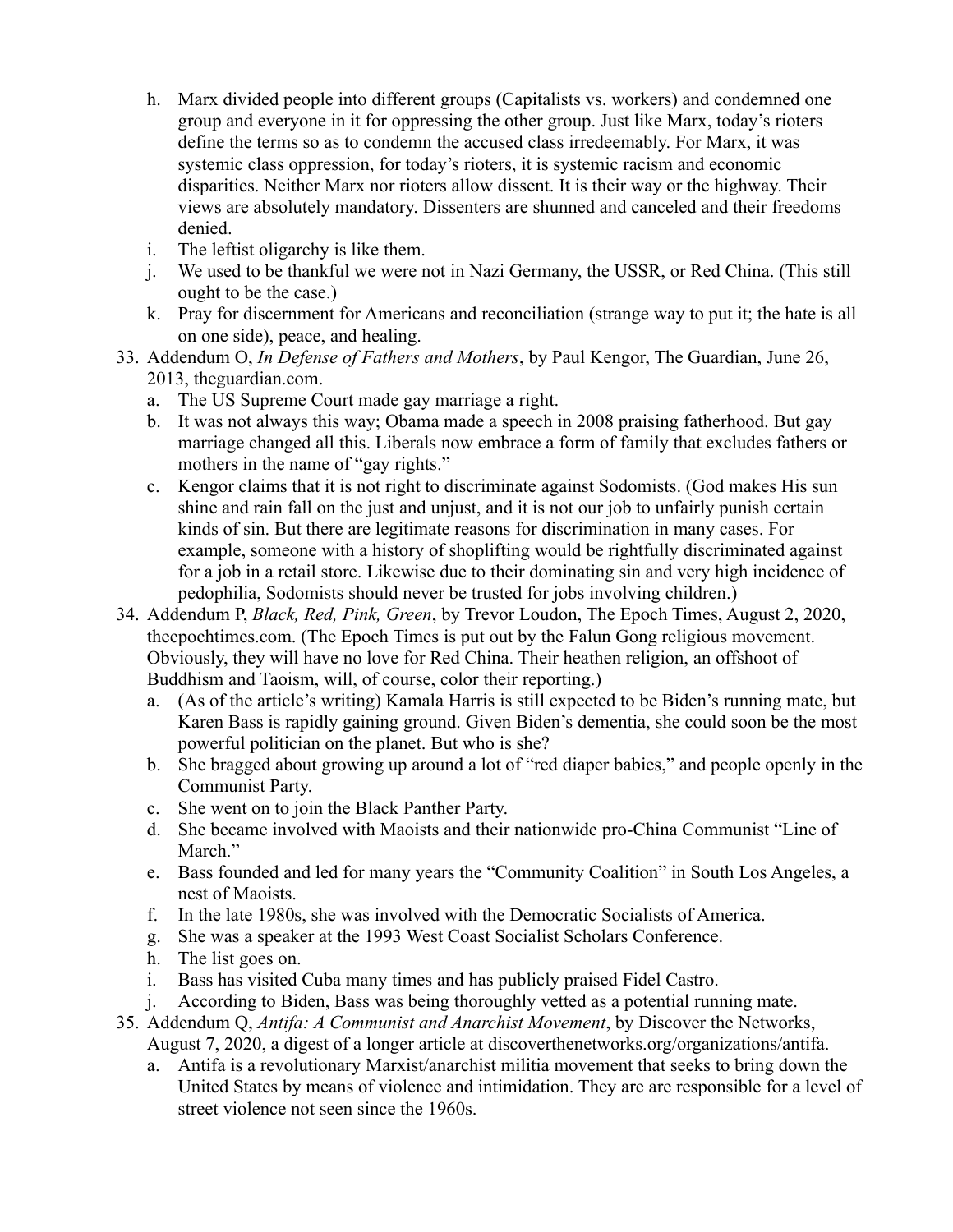- h. Marx divided people into different groups (Capitalists vs. workers) and condemned one group and everyone in it for oppressing the other group. Just like Marx, today's rioters define the terms so as to condemn the accused class irredeemably. For Marx, it was systemic class oppression, for today's rioters, it is systemic racism and economic disparities. Neither Marx nor rioters allow dissent. It is their way or the highway. Their views are absolutely mandatory. Dissenters are shunned and canceled and their freedoms denied.
- i. The leftist oligarchy is like them.
- j. We used to be thankful we were not in Nazi Germany, the USSR, or Red China. (This still ought to be the case.)
- k. Pray for discernment for Americans and reconciliation (strange way to put it; the hate is all on one side), peace, and healing.
- 33. Addendum O, *In Defense of Fathers and Mothers*, by Paul Kengor, The Guardian, June 26, 2013, theguardian.com.
	- a. The US Supreme Court made gay marriage a right.
	- b. It was not always this way; Obama made a speech in 2008 praising fatherhood. But gay marriage changed all this. Liberals now embrace a form of family that excludes fathers or mothers in the name of "gay rights."
	- c. Kengor claims that it is not right to discriminate against Sodomists. (God makes His sun shine and rain fall on the just and unjust, and it is not our job to unfairly punish certain kinds of sin. But there are legitimate reasons for discrimination in many cases. For example, someone with a history of shoplifting would be rightfully discriminated against for a job in a retail store. Likewise due to their dominating sin and very high incidence of pedophilia, Sodomists should never be trusted for jobs involving children.)
- 34. Addendum P, *Black, Red, Pink, Green*, by Trevor Loudon, The Epoch Times, August 2, 2020, theepochtimes.com. (The Epoch Times is put out by the Falun Gong religious movement. Obviously, they will have no love for Red China. Their heathen religion, an offshoot of Buddhism and Taoism, will, of course, color their reporting.)
	- a. (As of the article's writing) Kamala Harris is still expected to be Biden's running mate, but Karen Bass is rapidly gaining ground. Given Biden's dementia, she could soon be the most powerful politician on the planet. But who is she?
	- b. She bragged about growing up around a lot of "red diaper babies," and people openly in the Communist Party.
	- c. She went on to join the Black Panther Party.
	- d. She became involved with Maoists and their nationwide pro-China Communist "Line of March."
	- e. Bass founded and led for many years the "Community Coalition" in South Los Angeles, a nest of Maoists.
	- f. In the late 1980s, she was involved with the Democratic Socialists of America.
	- g. She was a speaker at the 1993 West Coast Socialist Scholars Conference.
	- h. The list goes on.
	- i. Bass has visited Cuba many times and has publicly praised Fidel Castro.
	- j. According to Biden, Bass was being thoroughly vetted as a potential running mate.
- 35. Addendum Q, *Antifa: A Communist and Anarchist Movement*, by Discover the Networks, August 7, 2020, a digest of a longer article at discoverthenetworks.org/organizations/antifa.
	- a. Antifa is a revolutionary Marxist/anarchist militia movement that seeks to bring down the United States by means of violence and intimidation. They are are responsible for a level of street violence not seen since the 1960s.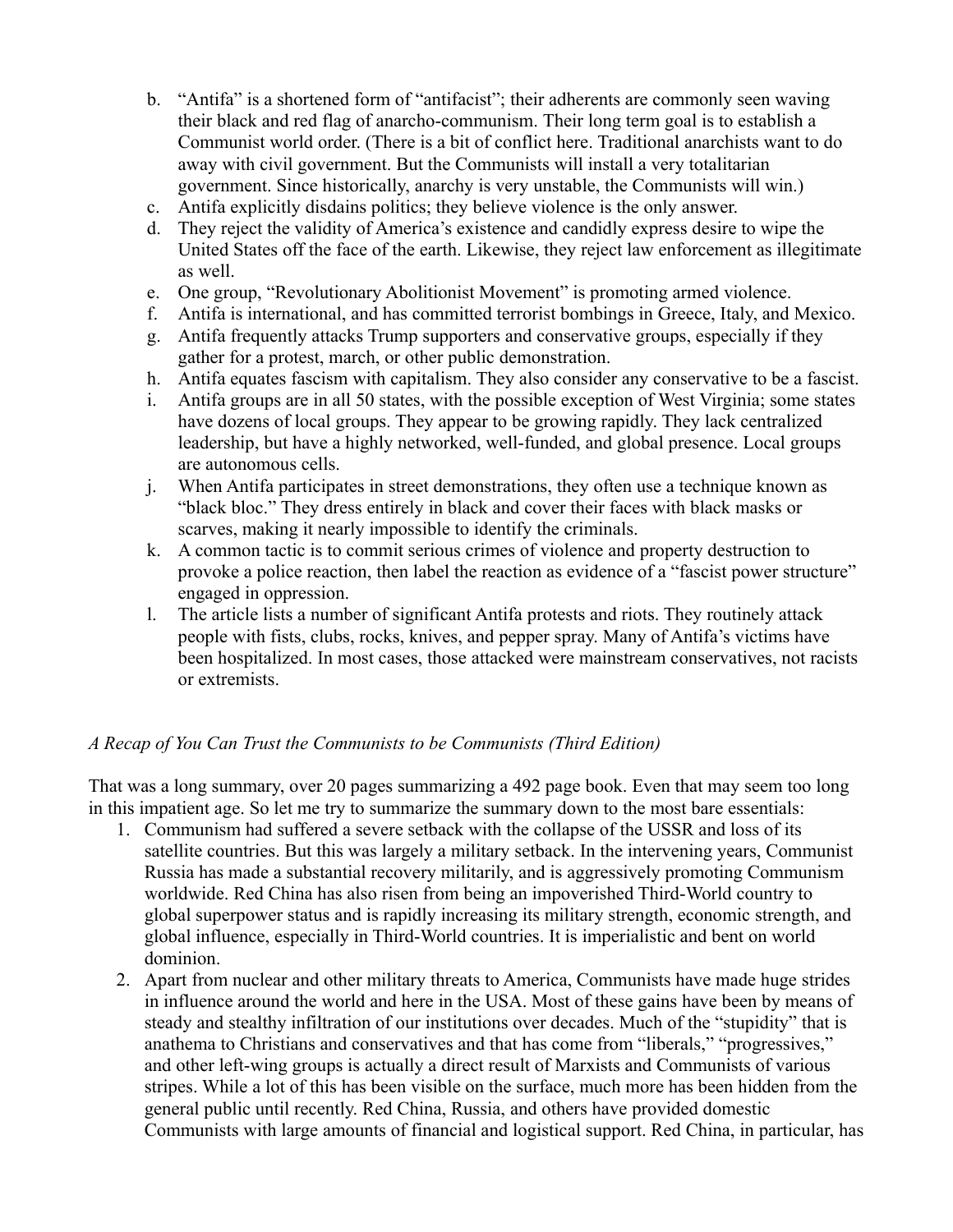- b. "Antifa" is a shortened form of "antifacist"; their adherents are commonly seen waving their black and red flag of anarcho-communism. Their long term goal is to establish a Communist world order. (There is a bit of conflict here. Traditional anarchists want to do away with civil government. But the Communists will install a very totalitarian government. Since historically, anarchy is very unstable, the Communists will win.)
- c. Antifa explicitly disdains politics; they believe violence is the only answer.
- d. They reject the validity of America's existence and candidly express desire to wipe the United States off the face of the earth. Likewise, they reject law enforcement as illegitimate as well.
- e. One group, "Revolutionary Abolitionist Movement" is promoting armed violence.
- f. Antifa is international, and has committed terrorist bombings in Greece, Italy, and Mexico.
- g. Antifa frequently attacks Trump supporters and conservative groups, especially if they gather for a protest, march, or other public demonstration.
- h. Antifa equates fascism with capitalism. They also consider any conservative to be a fascist.
- i. Antifa groups are in all 50 states, with the possible exception of West Virginia; some states have dozens of local groups. They appear to be growing rapidly. They lack centralized leadership, but have a highly networked, well-funded, and global presence. Local groups are autonomous cells.
- j. When Antifa participates in street demonstrations, they often use a technique known as "black bloc." They dress entirely in black and cover their faces with black masks or scarves, making it nearly impossible to identify the criminals.
- k. A common tactic is to commit serious crimes of violence and property destruction to provoke a police reaction, then label the reaction as evidence of a "fascist power structure" engaged in oppression.
- l. The article lists a number of significant Antifa protests and riots. They routinely attack people with fists, clubs, rocks, knives, and pepper spray. Many of Antifa's victims have been hospitalized. In most cases, those attacked were mainstream conservatives, not racists or extremists.

# <span id="page-24-0"></span>*A Recap of You Can Trust the Communists to be Communists (Third Edition)*

That was a long summary, over 20 pages summarizing a 492 page book. Even that may seem too long in this impatient age. So let me try to summarize the summary down to the most bare essentials:

- 1. Communism had suffered a severe setback with the collapse of the USSR and loss of its satellite countries. But this was largely a military setback. In the intervening years, Communist Russia has made a substantial recovery militarily, and is aggressively promoting Communism worldwide. Red China has also risen from being an impoverished Third-World country to global superpower status and is rapidly increasing its military strength, economic strength, and global influence, especially in Third-World countries. It is imperialistic and bent on world dominion.
- 2. Apart from nuclear and other military threats to America, Communists have made huge strides in influence around the world and here in the USA. Most of these gains have been by means of steady and stealthy infiltration of our institutions over decades. Much of the "stupidity" that is anathema to Christians and conservatives and that has come from "liberals," "progressives," and other left-wing groups is actually a direct result of Marxists and Communists of various stripes. While a lot of this has been visible on the surface, much more has been hidden from the general public until recently. Red China, Russia, and others have provided domestic Communists with large amounts of financial and logistical support. Red China, in particular, has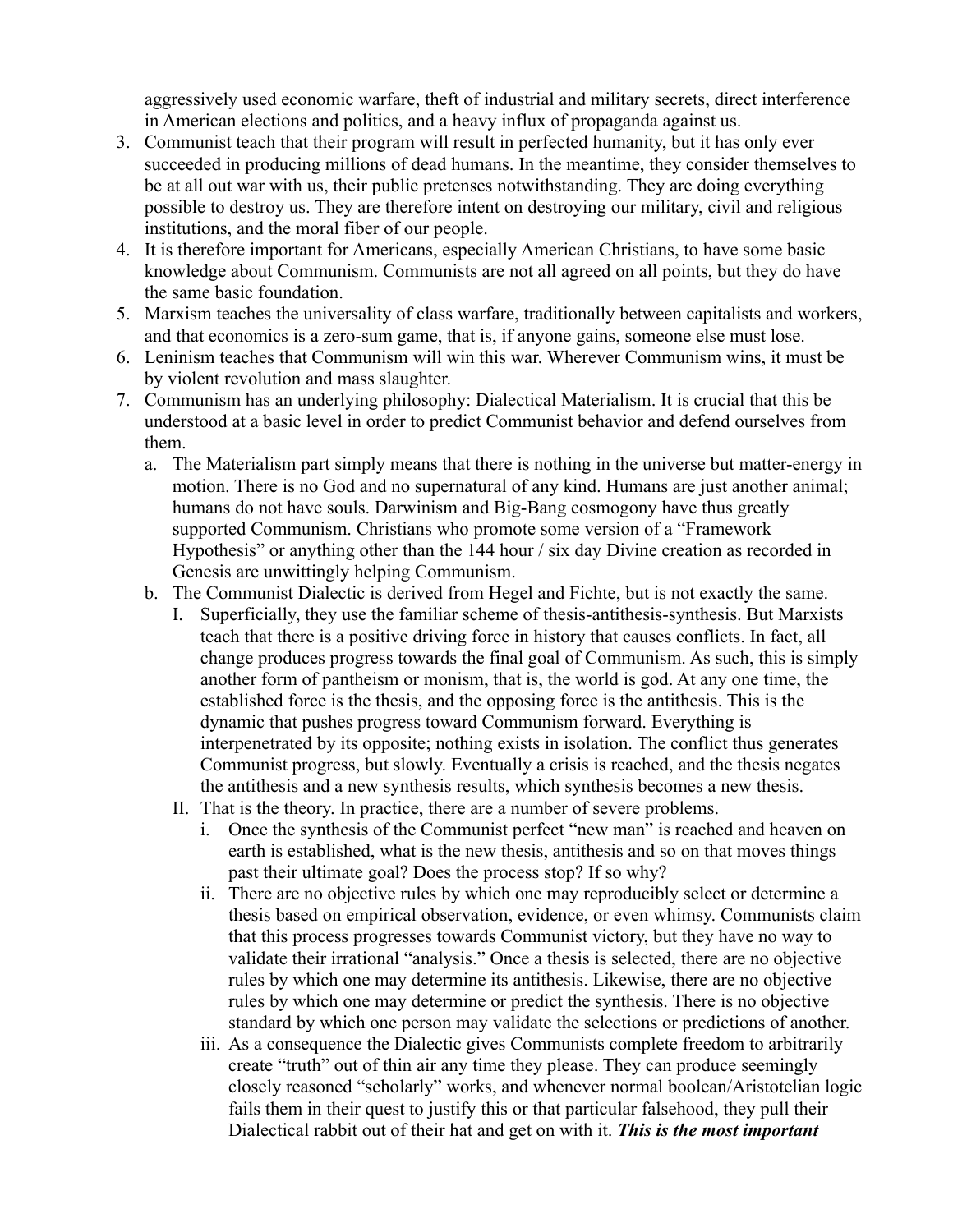aggressively used economic warfare, theft of industrial and military secrets, direct interference in American elections and politics, and a heavy influx of propaganda against us.

- 3. Communist teach that their program will result in perfected humanity, but it has only ever succeeded in producing millions of dead humans. In the meantime, they consider themselves to be at all out war with us, their public pretenses notwithstanding. They are doing everything possible to destroy us. They are therefore intent on destroying our military, civil and religious institutions, and the moral fiber of our people.
- 4. It is therefore important for Americans, especially American Christians, to have some basic knowledge about Communism. Communists are not all agreed on all points, but they do have the same basic foundation.
- 5. Marxism teaches the universality of class warfare, traditionally between capitalists and workers, and that economics is a zero-sum game, that is, if anyone gains, someone else must lose.
- 6. Leninism teaches that Communism will win this war. Wherever Communism wins, it must be by violent revolution and mass slaughter.
- 7. Communism has an underlying philosophy: Dialectical Materialism. It is crucial that this be understood at a basic level in order to predict Communist behavior and defend ourselves from them.
	- a. The Materialism part simply means that there is nothing in the universe but matter-energy in motion. There is no God and no supernatural of any kind. Humans are just another animal; humans do not have souls. Darwinism and Big-Bang cosmogony have thus greatly supported Communism. Christians who promote some version of a "Framework Hypothesis" or anything other than the 144 hour / six day Divine creation as recorded in Genesis are unwittingly helping Communism.
	- b. The Communist Dialectic is derived from Hegel and Fichte, but is not exactly the same.
		- I. Superficially, they use the familiar scheme of thesis-antithesis-synthesis. But Marxists teach that there is a positive driving force in history that causes conflicts. In fact, all change produces progress towards the final goal of Communism. As such, this is simply another form of pantheism or monism, that is, the world is god. At any one time, the established force is the thesis, and the opposing force is the antithesis. This is the dynamic that pushes progress toward Communism forward. Everything is interpenetrated by its opposite; nothing exists in isolation. The conflict thus generates Communist progress, but slowly. Eventually a crisis is reached, and the thesis negates the antithesis and a new synthesis results, which synthesis becomes a new thesis.
		- II. That is the theory. In practice, there are a number of severe problems.
			- i. Once the synthesis of the Communist perfect "new man" is reached and heaven on earth is established, what is the new thesis, antithesis and so on that moves things past their ultimate goal? Does the process stop? If so why?
			- ii. There are no objective rules by which one may reproducibly select or determine a thesis based on empirical observation, evidence, or even whimsy. Communists claim that this process progresses towards Communist victory, but they have no way to validate their irrational "analysis." Once a thesis is selected, there are no objective rules by which one may determine its antithesis. Likewise, there are no objective rules by which one may determine or predict the synthesis. There is no objective standard by which one person may validate the selections or predictions of another.
			- iii. As a consequence the Dialectic gives Communists complete freedom to arbitrarily create "truth" out of thin air any time they please. They can produce seemingly closely reasoned "scholarly" works, and whenever normal boolean/Aristotelian logic fails them in their quest to justify this or that particular falsehood, they pull their Dialectical rabbit out of their hat and get on with it. *This is the most important*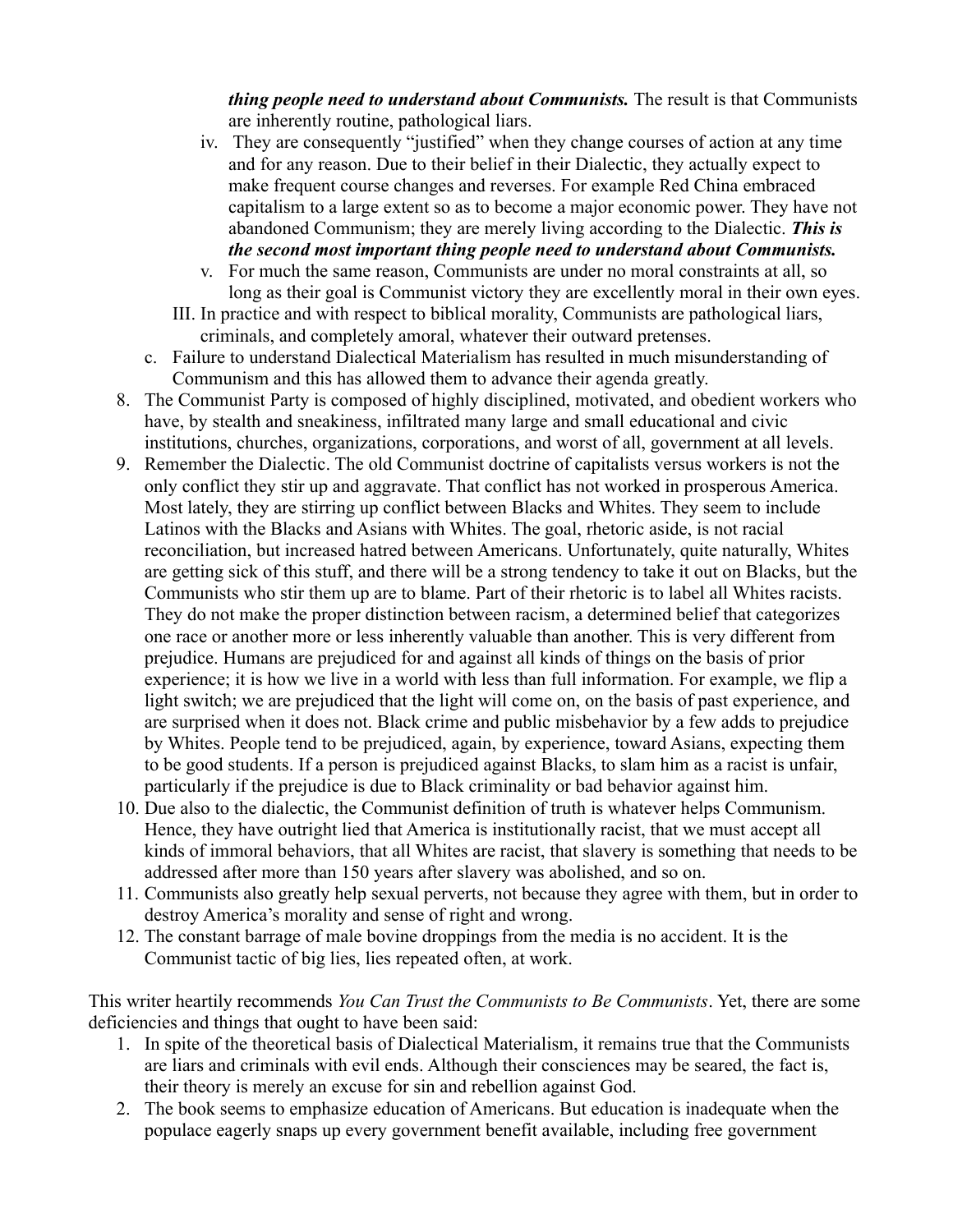*thing people need to understand about Communists.* The result is that Communists are inherently routine, pathological liars.

- iv. They are consequently "justified" when they change courses of action at any time and for any reason. Due to their belief in their Dialectic, they actually expect to make frequent course changes and reverses. For example Red China embraced capitalism to a large extent so as to become a major economic power. They have not abandoned Communism; they are merely living according to the Dialectic. *This is the second most important thing people need to understand about Communists.*
- v. For much the same reason, Communists are under no moral constraints at all, so long as their goal is Communist victory they are excellently moral in their own eyes.
- III. In practice and with respect to biblical morality, Communists are pathological liars, criminals, and completely amoral, whatever their outward pretenses.
- c. Failure to understand Dialectical Materialism has resulted in much misunderstanding of Communism and this has allowed them to advance their agenda greatly.
- 8. The Communist Party is composed of highly disciplined, motivated, and obedient workers who have, by stealth and sneakiness, infiltrated many large and small educational and civic institutions, churches, organizations, corporations, and worst of all, government at all levels.
- 9. Remember the Dialectic. The old Communist doctrine of capitalists versus workers is not the only conflict they stir up and aggravate. That conflict has not worked in prosperous America. Most lately, they are stirring up conflict between Blacks and Whites. They seem to include Latinos with the Blacks and Asians with Whites. The goal, rhetoric aside, is not racial reconciliation, but increased hatred between Americans. Unfortunately, quite naturally, Whites are getting sick of this stuff, and there will be a strong tendency to take it out on Blacks, but the Communists who stir them up are to blame. Part of their rhetoric is to label all Whites racists. They do not make the proper distinction between racism, a determined belief that categorizes one race or another more or less inherently valuable than another. This is very different from prejudice. Humans are prejudiced for and against all kinds of things on the basis of prior experience; it is how we live in a world with less than full information. For example, we flip a light switch; we are prejudiced that the light will come on, on the basis of past experience, and are surprised when it does not. Black crime and public misbehavior by a few adds to prejudice by Whites. People tend to be prejudiced, again, by experience, toward Asians, expecting them to be good students. If a person is prejudiced against Blacks, to slam him as a racist is unfair, particularly if the prejudice is due to Black criminality or bad behavior against him.
- 10. Due also to the dialectic, the Communist definition of truth is whatever helps Communism. Hence, they have outright lied that America is institutionally racist, that we must accept all kinds of immoral behaviors, that all Whites are racist, that slavery is something that needs to be addressed after more than 150 years after slavery was abolished, and so on.
- 11. Communists also greatly help sexual perverts, not because they agree with them, but in order to destroy America's morality and sense of right and wrong.
- 12. The constant barrage of male bovine droppings from the media is no accident. It is the Communist tactic of big lies, lies repeated often, at work.

This writer heartily recommends *You Can Trust the Communists to Be Communists*. Yet, there are some deficiencies and things that ought to have been said:

- 1. In spite of the theoretical basis of Dialectical Materialism, it remains true that the Communists are liars and criminals with evil ends. Although their consciences may be seared, the fact is, their theory is merely an excuse for sin and rebellion against God.
- 2. The book seems to emphasize education of Americans. But education is inadequate when the populace eagerly snaps up every government benefit available, including free government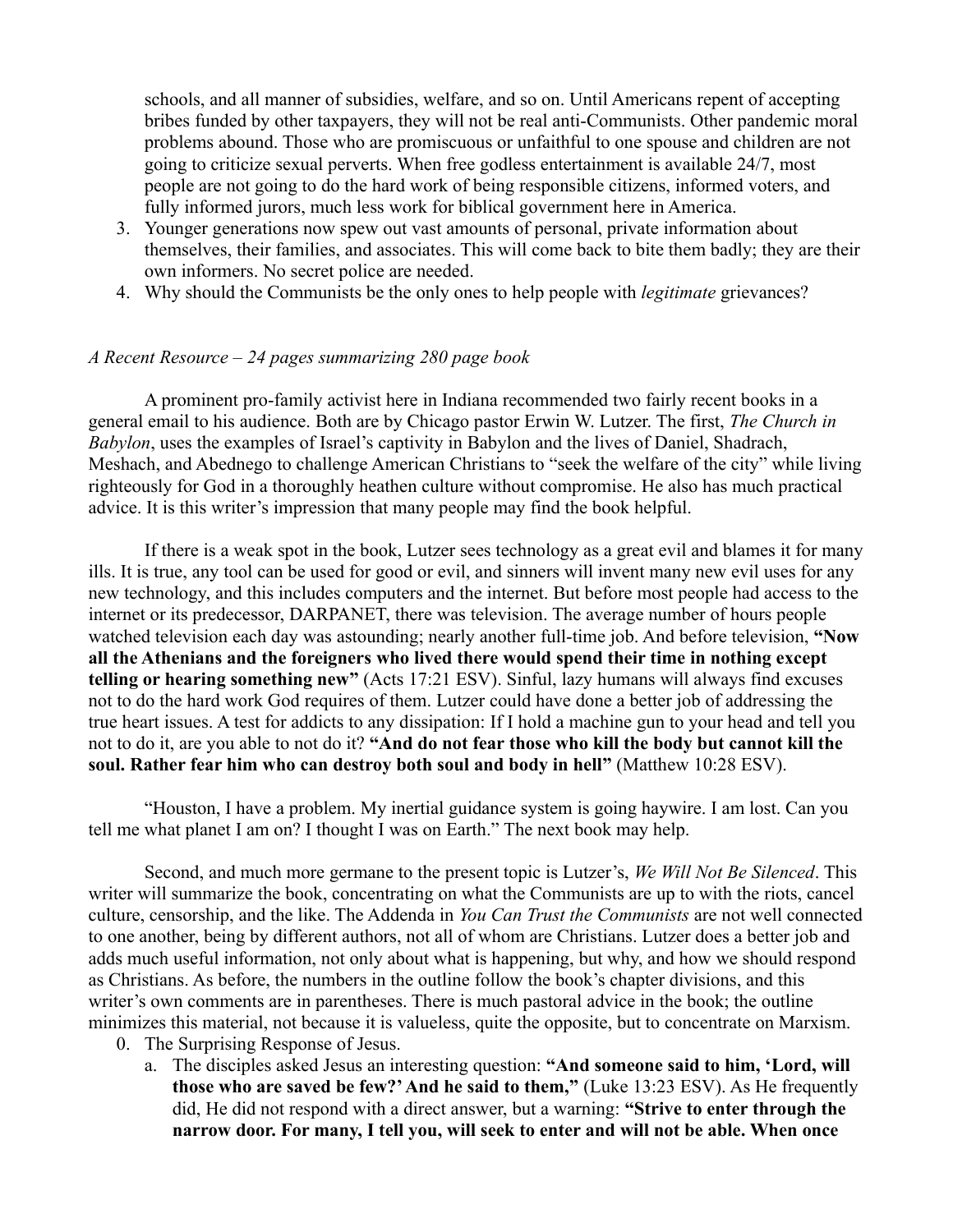schools, and all manner of subsidies, welfare, and so on. Until Americans repent of accepting bribes funded by other taxpayers, they will not be real anti-Communists. Other pandemic moral problems abound. Those who are promiscuous or unfaithful to one spouse and children are not going to criticize sexual perverts. When free godless entertainment is available 24/7, most people are not going to do the hard work of being responsible citizens, informed voters, and fully informed jurors, much less work for biblical government here in America.

- 3. Younger generations now spew out vast amounts of personal, private information about themselves, their families, and associates. This will come back to bite them badly; they are their own informers. No secret police are needed.
- 4. Why should the Communists be the only ones to help people with *legitimate* grievances?

#### <span id="page-27-0"></span>*A Recent Resource – 24 pages summarizing 280 page book*

A prominent pro-family activist here in Indiana recommended two fairly recent books in a general email to his audience. Both are by Chicago pastor Erwin W. Lutzer. The first, *The Church in Babylon*, uses the examples of Israel's captivity in Babylon and the lives of Daniel, Shadrach, Meshach, and Abednego to challenge American Christians to "seek the welfare of the city" while living righteously for God in a thoroughly heathen culture without compromise. He also has much practical advice. It is this writer's impression that many people may find the book helpful.

If there is a weak spot in the book, Lutzer sees technology as a great evil and blames it for many ills. It is true, any tool can be used for good or evil, and sinners will invent many new evil uses for any new technology, and this includes computers and the internet. But before most people had access to the internet or its predecessor, DARPANET, there was television. The average number of hours people watched television each day was astounding; nearly another full-time job. And before television, **"Now all the Athenians and the foreigners who lived there would spend their time in nothing except telling or hearing something new"** (Acts 17:21 ESV). Sinful, lazy humans will always find excuses not to do the hard work God requires of them. Lutzer could have done a better job of addressing the true heart issues. A test for addicts to any dissipation: If I hold a machine gun to your head and tell you not to do it, are you able to not do it? **"And do not fear those who kill the body but cannot kill the soul. Rather fear him who can destroy both soul and body in hell"** (Matthew 10:28 ESV).

"Houston, I have a problem. My inertial guidance system is going haywire. I am lost. Can you tell me what planet I am on? I thought I was on Earth." The next book may help.

Second, and much more germane to the present topic is Lutzer's, *We Will Not Be Silenced*. This writer will summarize the book, concentrating on what the Communists are up to with the riots, cancel culture, censorship, and the like. The Addenda in *You Can Trust the Communists* are not well connected to one another, being by different authors, not all of whom are Christians. Lutzer does a better job and adds much useful information, not only about what is happening, but why, and how we should respond as Christians. As before, the numbers in the outline follow the book's chapter divisions, and this writer's own comments are in parentheses. There is much pastoral advice in the book; the outline minimizes this material, not because it is valueless, quite the opposite, but to concentrate on Marxism.

- 0. The Surprising Response of Jesus.
	- a. The disciples asked Jesus an interesting question: **"And someone said to him, 'Lord, will those who are saved be few?' And he said to them,"** (Luke 13:23 ESV). As He frequently did, He did not respond with a direct answer, but a warning: **"Strive to enter through the narrow door. For many, I tell you, will seek to enter and will not be able. When once**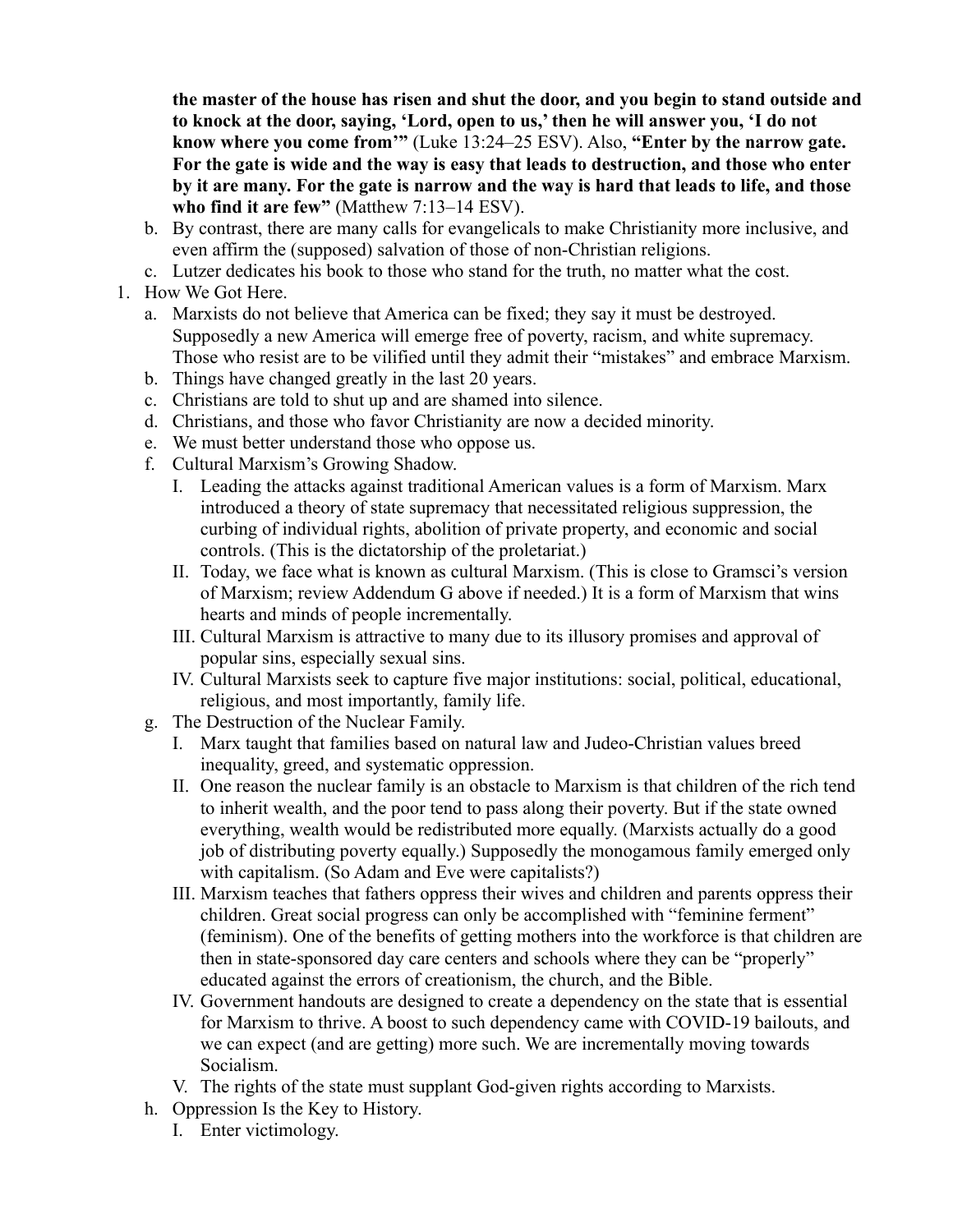**the master of the house has risen and shut the door, and you begin to stand outside and to knock at the door, saying, 'Lord, open to us,' then he will answer you, 'I do not know where you come from'"** (Luke 13:24–25 ESV). Also, **"Enter by the narrow gate. For the gate is wide and the way is easy that leads to destruction, and those who enter by it are many. For the gate is narrow and the way is hard that leads to life, and those who find it are few"** (Matthew 7:13–14 ESV).

- b. By contrast, there are many calls for evangelicals to make Christianity more inclusive, and even affirm the (supposed) salvation of those of non-Christian religions.
- c. Lutzer dedicates his book to those who stand for the truth, no matter what the cost.
- 1. How We Got Here.
	- a. Marxists do not believe that America can be fixed; they say it must be destroyed. Supposedly a new America will emerge free of poverty, racism, and white supremacy. Those who resist are to be vilified until they admit their "mistakes" and embrace Marxism.
	- b. Things have changed greatly in the last 20 years.
	- c. Christians are told to shut up and are shamed into silence.
	- d. Christians, and those who favor Christianity are now a decided minority.
	- e. We must better understand those who oppose us.
	- f. Cultural Marxism's Growing Shadow.
		- I. Leading the attacks against traditional American values is a form of Marxism. Marx introduced a theory of state supremacy that necessitated religious suppression, the curbing of individual rights, abolition of private property, and economic and social controls. (This is the dictatorship of the proletariat.)
		- II. Today, we face what is known as cultural Marxism. (This is close to Gramsci's version of Marxism; review Addendum G above if needed.) It is a form of Marxism that wins hearts and minds of people incrementally.
		- III. Cultural Marxism is attractive to many due to its illusory promises and approval of popular sins, especially sexual sins.
		- IV. Cultural Marxists seek to capture five major institutions: social, political, educational, religious, and most importantly, family life.
	- g. The Destruction of the Nuclear Family.
		- I. Marx taught that families based on natural law and Judeo-Christian values breed inequality, greed, and systematic oppression.
		- II. One reason the nuclear family is an obstacle to Marxism is that children of the rich tend to inherit wealth, and the poor tend to pass along their poverty. But if the state owned everything, wealth would be redistributed more equally. (Marxists actually do a good job of distributing poverty equally.) Supposedly the monogamous family emerged only with capitalism. (So Adam and Eve were capitalists?)
		- III. Marxism teaches that fathers oppress their wives and children and parents oppress their children. Great social progress can only be accomplished with "feminine ferment" (feminism). One of the benefits of getting mothers into the workforce is that children are then in state-sponsored day care centers and schools where they can be "properly" educated against the errors of creationism, the church, and the Bible.
		- IV. Government handouts are designed to create a dependency on the state that is essential for Marxism to thrive. A boost to such dependency came with COVID-19 bailouts, and we can expect (and are getting) more such. We are incrementally moving towards Socialism.
		- V. The rights of the state must supplant God-given rights according to Marxists.
	- h. Oppression Is the Key to History.
		- I. Enter victimology.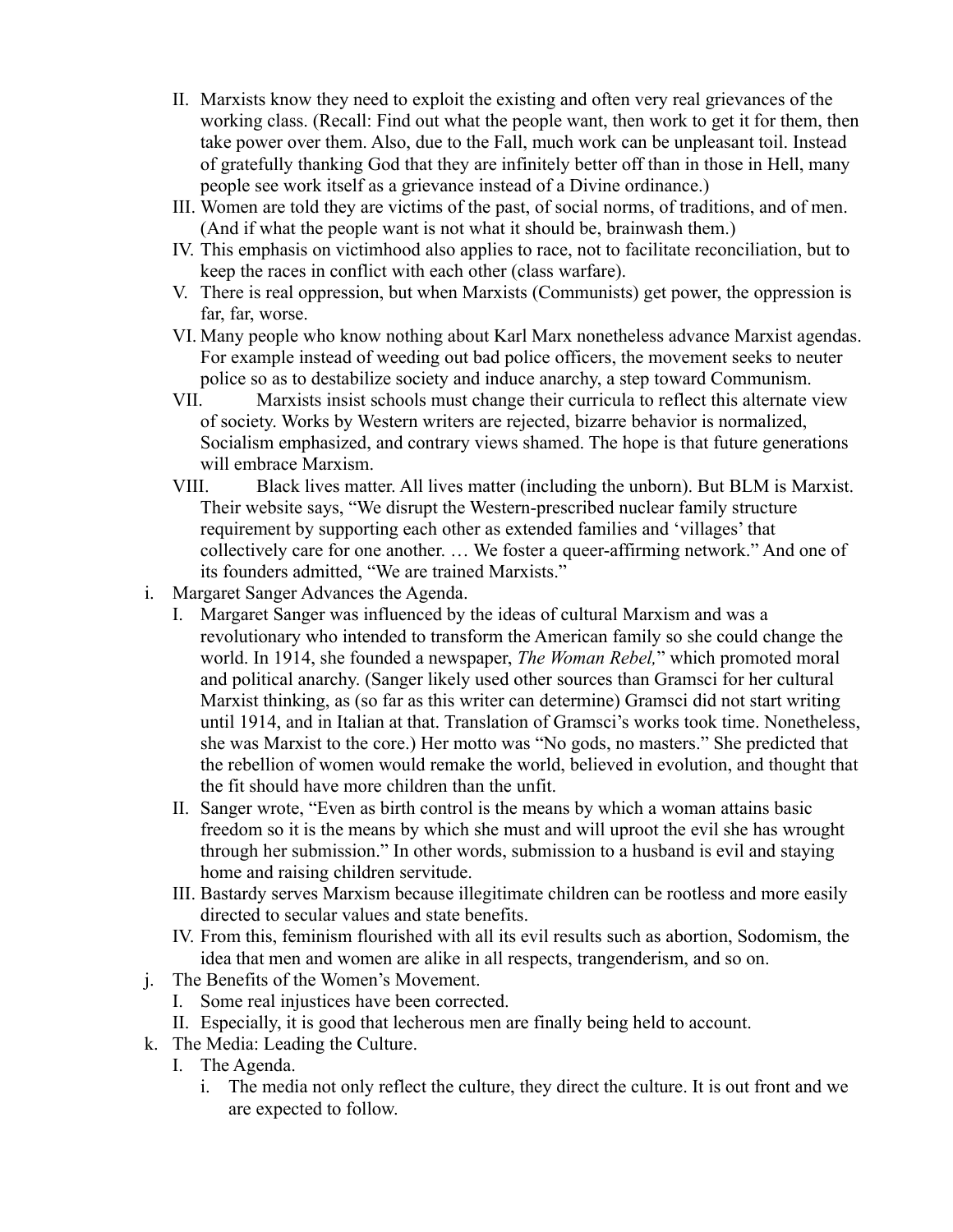- II. Marxists know they need to exploit the existing and often very real grievances of the working class. (Recall: Find out what the people want, then work to get it for them, then take power over them. Also, due to the Fall, much work can be unpleasant toil. Instead of gratefully thanking God that they are infinitely better off than in those in Hell, many people see work itself as a grievance instead of a Divine ordinance.)
- III. Women are told they are victims of the past, of social norms, of traditions, and of men. (And if what the people want is not what it should be, brainwash them.)
- IV. This emphasis on victimhood also applies to race, not to facilitate reconciliation, but to keep the races in conflict with each other (class warfare).
- V. There is real oppression, but when Marxists (Communists) get power, the oppression is far, far, worse.
- VI. Many people who know nothing about Karl Marx nonetheless advance Marxist agendas. For example instead of weeding out bad police officers, the movement seeks to neuter police so as to destabilize society and induce anarchy, a step toward Communism.
- VII. Marxists insist schools must change their curricula to reflect this alternate view of society. Works by Western writers are rejected, bizarre behavior is normalized, Socialism emphasized, and contrary views shamed. The hope is that future generations will embrace Marxism.
- VIII. Black lives matter. All lives matter (including the unborn). But BLM is Marxist. Their website says, "We disrupt the Western-prescribed nuclear family structure requirement by supporting each other as extended families and 'villages' that collectively care for one another. … We foster a queer-affirming network." And one of its founders admitted, "We are trained Marxists."
- i. Margaret Sanger Advances the Agenda.
	- I. Margaret Sanger was influenced by the ideas of cultural Marxism and was a revolutionary who intended to transform the American family so she could change the world. In 1914, she founded a newspaper, *The Woman Rebel,*" which promoted moral and political anarchy. (Sanger likely used other sources than Gramsci for her cultural Marxist thinking, as (so far as this writer can determine) Gramsci did not start writing until 1914, and in Italian at that. Translation of Gramsci's works took time. Nonetheless, she was Marxist to the core.) Her motto was "No gods, no masters." She predicted that the rebellion of women would remake the world, believed in evolution, and thought that the fit should have more children than the unfit.
	- II. Sanger wrote, "Even as birth control is the means by which a woman attains basic freedom so it is the means by which she must and will uproot the evil she has wrought through her submission." In other words, submission to a husband is evil and staying home and raising children servitude.
	- III. Bastardy serves Marxism because illegitimate children can be rootless and more easily directed to secular values and state benefits.
	- IV. From this, feminism flourished with all its evil results such as abortion, Sodomism, the idea that men and women are alike in all respects, trangenderism, and so on.
- j. The Benefits of the Women's Movement.
	- I. Some real injustices have been corrected.
- II. Especially, it is good that lecherous men are finally being held to account.
- k. The Media: Leading the Culture.
	- I. The Agenda.
		- i. The media not only reflect the culture, they direct the culture. It is out front and we are expected to follow.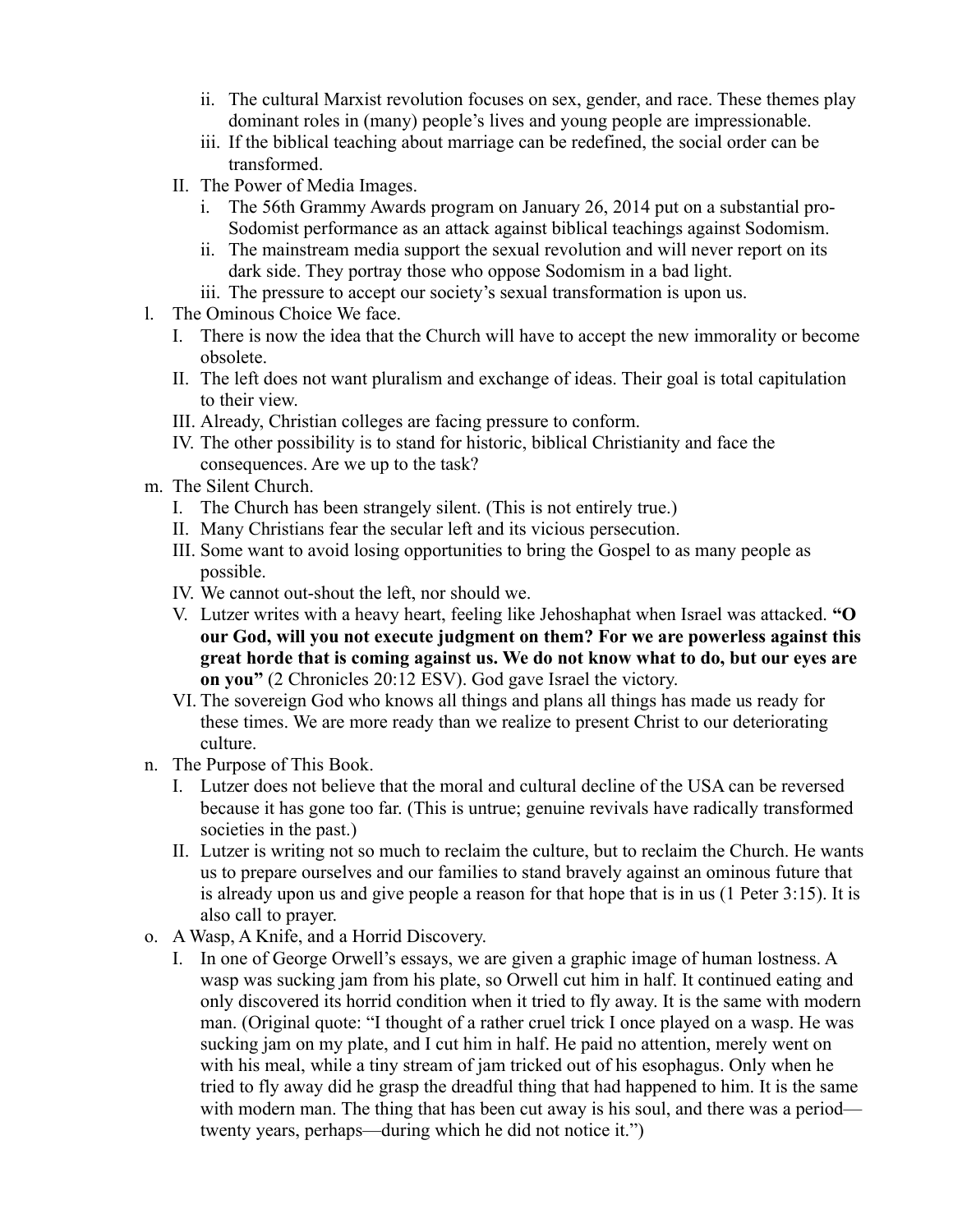- ii. The cultural Marxist revolution focuses on sex, gender, and race. These themes play dominant roles in (many) people's lives and young people are impressionable.
- iii. If the biblical teaching about marriage can be redefined, the social order can be transformed.
- II. The Power of Media Images.
	- i. The 56th Grammy Awards program on January 26, 2014 put on a substantial pro-Sodomist performance as an attack against biblical teachings against Sodomism.
	- ii. The mainstream media support the sexual revolution and will never report on its dark side. They portray those who oppose Sodomism in a bad light.
	- iii. The pressure to accept our society's sexual transformation is upon us.
- l. The Ominous Choice We face.
	- I. There is now the idea that the Church will have to accept the new immorality or become obsolete.
	- II. The left does not want pluralism and exchange of ideas. Their goal is total capitulation to their view.
	- III. Already, Christian colleges are facing pressure to conform.
	- IV. The other possibility is to stand for historic, biblical Christianity and face the consequences. Are we up to the task?
- m. The Silent Church.
	- I. The Church has been strangely silent. (This is not entirely true.)
	- II. Many Christians fear the secular left and its vicious persecution.
	- III. Some want to avoid losing opportunities to bring the Gospel to as many people as possible.
	- IV. We cannot out-shout the left, nor should we.
	- V. Lutzer writes with a heavy heart, feeling like Jehoshaphat when Israel was attacked. **"O our God, will you not execute judgment on them? For we are powerless against this great horde that is coming against us. We do not know what to do, but our eyes are on you"** (2 Chronicles 20:12 ESV). God gave Israel the victory.
	- VI. The sovereign God who knows all things and plans all things has made us ready for these times. We are more ready than we realize to present Christ to our deteriorating culture.
- n. The Purpose of This Book.
	- I. Lutzer does not believe that the moral and cultural decline of the USA can be reversed because it has gone too far. (This is untrue; genuine revivals have radically transformed societies in the past.)
	- II. Lutzer is writing not so much to reclaim the culture, but to reclaim the Church. He wants us to prepare ourselves and our families to stand bravely against an ominous future that is already upon us and give people a reason for that hope that is in us (1 Peter 3:15). It is also call to prayer.
- o. A Wasp, A Knife, and a Horrid Discovery.
	- I. In one of George Orwell's essays, we are given a graphic image of human lostness. A wasp was sucking jam from his plate, so Orwell cut him in half. It continued eating and only discovered its horrid condition when it tried to fly away. It is the same with modern man. (Original quote: "I thought of a rather cruel trick I once played on a wasp. He was sucking jam on my plate, and I cut him in half. He paid no attention, merely went on with his meal, while a tiny stream of jam tricked out of his esophagus. Only when he tried to fly away did he grasp the dreadful thing that had happened to him. It is the same with modern man. The thing that has been cut away is his soul, and there was a period twenty years, perhaps—during which he did not notice it.")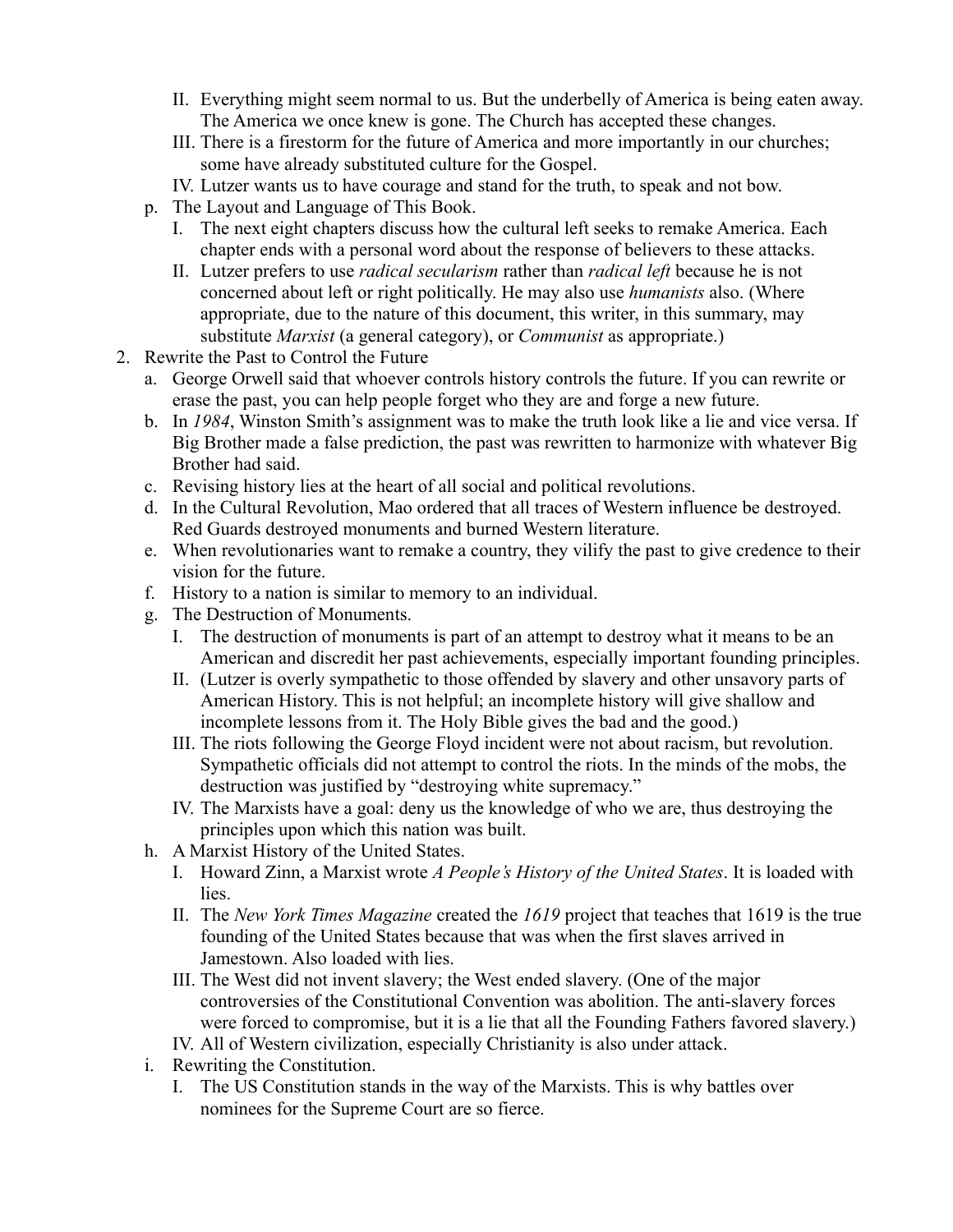- II. Everything might seem normal to us. But the underbelly of America is being eaten away. The America we once knew is gone. The Church has accepted these changes.
- III. There is a firestorm for the future of America and more importantly in our churches; some have already substituted culture for the Gospel.
- IV. Lutzer wants us to have courage and stand for the truth, to speak and not bow.
- p. The Layout and Language of This Book.
	- I. The next eight chapters discuss how the cultural left seeks to remake America. Each chapter ends with a personal word about the response of believers to these attacks.
	- II. Lutzer prefers to use *radical secularism* rather than *radical left* because he is not concerned about left or right politically. He may also use *humanists* also. (Where appropriate, due to the nature of this document, this writer, in this summary, may substitute *Marxist* (a general category), or *Communist* as appropriate.)
- 2. Rewrite the Past to Control the Future
	- a. George Orwell said that whoever controls history controls the future. If you can rewrite or erase the past, you can help people forget who they are and forge a new future.
	- b. In *1984*, Winston Smith's assignment was to make the truth look like a lie and vice versa. If Big Brother made a false prediction, the past was rewritten to harmonize with whatever Big Brother had said.
	- c. Revising history lies at the heart of all social and political revolutions.
	- d. In the Cultural Revolution, Mao ordered that all traces of Western influence be destroyed. Red Guards destroyed monuments and burned Western literature.
	- e. When revolutionaries want to remake a country, they vilify the past to give credence to their vision for the future.
	- f. History to a nation is similar to memory to an individual.
	- g. The Destruction of Monuments.
		- I. The destruction of monuments is part of an attempt to destroy what it means to be an American and discredit her past achievements, especially important founding principles.
		- II. (Lutzer is overly sympathetic to those offended by slavery and other unsavory parts of American History. This is not helpful; an incomplete history will give shallow and incomplete lessons from it. The Holy Bible gives the bad and the good.)
		- III. The riots following the George Floyd incident were not about racism, but revolution. Sympathetic officials did not attempt to control the riots. In the minds of the mobs, the destruction was justified by "destroying white supremacy."
		- IV. The Marxists have a goal: deny us the knowledge of who we are, thus destroying the principles upon which this nation was built.
	- h. A Marxist History of the United States.
		- I. Howard Zinn, a Marxist wrote *A People's History of the United States*. It is loaded with lies.
		- II. The *New York Times Magazine* created the *1619* project that teaches that 1619 is the true founding of the United States because that was when the first slaves arrived in Jamestown. Also loaded with lies.
		- III. The West did not invent slavery; the West ended slavery. (One of the major controversies of the Constitutional Convention was abolition. The anti-slavery forces were forced to compromise, but it is a lie that all the Founding Fathers favored slavery.)
		- IV. All of Western civilization, especially Christianity is also under attack.
	- i. Rewriting the Constitution.
		- I. The US Constitution stands in the way of the Marxists. This is why battles over nominees for the Supreme Court are so fierce.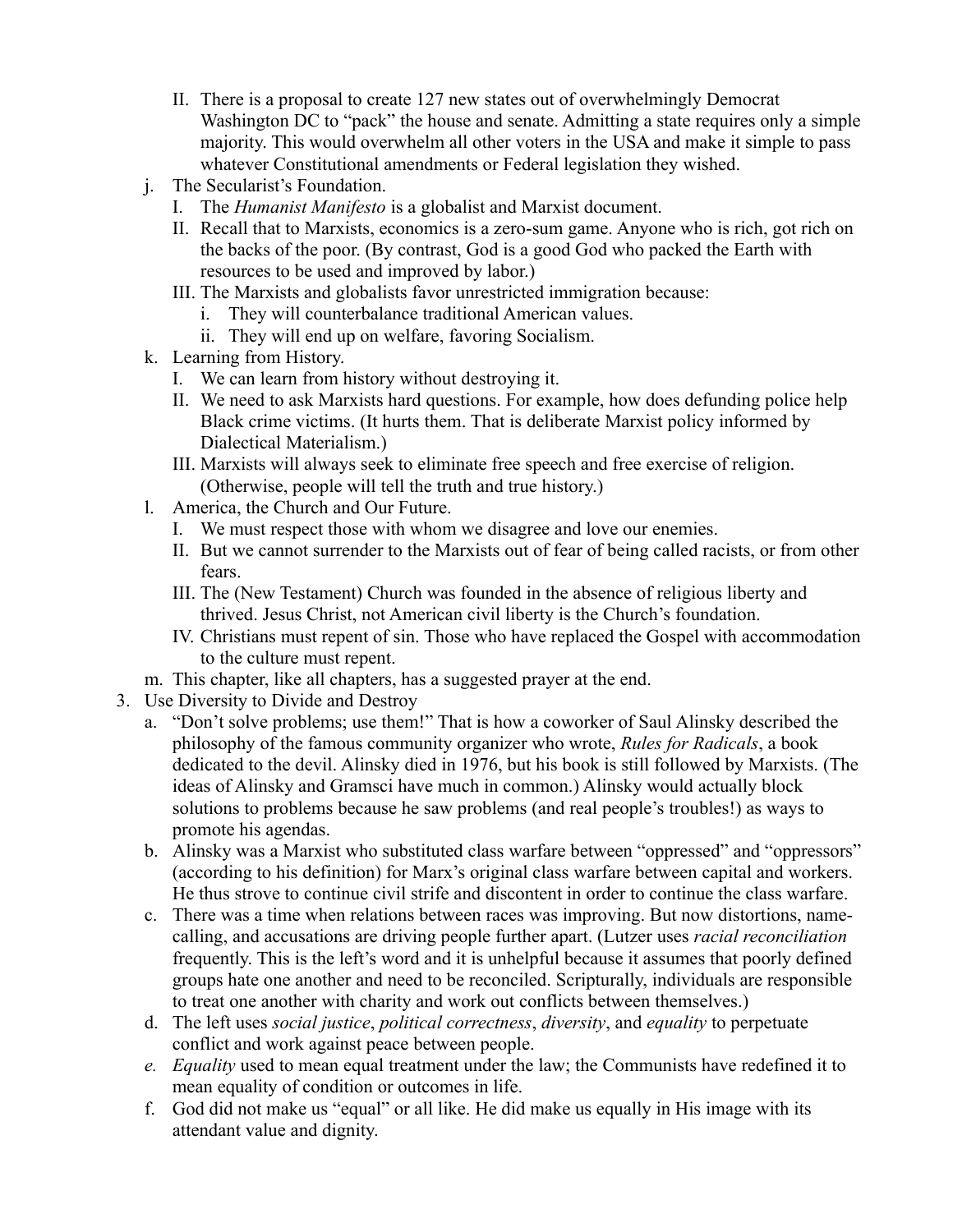- II. There is a proposal to create 127 new states out of overwhelmingly Democrat Washington DC to "pack" the house and senate. Admitting a state requires only a simple majority. This would overwhelm all other voters in the USA and make it simple to pass whatever Constitutional amendments or Federal legislation they wished.
- j. The Secularist's Foundation.
	- I. The *Humanist Manifesto* is a globalist and Marxist document.
	- II. Recall that to Marxists, economics is a zero-sum game. Anyone who is rich, got rich on the backs of the poor. (By contrast, God is a good God who packed the Earth with resources to be used and improved by labor.)
	- III. The Marxists and globalists favor unrestricted immigration because:
		- i. They will counterbalance traditional American values.
		- ii. They will end up on welfare, favoring Socialism.
- k. Learning from History.
	- I. We can learn from history without destroying it.
	- II. We need to ask Marxists hard questions. For example, how does defunding police help Black crime victims. (It hurts them. That is deliberate Marxist policy informed by Dialectical Materialism.)
	- III. Marxists will always seek to eliminate free speech and free exercise of religion. (Otherwise, people will tell the truth and true history.)
- l. America, the Church and Our Future.
	- I. We must respect those with whom we disagree and love our enemies.
	- II. But we cannot surrender to the Marxists out of fear of being called racists, or from other fears.
	- III. The (New Testament) Church was founded in the absence of religious liberty and thrived. Jesus Christ, not American civil liberty is the Church's foundation.
	- IV. Christians must repent of sin. Those who have replaced the Gospel with accommodation to the culture must repent.
- m. This chapter, like all chapters, has a suggested prayer at the end.
- 3. Use Diversity to Divide and Destroy
	- a. "Don't solve problems; use them!" That is how a coworker of Saul Alinsky described the philosophy of the famous community organizer who wrote, *Rules for Radicals*, a book dedicated to the devil. Alinsky died in 1976, but his book is still followed by Marxists. (The ideas of Alinsky and Gramsci have much in common.) Alinsky would actually block solutions to problems because he saw problems (and real people's troubles!) as ways to promote his agendas.
	- b. Alinsky was a Marxist who substituted class warfare between "oppressed" and "oppressors" (according to his definition) for Marx's original class warfare between capital and workers. He thus strove to continue civil strife and discontent in order to continue the class warfare.
	- c. There was a time when relations between races was improving. But now distortions, namecalling, and accusations are driving people further apart. (Lutzer uses *racial reconciliation* frequently. This is the left's word and it is unhelpful because it assumes that poorly defined groups hate one another and need to be reconciled. Scripturally, individuals are responsible to treat one another with charity and work out conflicts between themselves.)
	- d. The left uses *social justice*, *political correctness*, *diversity*, and *equality* to perpetuate conflict and work against peace between people.
	- *e. Equality* used to mean equal treatment under the law; the Communists have redefined it to mean equality of condition or outcomes in life.
	- f. God did not make us "equal" or all like. He did make us equally in His image with its attendant value and dignity.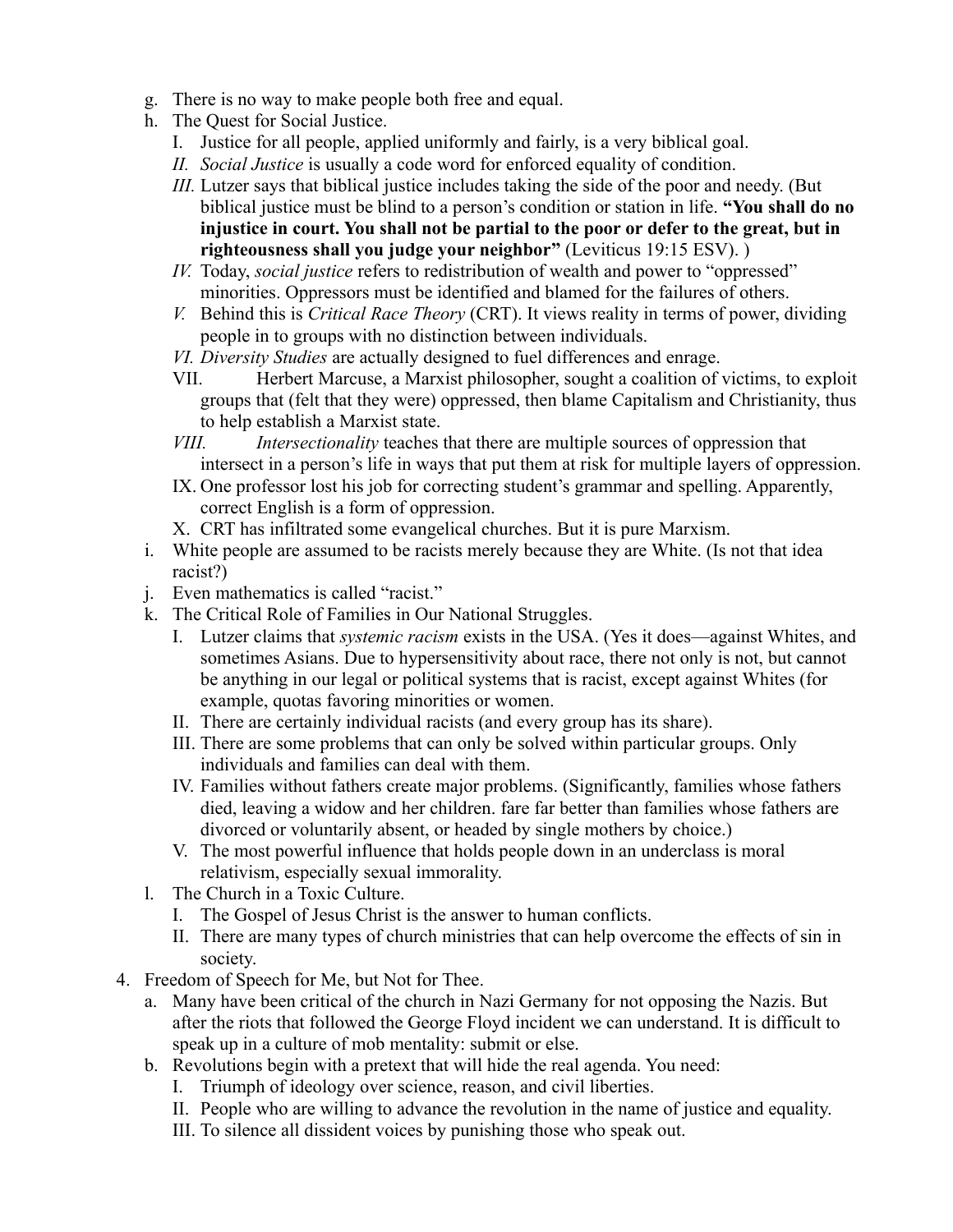- g. There is no way to make people both free and equal.
- h. The Quest for Social Justice.
	- I. Justice for all people, applied uniformly and fairly, is a very biblical goal.
	- *II. Social Justice* is usually a code word for enforced equality of condition.
	- *III.* Lutzer says that biblical justice includes taking the side of the poor and needy. (But biblical justice must be blind to a person's condition or station in life. **"You shall do no injustice in court. You shall not be partial to the poor or defer to the great, but in righteousness shall you judge your neighbor"** (Leviticus 19:15 ESV). )
	- *IV.* Today, *social justice* refers to redistribution of wealth and power to "oppressed" minorities. Oppressors must be identified and blamed for the failures of others.
	- *V.* Behind this is *Critical Race Theory* (CRT). It views reality in terms of power, dividing people in to groups with no distinction between individuals.
	- *VI. Diversity Studies* are actually designed to fuel differences and enrage.
	- VII. Herbert Marcuse, a Marxist philosopher, sought a coalition of victims, to exploit groups that (felt that they were) oppressed, then blame Capitalism and Christianity, thus to help establish a Marxist state.
	- *VIII. Intersectionality* teaches that there are multiple sources of oppression that intersect in a person's life in ways that put them at risk for multiple layers of oppression.
	- IX. One professor lost his job for correcting student's grammar and spelling. Apparently, correct English is a form of oppression.
	- X. CRT has infiltrated some evangelical churches. But it is pure Marxism.
- i. White people are assumed to be racists merely because they are White. (Is not that idea racist?)
- j. Even mathematics is called "racist."
- k. The Critical Role of Families in Our National Struggles.
	- I. Lutzer claims that *systemic racism* exists in the USA. (Yes it does—against Whites, and sometimes Asians. Due to hypersensitivity about race, there not only is not, but cannot be anything in our legal or political systems that is racist, except against Whites (for example, quotas favoring minorities or women.
	- II. There are certainly individual racists (and every group has its share).
	- III. There are some problems that can only be solved within particular groups. Only individuals and families can deal with them.
	- IV. Families without fathers create major problems. (Significantly, families whose fathers died, leaving a widow and her children. fare far better than families whose fathers are divorced or voluntarily absent, or headed by single mothers by choice.)
	- V. The most powerful influence that holds people down in an underclass is moral relativism, especially sexual immorality.
- l. The Church in a Toxic Culture.
	- I. The Gospel of Jesus Christ is the answer to human conflicts.
	- II. There are many types of church ministries that can help overcome the effects of sin in society.
- 4. Freedom of Speech for Me, but Not for Thee.
	- a. Many have been critical of the church in Nazi Germany for not opposing the Nazis. But after the riots that followed the George Floyd incident we can understand. It is difficult to speak up in a culture of mob mentality: submit or else.
	- b. Revolutions begin with a pretext that will hide the real agenda. You need:
		- I. Triumph of ideology over science, reason, and civil liberties.
		- II. People who are willing to advance the revolution in the name of justice and equality.
		- III. To silence all dissident voices by punishing those who speak out.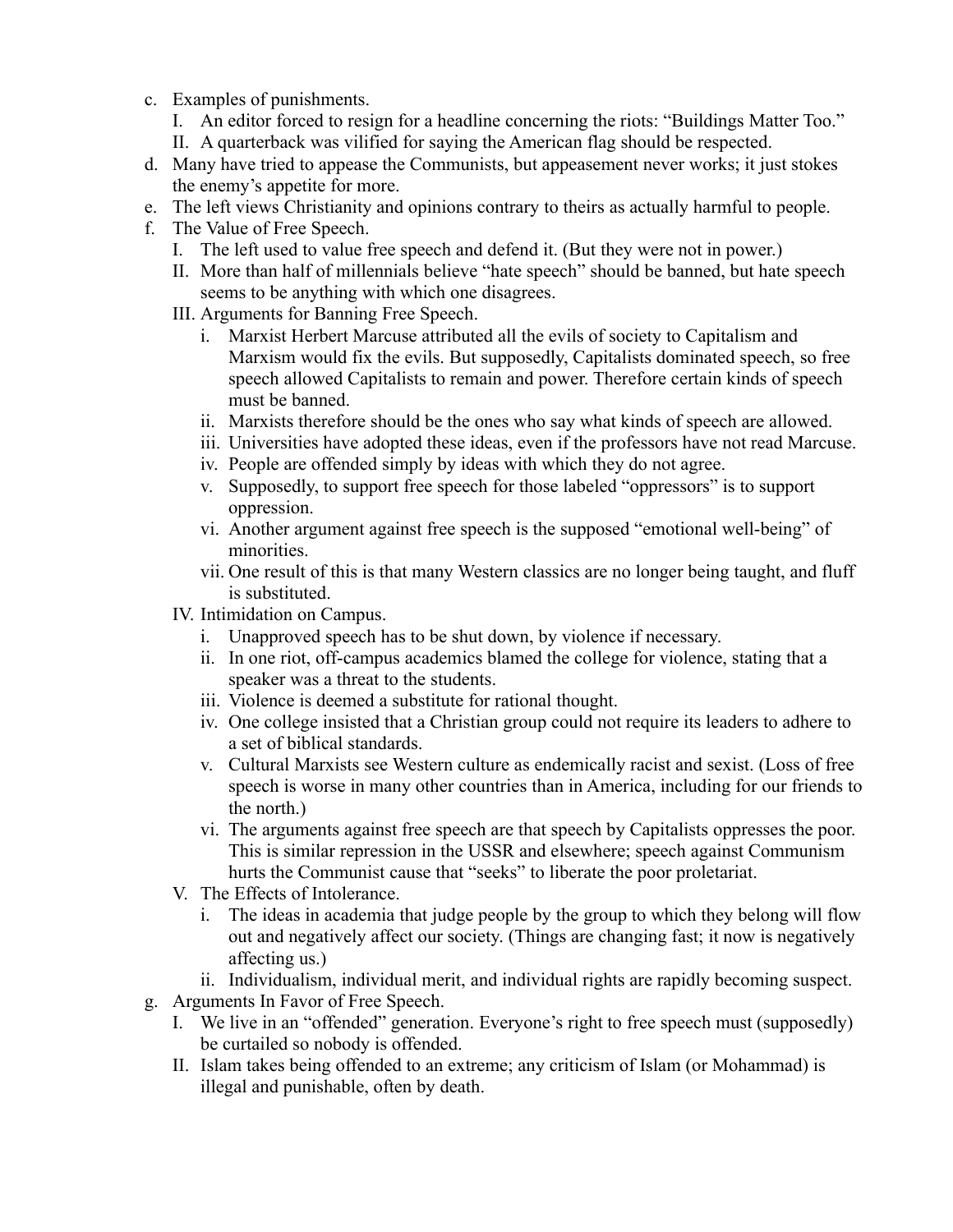- c. Examples of punishments.
	- I. An editor forced to resign for a headline concerning the riots: "Buildings Matter Too."
	- II. A quarterback was vilified for saying the American flag should be respected.
- d. Many have tried to appease the Communists, but appeasement never works; it just stokes the enemy's appetite for more.
- e. The left views Christianity and opinions contrary to theirs as actually harmful to people.
- f. The Value of Free Speech.
	- I. The left used to value free speech and defend it. (But they were not in power.)
	- II. More than half of millennials believe "hate speech" should be banned, but hate speech seems to be anything with which one disagrees.
	- III. Arguments for Banning Free Speech.
		- i. Marxist Herbert Marcuse attributed all the evils of society to Capitalism and Marxism would fix the evils. But supposedly, Capitalists dominated speech, so free speech allowed Capitalists to remain and power. Therefore certain kinds of speech must be banned.
		- ii. Marxists therefore should be the ones who say what kinds of speech are allowed.
		- iii. Universities have adopted these ideas, even if the professors have not read Marcuse.
		- iv. People are offended simply by ideas with which they do not agree.
		- v. Supposedly, to support free speech for those labeled "oppressors" is to support oppression.
		- vi. Another argument against free speech is the supposed "emotional well-being" of minorities.
		- vii. One result of this is that many Western classics are no longer being taught, and fluff is substituted.
	- IV. Intimidation on Campus.
		- i. Unapproved speech has to be shut down, by violence if necessary.
		- ii. In one riot, off-campus academics blamed the college for violence, stating that a speaker was a threat to the students.
		- iii. Violence is deemed a substitute for rational thought.
		- iv. One college insisted that a Christian group could not require its leaders to adhere to a set of biblical standards.
		- v. Cultural Marxists see Western culture as endemically racist and sexist. (Loss of free speech is worse in many other countries than in America, including for our friends to the north.)
		- vi. The arguments against free speech are that speech by Capitalists oppresses the poor. This is similar repression in the USSR and elsewhere; speech against Communism hurts the Communist cause that "seeks" to liberate the poor proletariat.
	- V. The Effects of Intolerance.
		- i. The ideas in academia that judge people by the group to which they belong will flow out and negatively affect our society. (Things are changing fast; it now is negatively affecting us.)
		- ii. Individualism, individual merit, and individual rights are rapidly becoming suspect.
- g. Arguments In Favor of Free Speech.
	- I. We live in an "offended" generation. Everyone's right to free speech must (supposedly) be curtailed so nobody is offended.
	- II. Islam takes being offended to an extreme; any criticism of Islam (or Mohammad) is illegal and punishable, often by death.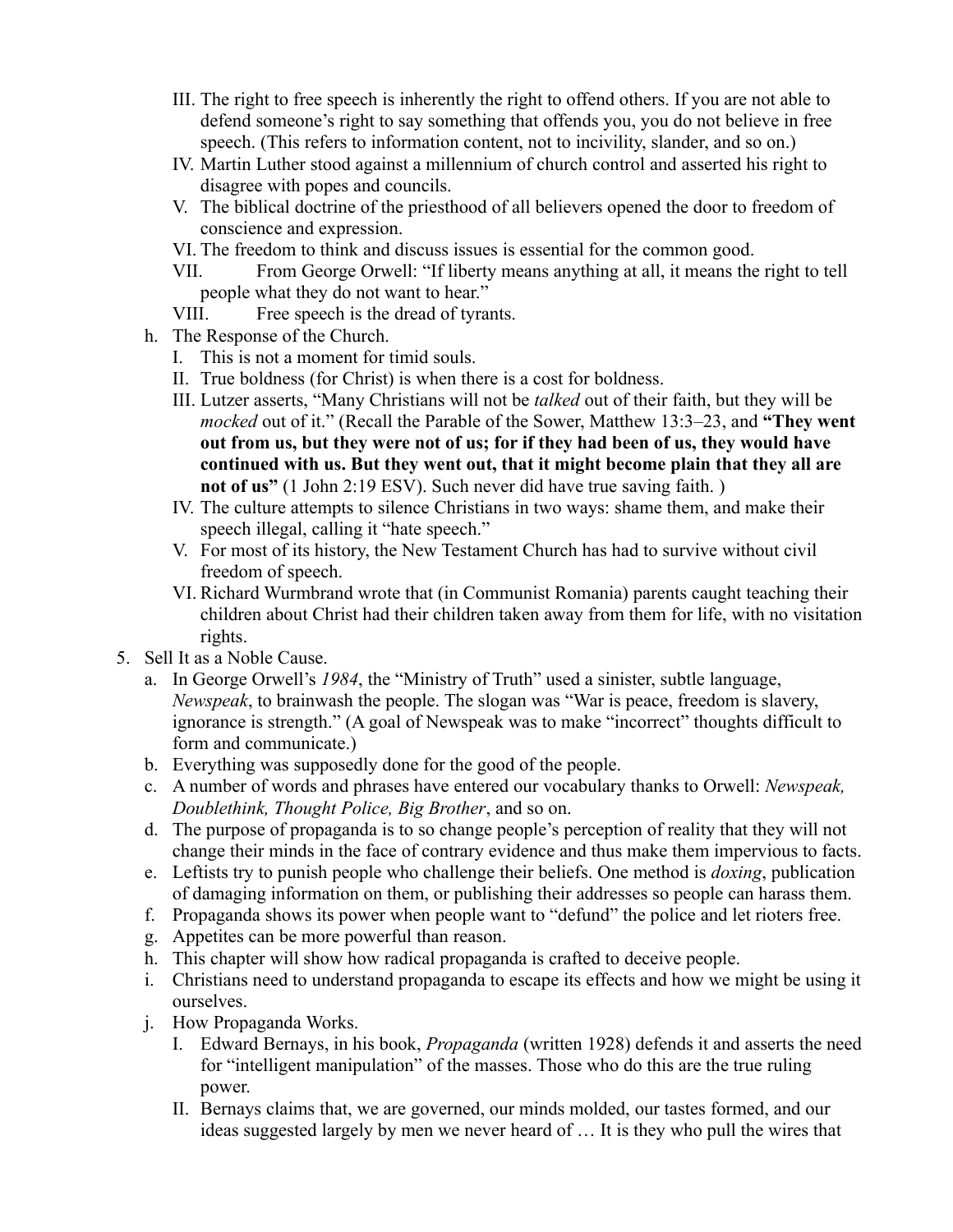- III. The right to free speech is inherently the right to offend others. If you are not able to defend someone's right to say something that offends you, you do not believe in free speech. (This refers to information content, not to incivility, slander, and so on.)
- IV. Martin Luther stood against a millennium of church control and asserted his right to disagree with popes and councils.
- V. The biblical doctrine of the priesthood of all believers opened the door to freedom of conscience and expression.
- VI. The freedom to think and discuss issues is essential for the common good.
- VII. From George Orwell: "If liberty means anything at all, it means the right to tell people what they do not want to hear."
- VIII. Free speech is the dread of tyrants.
- h. The Response of the Church.
	- I. This is not a moment for timid souls.
	- II. True boldness (for Christ) is when there is a cost for boldness.
	- III. Lutzer asserts, "Many Christians will not be *talked* out of their faith, but they will be *mocked* out of it." (Recall the Parable of the Sower, Matthew 13:3–23, and **"They went out from us, but they were not of us; for if they had been of us, they would have continued with us. But they went out, that it might become plain that they all are not of us"** (1 John 2:19 ESV). Such never did have true saving faith. )
	- IV. The culture attempts to silence Christians in two ways: shame them, and make their speech illegal, calling it "hate speech."
	- V. For most of its history, the New Testament Church has had to survive without civil freedom of speech.
	- VI. Richard Wurmbrand wrote that (in Communist Romania) parents caught teaching their children about Christ had their children taken away from them for life, with no visitation rights.
- 5. Sell It as a Noble Cause.
	- a. In George Orwell's *1984*, the "Ministry of Truth" used a sinister, subtle language, *Newspeak*, to brainwash the people. The slogan was "War is peace, freedom is slavery, ignorance is strength." (A goal of Newspeak was to make "incorrect" thoughts difficult to form and communicate.)
	- b. Everything was supposedly done for the good of the people.
	- c. A number of words and phrases have entered our vocabulary thanks to Orwell: *Newspeak, Doublethink, Thought Police, Big Brother*, and so on.
	- d. The purpose of propaganda is to so change people's perception of reality that they will not change their minds in the face of contrary evidence and thus make them impervious to facts.
	- e. Leftists try to punish people who challenge their beliefs. One method is *doxing*, publication of damaging information on them, or publishing their addresses so people can harass them.
	- f. Propaganda shows its power when people want to "defund" the police and let rioters free.
	- g. Appetites can be more powerful than reason.
	- h. This chapter will show how radical propaganda is crafted to deceive people.
	- i. Christians need to understand propaganda to escape its effects and how we might be using it ourselves.
	- j. How Propaganda Works.
		- I. Edward Bernays, in his book, *Propaganda* (written 1928) defends it and asserts the need for "intelligent manipulation" of the masses. Those who do this are the true ruling power.
		- II. Bernays claims that, we are governed, our minds molded, our tastes formed, and our ideas suggested largely by men we never heard of … It is they who pull the wires that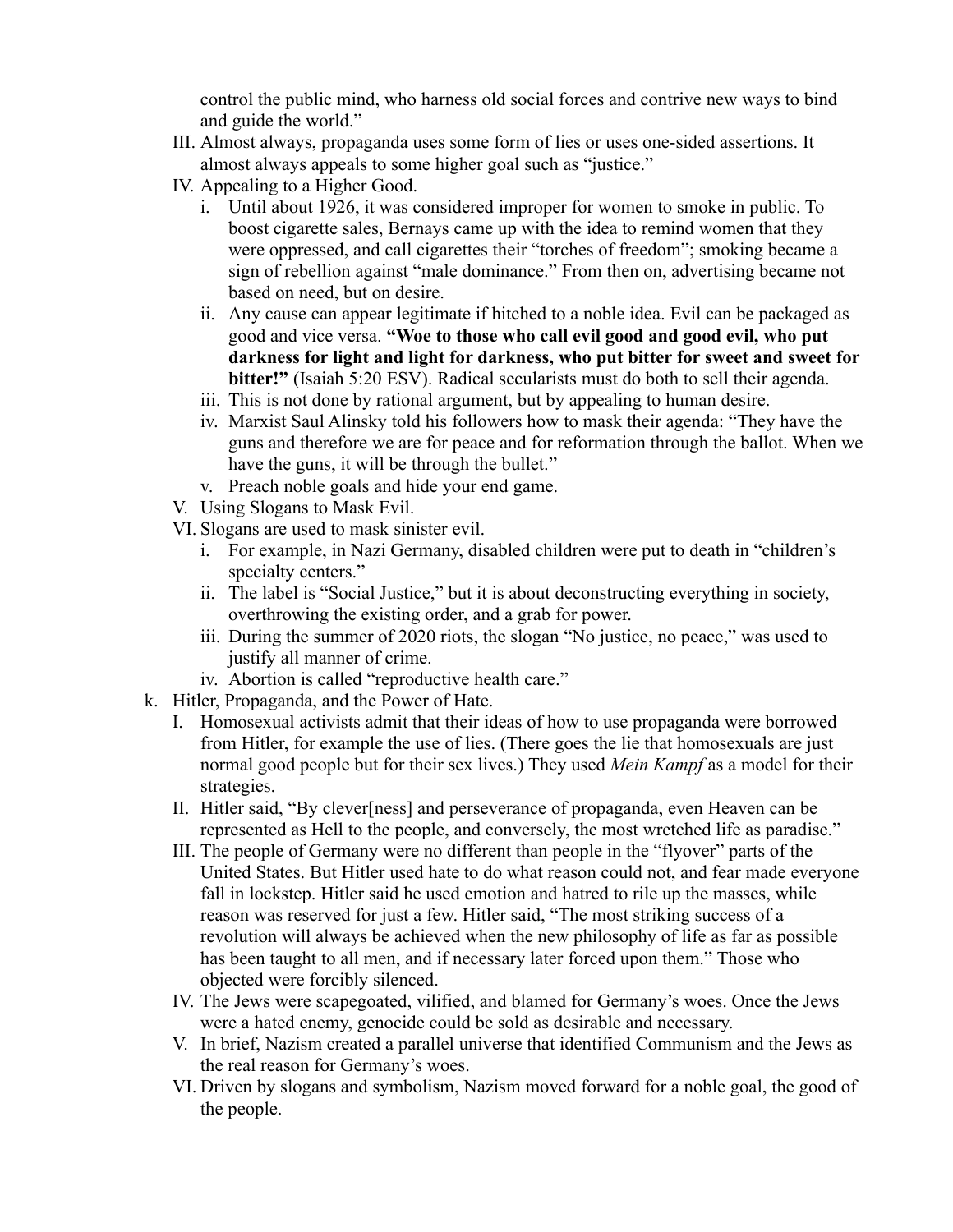control the public mind, who harness old social forces and contrive new ways to bind and guide the world."

- III. Almost always, propaganda uses some form of lies or uses one-sided assertions. It almost always appeals to some higher goal such as "justice."
- IV. Appealing to a Higher Good.
	- i. Until about 1926, it was considered improper for women to smoke in public. To boost cigarette sales, Bernays came up with the idea to remind women that they were oppressed, and call cigarettes their "torches of freedom"; smoking became a sign of rebellion against "male dominance." From then on, advertising became not based on need, but on desire.
	- ii. Any cause can appear legitimate if hitched to a noble idea. Evil can be packaged as good and vice versa. **"Woe to those who call evil good and good evil, who put darkness for light and light for darkness, who put bitter for sweet and sweet for bitter!"** (Isaiah 5:20 ESV). Radical secularists must do both to sell their agenda.
	- iii. This is not done by rational argument, but by appealing to human desire.
	- iv. Marxist Saul Alinsky told his followers how to mask their agenda: "They have the guns and therefore we are for peace and for reformation through the ballot. When we have the guns, it will be through the bullet."
	- v. Preach noble goals and hide your end game.
- V. Using Slogans to Mask Evil.
- VI. Slogans are used to mask sinister evil.
	- i. For example, in Nazi Germany, disabled children were put to death in "children's specialty centers."
	- ii. The label is "Social Justice," but it is about deconstructing everything in society, overthrowing the existing order, and a grab for power.
	- iii. During the summer of 2020 riots, the slogan "No justice, no peace," was used to justify all manner of crime.
	- iv. Abortion is called "reproductive health care."
- k. Hitler, Propaganda, and the Power of Hate.
	- I. Homosexual activists admit that their ideas of how to use propaganda were borrowed from Hitler, for example the use of lies. (There goes the lie that homosexuals are just normal good people but for their sex lives.) They used *Mein Kampf* as a model for their strategies.
	- II. Hitler said, "By clever[ness] and perseverance of propaganda, even Heaven can be represented as Hell to the people, and conversely, the most wretched life as paradise."
	- III. The people of Germany were no different than people in the "flyover" parts of the United States. But Hitler used hate to do what reason could not, and fear made everyone fall in lockstep. Hitler said he used emotion and hatred to rile up the masses, while reason was reserved for just a few. Hitler said, "The most striking success of a revolution will always be achieved when the new philosophy of life as far as possible has been taught to all men, and if necessary later forced upon them." Those who objected were forcibly silenced.
	- IV. The Jews were scapegoated, vilified, and blamed for Germany's woes. Once the Jews were a hated enemy, genocide could be sold as desirable and necessary.
	- V. In brief, Nazism created a parallel universe that identified Communism and the Jews as the real reason for Germany's woes.
	- VI. Driven by slogans and symbolism, Nazism moved forward for a noble goal, the good of the people.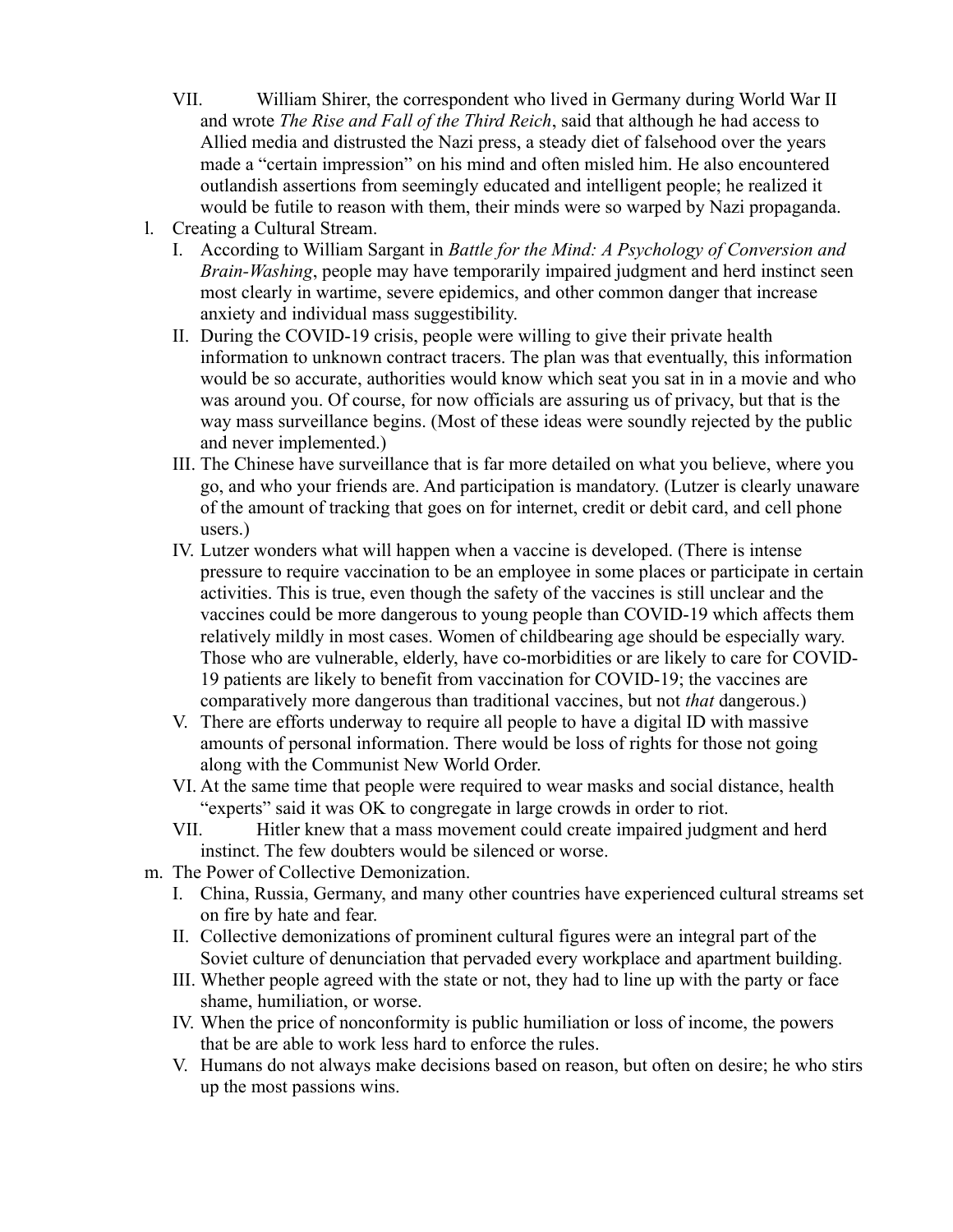- VII. William Shirer, the correspondent who lived in Germany during World War II and wrote *The Rise and Fall of the Third Reich*, said that although he had access to Allied media and distrusted the Nazi press, a steady diet of falsehood over the years made a "certain impression" on his mind and often misled him. He also encountered outlandish assertions from seemingly educated and intelligent people; he realized it would be futile to reason with them, their minds were so warped by Nazi propaganda.
- l. Creating a Cultural Stream.
	- I. According to William Sargant in *Battle for the Mind: A Psychology of Conversion and Brain-Washing*, people may have temporarily impaired judgment and herd instinct seen most clearly in wartime, severe epidemics, and other common danger that increase anxiety and individual mass suggestibility.
	- II. During the COVID-19 crisis, people were willing to give their private health information to unknown contract tracers. The plan was that eventually, this information would be so accurate, authorities would know which seat you sat in in a movie and who was around you. Of course, for now officials are assuring us of privacy, but that is the way mass surveillance begins. (Most of these ideas were soundly rejected by the public and never implemented.)
	- III. The Chinese have surveillance that is far more detailed on what you believe, where you go, and who your friends are. And participation is mandatory. (Lutzer is clearly unaware of the amount of tracking that goes on for internet, credit or debit card, and cell phone users.)
	- IV. Lutzer wonders what will happen when a vaccine is developed. (There is intense pressure to require vaccination to be an employee in some places or participate in certain activities. This is true, even though the safety of the vaccines is still unclear and the vaccines could be more dangerous to young people than COVID-19 which affects them relatively mildly in most cases. Women of childbearing age should be especially wary. Those who are vulnerable, elderly, have co-morbidities or are likely to care for COVID-19 patients are likely to benefit from vaccination for COVID-19; the vaccines are comparatively more dangerous than traditional vaccines, but not *that* dangerous.)
	- V. There are efforts underway to require all people to have a digital ID with massive amounts of personal information. There would be loss of rights for those not going along with the Communist New World Order.
	- VI. At the same time that people were required to wear masks and social distance, health "experts" said it was OK to congregate in large crowds in order to riot.
	- VII. Hitler knew that a mass movement could create impaired judgment and herd instinct. The few doubters would be silenced or worse.
- m. The Power of Collective Demonization.
	- I. China, Russia, Germany, and many other countries have experienced cultural streams set on fire by hate and fear.
	- II. Collective demonizations of prominent cultural figures were an integral part of the Soviet culture of denunciation that pervaded every workplace and apartment building.
	- III. Whether people agreed with the state or not, they had to line up with the party or face shame, humiliation, or worse.
	- IV. When the price of nonconformity is public humiliation or loss of income, the powers that be are able to work less hard to enforce the rules.
	- V. Humans do not always make decisions based on reason, but often on desire; he who stirs up the most passions wins.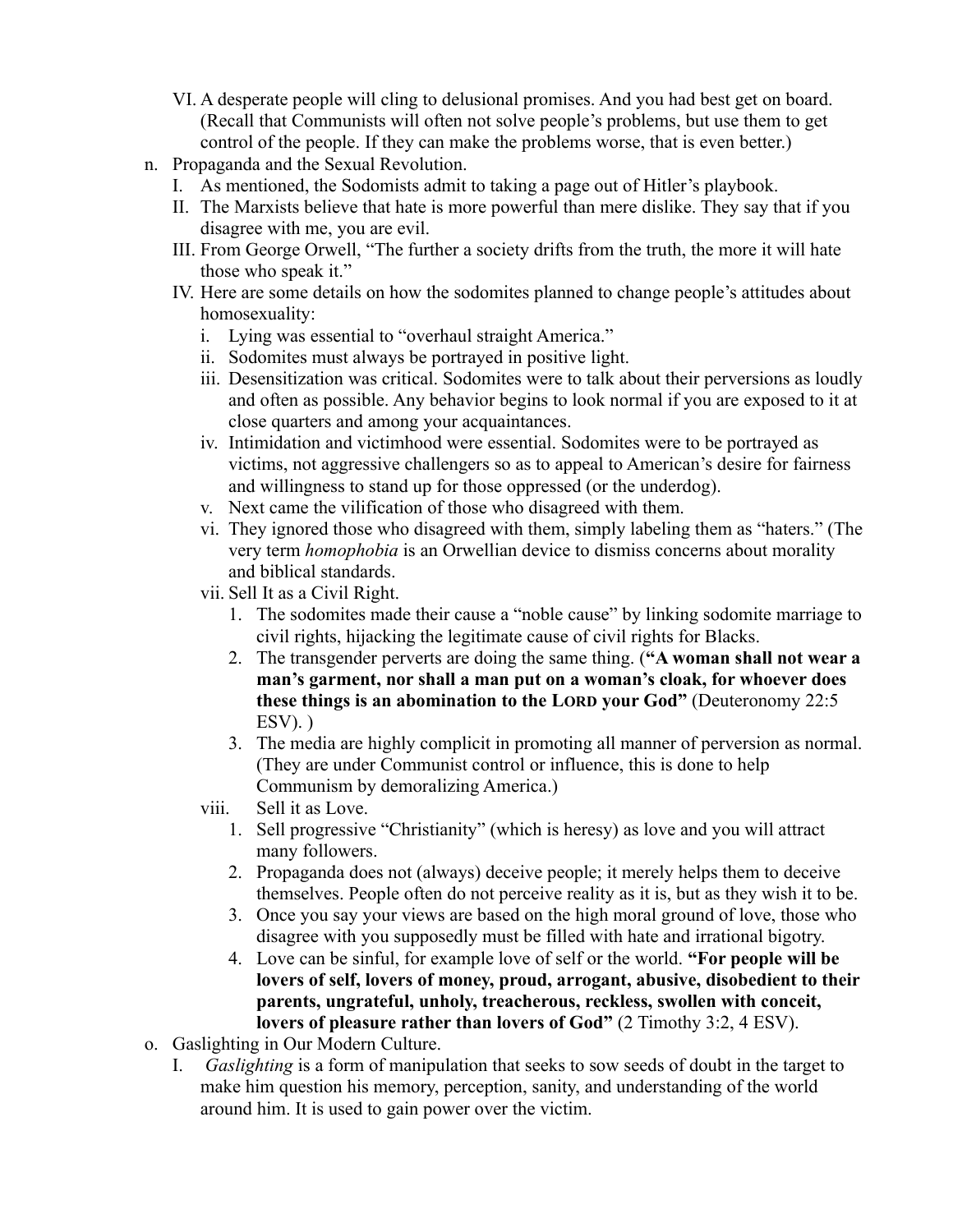- VI. A desperate people will cling to delusional promises. And you had best get on board. (Recall that Communists will often not solve people's problems, but use them to get control of the people. If they can make the problems worse, that is even better.)
- n. Propaganda and the Sexual Revolution.
	- I. As mentioned, the Sodomists admit to taking a page out of Hitler's playbook.
	- II. The Marxists believe that hate is more powerful than mere dislike. They say that if you disagree with me, you are evil.
	- III. From George Orwell, "The further a society drifts from the truth, the more it will hate those who speak it."
	- IV. Here are some details on how the sodomites planned to change people's attitudes about homosexuality:
		- i. Lying was essential to "overhaul straight America."
		- ii. Sodomites must always be portrayed in positive light.
		- iii. Desensitization was critical. Sodomites were to talk about their perversions as loudly and often as possible. Any behavior begins to look normal if you are exposed to it at close quarters and among your acquaintances.
		- iv. Intimidation and victimhood were essential. Sodomites were to be portrayed as victims, not aggressive challengers so as to appeal to American's desire for fairness and willingness to stand up for those oppressed (or the underdog).
		- v. Next came the vilification of those who disagreed with them.
		- vi. They ignored those who disagreed with them, simply labeling them as "haters." (The very term *homophobia* is an Orwellian device to dismiss concerns about morality and biblical standards.
		- vii. Sell It as a Civil Right.
			- 1. The sodomites made their cause a "noble cause" by linking sodomite marriage to civil rights, hijacking the legitimate cause of civil rights for Blacks.
			- 2. The transgender perverts are doing the same thing. (**"A woman shall not wear a man's garment, nor shall a man put on a woman's cloak, for whoever does these things is an abomination to the LORD your God"** (Deuteronomy 22:5  $ESV)$ .  $)$
			- 3. The media are highly complicit in promoting all manner of perversion as normal. (They are under Communist control or influence, this is done to help Communism by demoralizing America.)
		- viii. Sell it as Love.
			- 1. Sell progressive "Christianity" (which is heresy) as love and you will attract many followers.
			- 2. Propaganda does not (always) deceive people; it merely helps them to deceive themselves. People often do not perceive reality as it is, but as they wish it to be.
			- 3. Once you say your views are based on the high moral ground of love, those who disagree with you supposedly must be filled with hate and irrational bigotry.
			- 4. Love can be sinful, for example love of self or the world. **"For people will be lovers of self, lovers of money, proud, arrogant, abusive, disobedient to their parents, ungrateful, unholy, treacherous, reckless, swollen with conceit, lovers of pleasure rather than lovers of God"** (2 Timothy 3:2, 4 ESV).
- o. Gaslighting in Our Modern Culture.
	- I. *Gaslighting* is a form of manipulation that seeks to sow seeds of doubt in the target to make him question his memory, perception, sanity, and understanding of the world around him. It is used to gain power over the victim.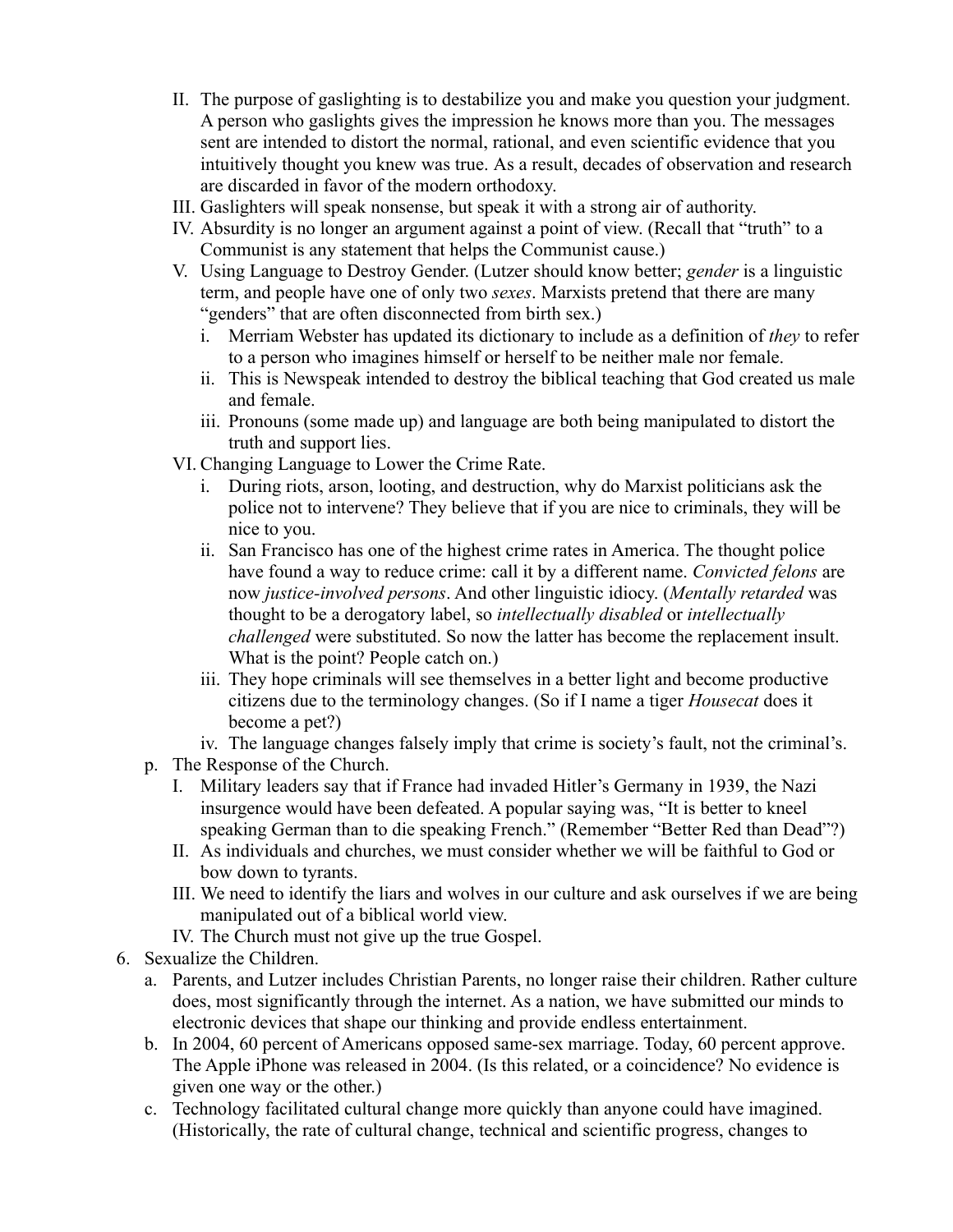- II. The purpose of gaslighting is to destabilize you and make you question your judgment. A person who gaslights gives the impression he knows more than you. The messages sent are intended to distort the normal, rational, and even scientific evidence that you intuitively thought you knew was true. As a result, decades of observation and research are discarded in favor of the modern orthodoxy.
- III. Gaslighters will speak nonsense, but speak it with a strong air of authority.
- IV. Absurdity is no longer an argument against a point of view. (Recall that "truth" to a Communist is any statement that helps the Communist cause.)
- V. Using Language to Destroy Gender. (Lutzer should know better; *gender* is a linguistic term, and people have one of only two *sexes*. Marxists pretend that there are many "genders" that are often disconnected from birth sex.)
	- i. Merriam Webster has updated its dictionary to include as a definition of *they* to refer to a person who imagines himself or herself to be neither male nor female.
	- ii. This is Newspeak intended to destroy the biblical teaching that God created us male and female.
	- iii. Pronouns (some made up) and language are both being manipulated to distort the truth and support lies.
- VI. Changing Language to Lower the Crime Rate.
	- i. During riots, arson, looting, and destruction, why do Marxist politicians ask the police not to intervene? They believe that if you are nice to criminals, they will be nice to you.
	- ii. San Francisco has one of the highest crime rates in America. The thought police have found a way to reduce crime: call it by a different name. *Convicted felons* are now *justice-involved persons*. And other linguistic idiocy. (*Mentally retarded* was thought to be a derogatory label, so *intellectually disabled* or *intellectually challenged* were substituted. So now the latter has become the replacement insult. What is the point? People catch on.)
	- iii. They hope criminals will see themselves in a better light and become productive citizens due to the terminology changes. (So if I name a tiger *Housecat* does it become a pet?)
	- iv. The language changes falsely imply that crime is society's fault, not the criminal's.
- p. The Response of the Church.
	- I. Military leaders say that if France had invaded Hitler's Germany in 1939, the Nazi insurgence would have been defeated. A popular saying was, "It is better to kneel speaking German than to die speaking French." (Remember "Better Red than Dead"?)
	- II. As individuals and churches, we must consider whether we will be faithful to God or bow down to tyrants.
	- III. We need to identify the liars and wolves in our culture and ask ourselves if we are being manipulated out of a biblical world view.
	- IV. The Church must not give up the true Gospel.
- 6. Sexualize the Children.
	- a. Parents, and Lutzer includes Christian Parents, no longer raise their children. Rather culture does, most significantly through the internet. As a nation, we have submitted our minds to electronic devices that shape our thinking and provide endless entertainment.
	- b. In 2004, 60 percent of Americans opposed same-sex marriage. Today, 60 percent approve. The Apple iPhone was released in 2004. (Is this related, or a coincidence? No evidence is given one way or the other.)
	- c. Technology facilitated cultural change more quickly than anyone could have imagined. (Historically, the rate of cultural change, technical and scientific progress, changes to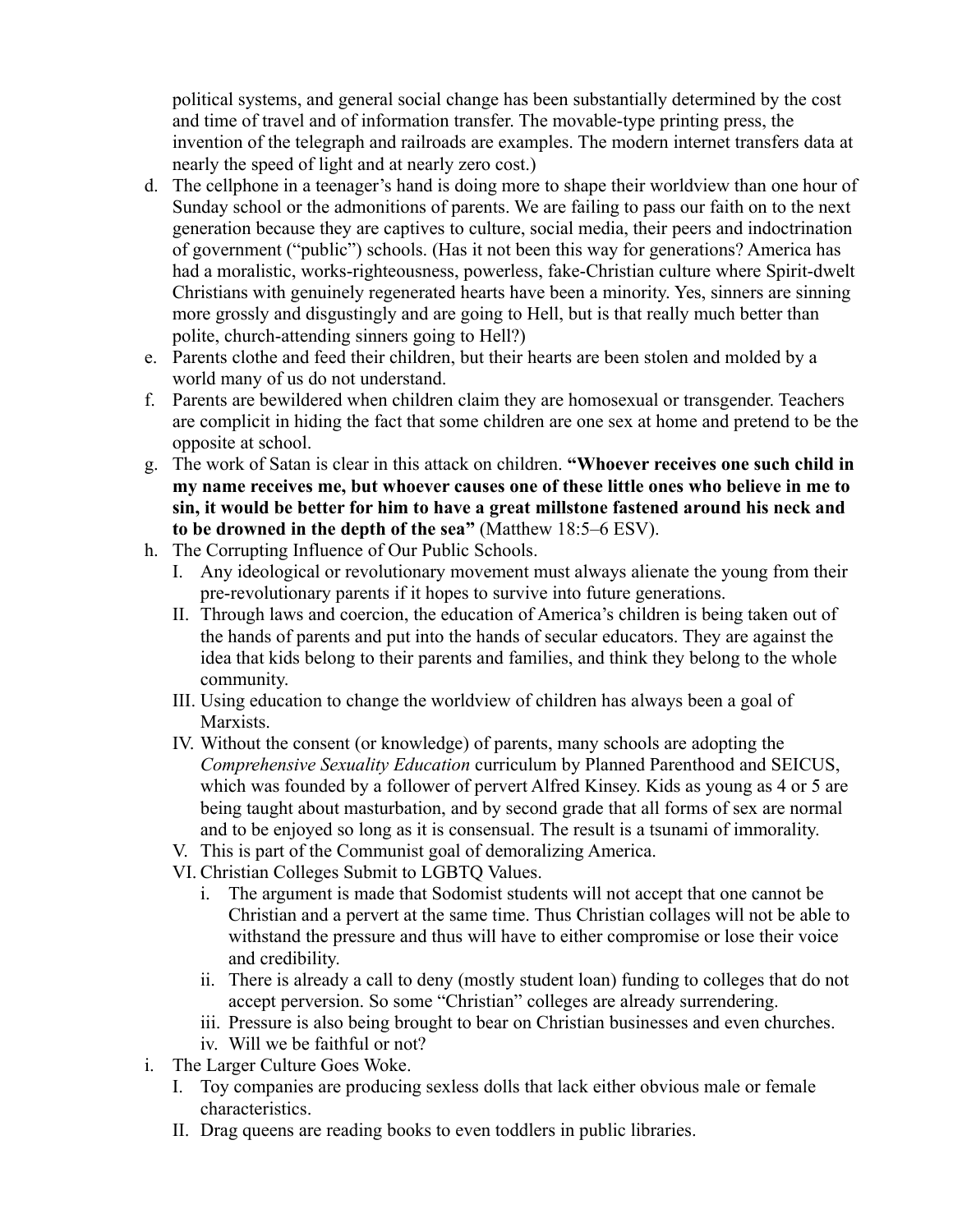political systems, and general social change has been substantially determined by the cost and time of travel and of information transfer. The movable-type printing press, the invention of the telegraph and railroads are examples. The modern internet transfers data at nearly the speed of light and at nearly zero cost.)

- d. The cellphone in a teenager's hand is doing more to shape their worldview than one hour of Sunday school or the admonitions of parents. We are failing to pass our faith on to the next generation because they are captives to culture, social media, their peers and indoctrination of government ("public") schools. (Has it not been this way for generations? America has had a moralistic, works-righteousness, powerless, fake-Christian culture where Spirit-dwelt Christians with genuinely regenerated hearts have been a minority. Yes, sinners are sinning more grossly and disgustingly and are going to Hell, but is that really much better than polite, church-attending sinners going to Hell?)
- e. Parents clothe and feed their children, but their hearts are been stolen and molded by a world many of us do not understand.
- f. Parents are bewildered when children claim they are homosexual or transgender. Teachers are complicit in hiding the fact that some children are one sex at home and pretend to be the opposite at school.
- g. The work of Satan is clear in this attack on children. **"Whoever receives one such child in my name receives me, but whoever causes one of these little ones who believe in me to sin, it would be better for him to have a great millstone fastened around his neck and to be drowned in the depth of the sea"** (Matthew 18:5–6 ESV).
- h. The Corrupting Influence of Our Public Schools.
	- I. Any ideological or revolutionary movement must always alienate the young from their pre-revolutionary parents if it hopes to survive into future generations.
	- II. Through laws and coercion, the education of America's children is being taken out of the hands of parents and put into the hands of secular educators. They are against the idea that kids belong to their parents and families, and think they belong to the whole community.
	- III. Using education to change the worldview of children has always been a goal of **Marxists**
	- IV. Without the consent (or knowledge) of parents, many schools are adopting the *Comprehensive Sexuality Education* curriculum by Planned Parenthood and SEICUS, which was founded by a follower of pervert Alfred Kinsey. Kids as young as 4 or 5 are being taught about masturbation, and by second grade that all forms of sex are normal and to be enjoyed so long as it is consensual. The result is a tsunami of immorality.
	- V. This is part of the Communist goal of demoralizing America.
	- VI. Christian Colleges Submit to LGBTQ Values.
		- i. The argument is made that Sodomist students will not accept that one cannot be Christian and a pervert at the same time. Thus Christian collages will not be able to withstand the pressure and thus will have to either compromise or lose their voice and credibility.
		- ii. There is already a call to deny (mostly student loan) funding to colleges that do not accept perversion. So some "Christian" colleges are already surrendering.
		- iii. Pressure is also being brought to bear on Christian businesses and even churches.
		- iv. Will we be faithful or not?
- i. The Larger Culture Goes Woke.
	- I. Toy companies are producing sexless dolls that lack either obvious male or female characteristics.
	- II. Drag queens are reading books to even toddlers in public libraries.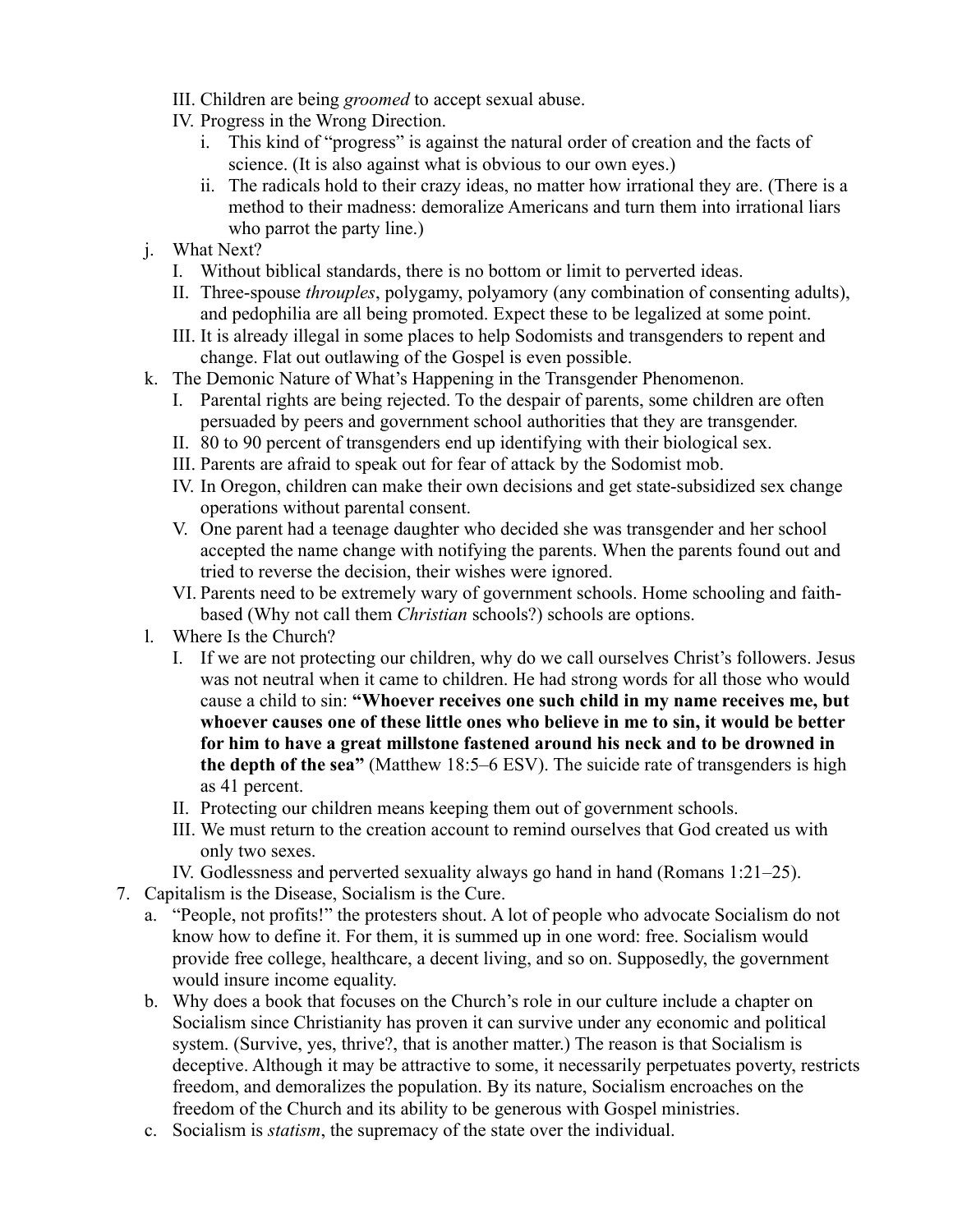- III. Children are being *groomed* to accept sexual abuse.
- IV. Progress in the Wrong Direction.
	- i. This kind of "progress" is against the natural order of creation and the facts of science. (It is also against what is obvious to our own eyes.)
	- ii. The radicals hold to their crazy ideas, no matter how irrational they are. (There is a method to their madness: demoralize Americans and turn them into irrational liars who parrot the party line.)
- j. What Next?
	- I. Without biblical standards, there is no bottom or limit to perverted ideas.
	- II. Three-spouse *throuples*, polygamy, polyamory (any combination of consenting adults), and pedophilia are all being promoted. Expect these to be legalized at some point.
	- III. It is already illegal in some places to help Sodomists and transgenders to repent and change. Flat out outlawing of the Gospel is even possible.
- k. The Demonic Nature of What's Happening in the Transgender Phenomenon.
	- I. Parental rights are being rejected. To the despair of parents, some children are often persuaded by peers and government school authorities that they are transgender.
	- II. 80 to 90 percent of transgenders end up identifying with their biological sex.
	- III. Parents are afraid to speak out for fear of attack by the Sodomist mob.
	- IV. In Oregon, children can make their own decisions and get state-subsidized sex change operations without parental consent.
	- V. One parent had a teenage daughter who decided she was transgender and her school accepted the name change with notifying the parents. When the parents found out and tried to reverse the decision, their wishes were ignored.
	- VI. Parents need to be extremely wary of government schools. Home schooling and faithbased (Why not call them *Christian* schools?) schools are options.
- l. Where Is the Church?
	- I. If we are not protecting our children, why do we call ourselves Christ's followers. Jesus was not neutral when it came to children. He had strong words for all those who would cause a child to sin: **"Whoever receives one such child in my name receives me, but whoever causes one of these little ones who believe in me to sin, it would be better for him to have a great millstone fastened around his neck and to be drowned in the depth of the sea"** (Matthew 18:5–6 ESV). The suicide rate of transgenders is high as 41 percent.
	- II. Protecting our children means keeping them out of government schools.
	- III. We must return to the creation account to remind ourselves that God created us with only two sexes.
	- IV. Godlessness and perverted sexuality always go hand in hand (Romans 1:21–25).
- 7. Capitalism is the Disease, Socialism is the Cure.
	- a. "People, not profits!" the protesters shout. A lot of people who advocate Socialism do not know how to define it. For them, it is summed up in one word: free. Socialism would provide free college, healthcare, a decent living, and so on. Supposedly, the government would insure income equality.
	- b. Why does a book that focuses on the Church's role in our culture include a chapter on Socialism since Christianity has proven it can survive under any economic and political system. (Survive, yes, thrive?, that is another matter.) The reason is that Socialism is deceptive. Although it may be attractive to some, it necessarily perpetuates poverty, restricts freedom, and demoralizes the population. By its nature, Socialism encroaches on the freedom of the Church and its ability to be generous with Gospel ministries.
	- c. Socialism is *statism*, the supremacy of the state over the individual.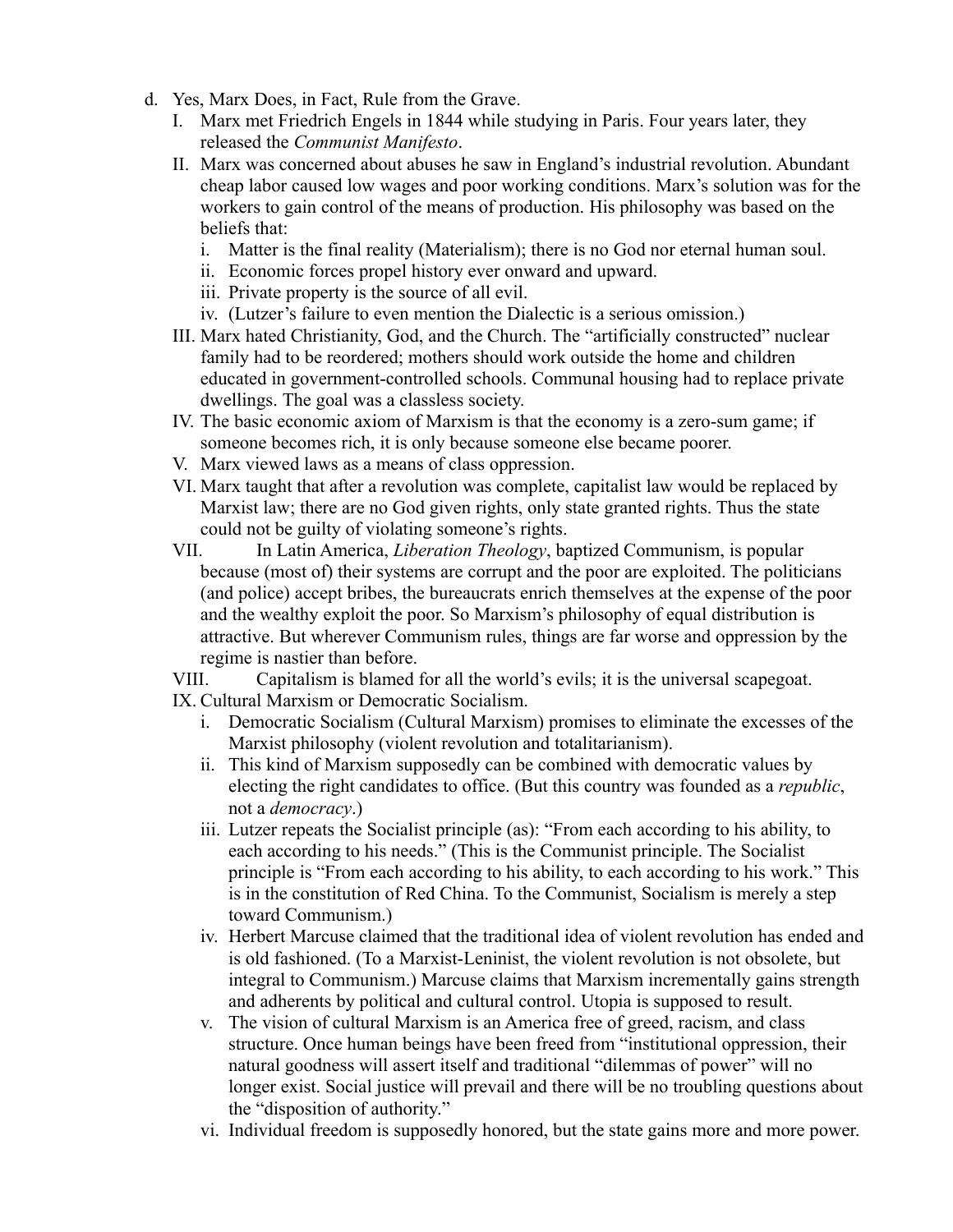- d. Yes, Marx Does, in Fact, Rule from the Grave.
	- I. Marx met Friedrich Engels in 1844 while studying in Paris. Four years later, they released the *Communist Manifesto*.
	- II. Marx was concerned about abuses he saw in England's industrial revolution. Abundant cheap labor caused low wages and poor working conditions. Marx's solution was for the workers to gain control of the means of production. His philosophy was based on the beliefs that:
		- i. Matter is the final reality (Materialism); there is no God nor eternal human soul.
		- ii. Economic forces propel history ever onward and upward.
		- iii. Private property is the source of all evil.
		- iv. (Lutzer's failure to even mention the Dialectic is a serious omission.)
	- III. Marx hated Christianity, God, and the Church. The "artificially constructed" nuclear family had to be reordered; mothers should work outside the home and children educated in government-controlled schools. Communal housing had to replace private dwellings. The goal was a classless society.
	- IV. The basic economic axiom of Marxism is that the economy is a zero-sum game; if someone becomes rich, it is only because someone else became poorer.
	- V. Marx viewed laws as a means of class oppression.
	- VI. Marx taught that after a revolution was complete, capitalist law would be replaced by Marxist law; there are no God given rights, only state granted rights. Thus the state could not be guilty of violating someone's rights.
	- VII. In Latin America, *Liberation Theology*, baptized Communism, is popular because (most of) their systems are corrupt and the poor are exploited. The politicians (and police) accept bribes, the bureaucrats enrich themselves at the expense of the poor and the wealthy exploit the poor. So Marxism's philosophy of equal distribution is attractive. But wherever Communism rules, things are far worse and oppression by the regime is nastier than before.
	- VIII. Capitalism is blamed for all the world's evils; it is the universal scapegoat. IX. Cultural Marxism or Democratic Socialism.
	- - i. Democratic Socialism (Cultural Marxism) promises to eliminate the excesses of the Marxist philosophy (violent revolution and totalitarianism).
		- ii. This kind of Marxism supposedly can be combined with democratic values by electing the right candidates to office. (But this country was founded as a *republic*, not a *democracy*.)
		- iii. Lutzer repeats the Socialist principle (as): "From each according to his ability, to each according to his needs." (This is the Communist principle. The Socialist principle is "From each according to his ability, to each according to his work." This is in the constitution of Red China. To the Communist, Socialism is merely a step toward Communism.)
		- iv. Herbert Marcuse claimed that the traditional idea of violent revolution has ended and is old fashioned. (To a Marxist-Leninist, the violent revolution is not obsolete, but integral to Communism.) Marcuse claims that Marxism incrementally gains strength and adherents by political and cultural control. Utopia is supposed to result.
		- v. The vision of cultural Marxism is an America free of greed, racism, and class structure. Once human beings have been freed from "institutional oppression, their natural goodness will assert itself and traditional "dilemmas of power" will no longer exist. Social justice will prevail and there will be no troubling questions about the "disposition of authority."
		- vi. Individual freedom is supposedly honored, but the state gains more and more power.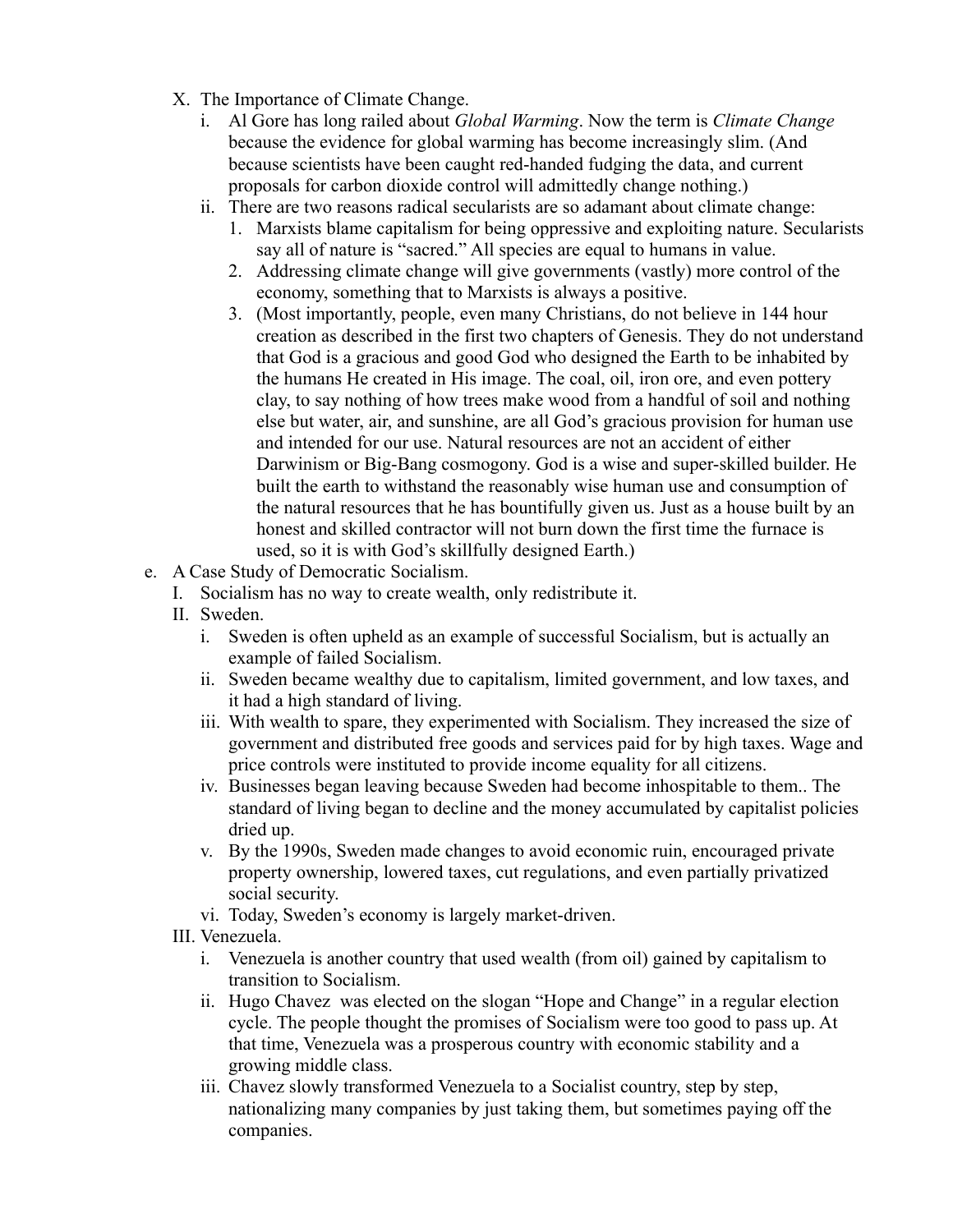- X. The Importance of Climate Change.
	- i. Al Gore has long railed about *Global Warming*. Now the term is *Climate Change* because the evidence for global warming has become increasingly slim. (And because scientists have been caught red-handed fudging the data, and current proposals for carbon dioxide control will admittedly change nothing.)
	- ii. There are two reasons radical secularists are so adamant about climate change:
		- 1. Marxists blame capitalism for being oppressive and exploiting nature. Secularists say all of nature is "sacred." All species are equal to humans in value.
		- 2. Addressing climate change will give governments (vastly) more control of the economy, something that to Marxists is always a positive.
		- 3. (Most importantly, people, even many Christians, do not believe in 144 hour creation as described in the first two chapters of Genesis. They do not understand that God is a gracious and good God who designed the Earth to be inhabited by the humans He created in His image. The coal, oil, iron ore, and even pottery clay, to say nothing of how trees make wood from a handful of soil and nothing else but water, air, and sunshine, are all God's gracious provision for human use and intended for our use. Natural resources are not an accident of either Darwinism or Big-Bang cosmogony. God is a wise and super-skilled builder. He built the earth to withstand the reasonably wise human use and consumption of the natural resources that he has bountifully given us. Just as a house built by an honest and skilled contractor will not burn down the first time the furnace is used, so it is with God's skillfully designed Earth.)
- e. A Case Study of Democratic Socialism.
	- I. Socialism has no way to create wealth, only redistribute it.
	- II. Sweden.
		- i. Sweden is often upheld as an example of successful Socialism, but is actually an example of failed Socialism.
		- ii. Sweden became wealthy due to capitalism, limited government, and low taxes, and it had a high standard of living.
		- iii. With wealth to spare, they experimented with Socialism. They increased the size of government and distributed free goods and services paid for by high taxes. Wage and price controls were instituted to provide income equality for all citizens.
		- iv. Businesses began leaving because Sweden had become inhospitable to them.. The standard of living began to decline and the money accumulated by capitalist policies dried up.
		- v. By the 1990s, Sweden made changes to avoid economic ruin, encouraged private property ownership, lowered taxes, cut regulations, and even partially privatized social security.
		- vi. Today, Sweden's economy is largely market-driven.
	- III. Venezuela.
		- i. Venezuela is another country that used wealth (from oil) gained by capitalism to transition to Socialism.
		- ii. Hugo Chavez was elected on the slogan "Hope and Change" in a regular election cycle. The people thought the promises of Socialism were too good to pass up. At that time, Venezuela was a prosperous country with economic stability and a growing middle class.
		- iii. Chavez slowly transformed Venezuela to a Socialist country, step by step, nationalizing many companies by just taking them, but sometimes paying off the companies.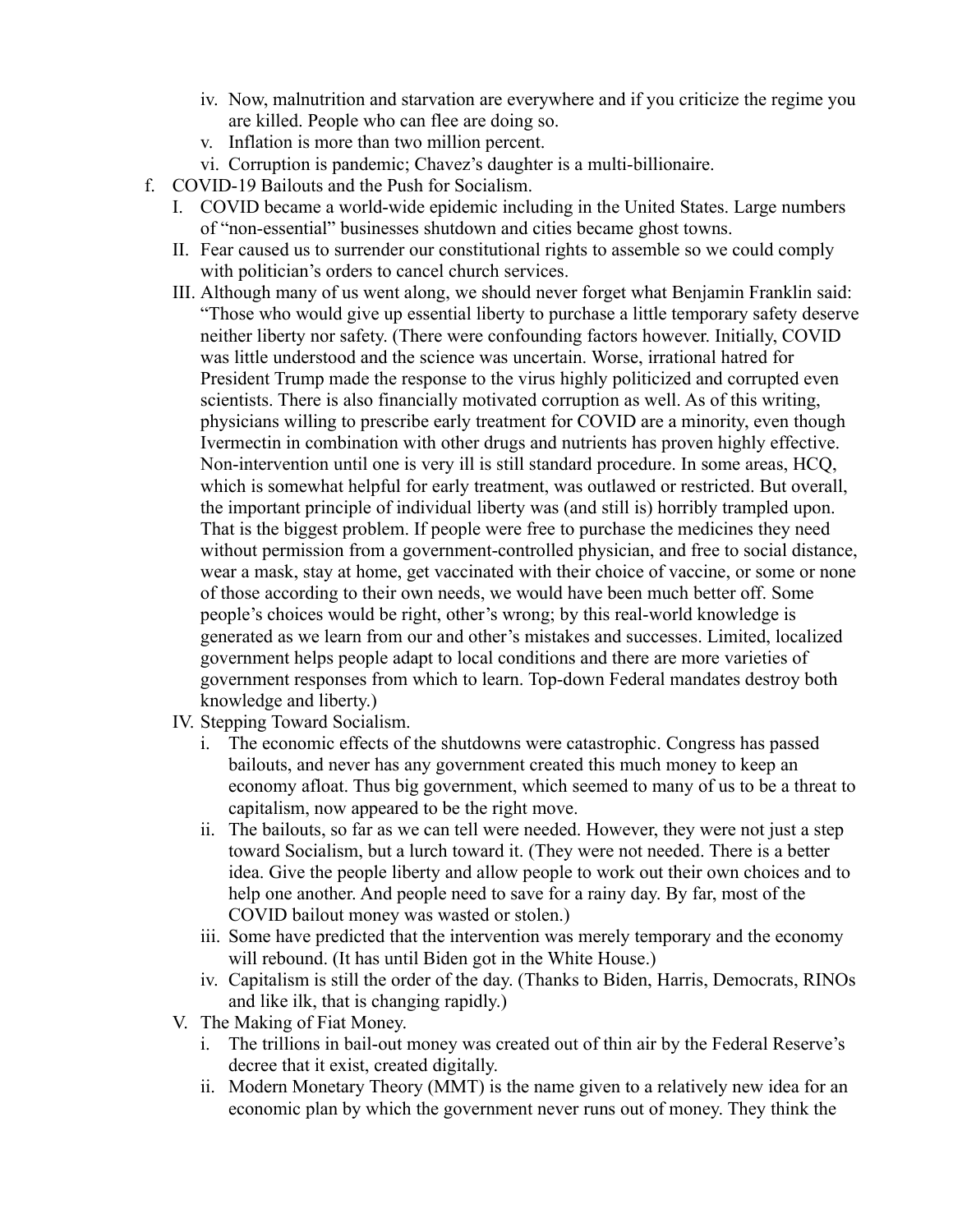- iv. Now, malnutrition and starvation are everywhere and if you criticize the regime you are killed. People who can flee are doing so.
- v. Inflation is more than two million percent.
- vi. Corruption is pandemic; Chavez's daughter is a multi-billionaire.
- f. COVID-19 Bailouts and the Push for Socialism.
	- I. COVID became a world-wide epidemic including in the United States. Large numbers of "non-essential" businesses shutdown and cities became ghost towns.
	- II. Fear caused us to surrender our constitutional rights to assemble so we could comply with politician's orders to cancel church services.
	- III. Although many of us went along, we should never forget what Benjamin Franklin said: "Those who would give up essential liberty to purchase a little temporary safety deserve neither liberty nor safety. (There were confounding factors however. Initially, COVID was little understood and the science was uncertain. Worse, irrational hatred for President Trump made the response to the virus highly politicized and corrupted even scientists. There is also financially motivated corruption as well. As of this writing, physicians willing to prescribe early treatment for COVID are a minority, even though Ivermectin in combination with other drugs and nutrients has proven highly effective. Non-intervention until one is very ill is still standard procedure. In some areas, HCQ, which is somewhat helpful for early treatment, was outlawed or restricted. But overall, the important principle of individual liberty was (and still is) horribly trampled upon. That is the biggest problem. If people were free to purchase the medicines they need without permission from a government-controlled physician, and free to social distance, wear a mask, stay at home, get vaccinated with their choice of vaccine, or some or none of those according to their own needs, we would have been much better off. Some people's choices would be right, other's wrong; by this real-world knowledge is generated as we learn from our and other's mistakes and successes. Limited, localized government helps people adapt to local conditions and there are more varieties of government responses from which to learn. Top-down Federal mandates destroy both knowledge and liberty.)
	- IV. Stepping Toward Socialism.
		- i. The economic effects of the shutdowns were catastrophic. Congress has passed bailouts, and never has any government created this much money to keep an economy afloat. Thus big government, which seemed to many of us to be a threat to capitalism, now appeared to be the right move.
		- ii. The bailouts, so far as we can tell were needed. However, they were not just a step toward Socialism, but a lurch toward it. (They were not needed. There is a better idea. Give the people liberty and allow people to work out their own choices and to help one another. And people need to save for a rainy day. By far, most of the COVID bailout money was wasted or stolen.)
		- iii. Some have predicted that the intervention was merely temporary and the economy will rebound. (It has until Biden got in the White House.)
		- iv. Capitalism is still the order of the day. (Thanks to Biden, Harris, Democrats, RINOs and like ilk, that is changing rapidly.)
	- V. The Making of Fiat Money.
		- i. The trillions in bail-out money was created out of thin air by the Federal Reserve's decree that it exist, created digitally.
		- ii. Modern Monetary Theory (MMT) is the name given to a relatively new idea for an economic plan by which the government never runs out of money. They think the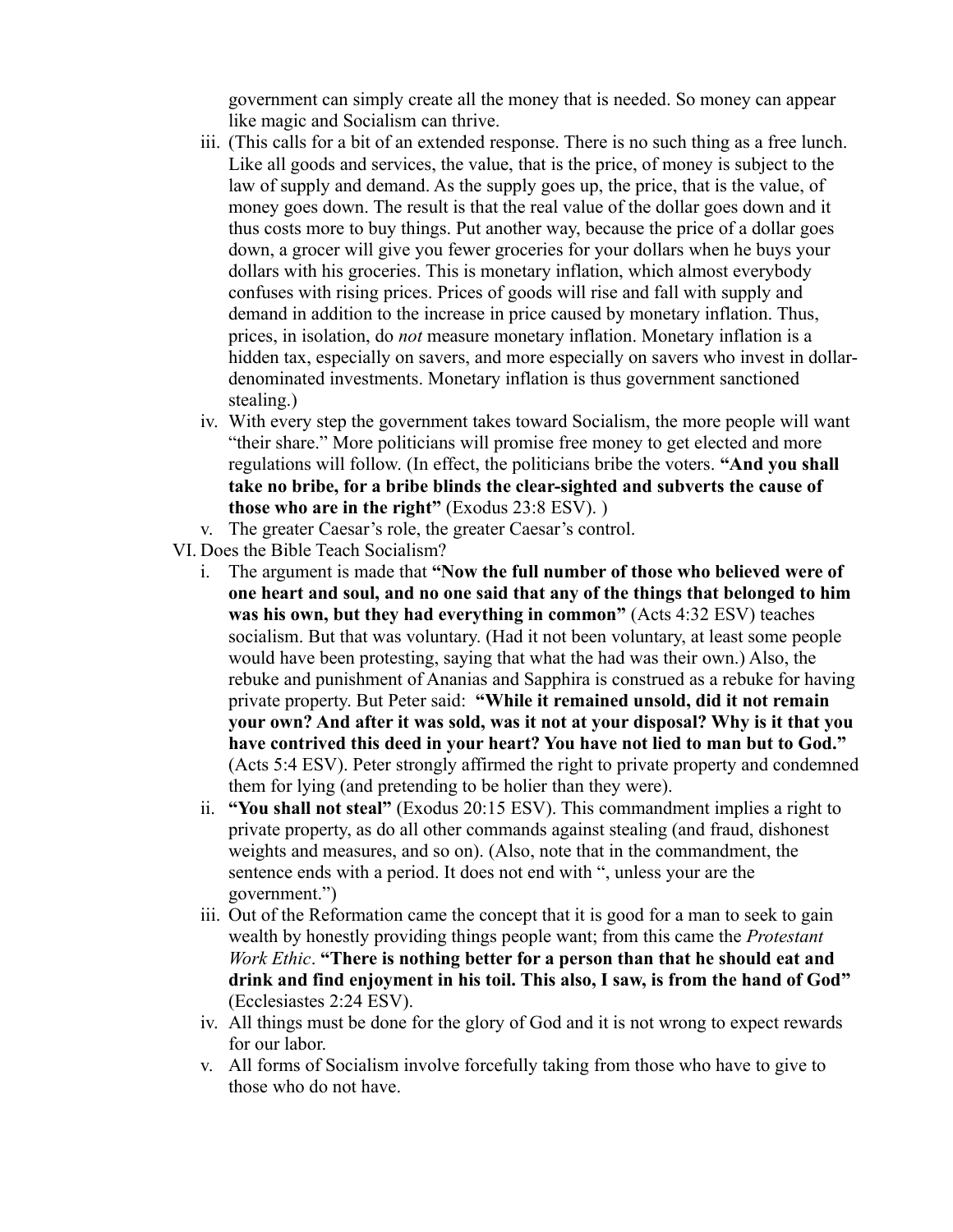government can simply create all the money that is needed. So money can appear like magic and Socialism can thrive.

- iii. (This calls for a bit of an extended response. There is no such thing as a free lunch. Like all goods and services, the value, that is the price, of money is subject to the law of supply and demand. As the supply goes up, the price, that is the value, of money goes down. The result is that the real value of the dollar goes down and it thus costs more to buy things. Put another way, because the price of a dollar goes down, a grocer will give you fewer groceries for your dollars when he buys your dollars with his groceries. This is monetary inflation, which almost everybody confuses with rising prices. Prices of goods will rise and fall with supply and demand in addition to the increase in price caused by monetary inflation. Thus, prices, in isolation, do *not* measure monetary inflation. Monetary inflation is a hidden tax, especially on savers, and more especially on savers who invest in dollardenominated investments. Monetary inflation is thus government sanctioned stealing.)
- iv. With every step the government takes toward Socialism, the more people will want "their share." More politicians will promise free money to get elected and more regulations will follow. (In effect, the politicians bribe the voters. **"And you shall take no bribe, for a bribe blinds the clear-sighted and subverts the cause of those who are in the right"** (Exodus 23:8 ESV). )
- v. The greater Caesar's role, the greater Caesar's control.
- VI. Does the Bible Teach Socialism?
	- i. The argument is made that **"Now the full number of those who believed were of one heart and soul, and no one said that any of the things that belonged to him was his own, but they had everything in common"** (Acts 4:32 ESV) teaches socialism. But that was voluntary. (Had it not been voluntary, at least some people would have been protesting, saying that what the had was their own.) Also, the rebuke and punishment of Ananias and Sapphira is construed as a rebuke for having private property. But Peter said: **"While it remained unsold, did it not remain your own? And after it was sold, was it not at your disposal? Why is it that you have contrived this deed in your heart? You have not lied to man but to God."** (Acts 5:4 ESV). Peter strongly affirmed the right to private property and condemned them for lying (and pretending to be holier than they were).
	- ii. **"You shall not steal"** (Exodus 20:15 ESV). This commandment implies a right to private property, as do all other commands against stealing (and fraud, dishonest weights and measures, and so on). (Also, note that in the commandment, the sentence ends with a period. It does not end with ", unless your are the government.")
	- iii. Out of the Reformation came the concept that it is good for a man to seek to gain wealth by honestly providing things people want; from this came the *Protestant Work Ethic*. **"There is nothing better for a person than that he should eat and drink and find enjoyment in his toil. This also, I saw, is from the hand of God"** (Ecclesiastes 2:24 ESV).
	- iv. All things must be done for the glory of God and it is not wrong to expect rewards for our labor.
	- v. All forms of Socialism involve forcefully taking from those who have to give to those who do not have.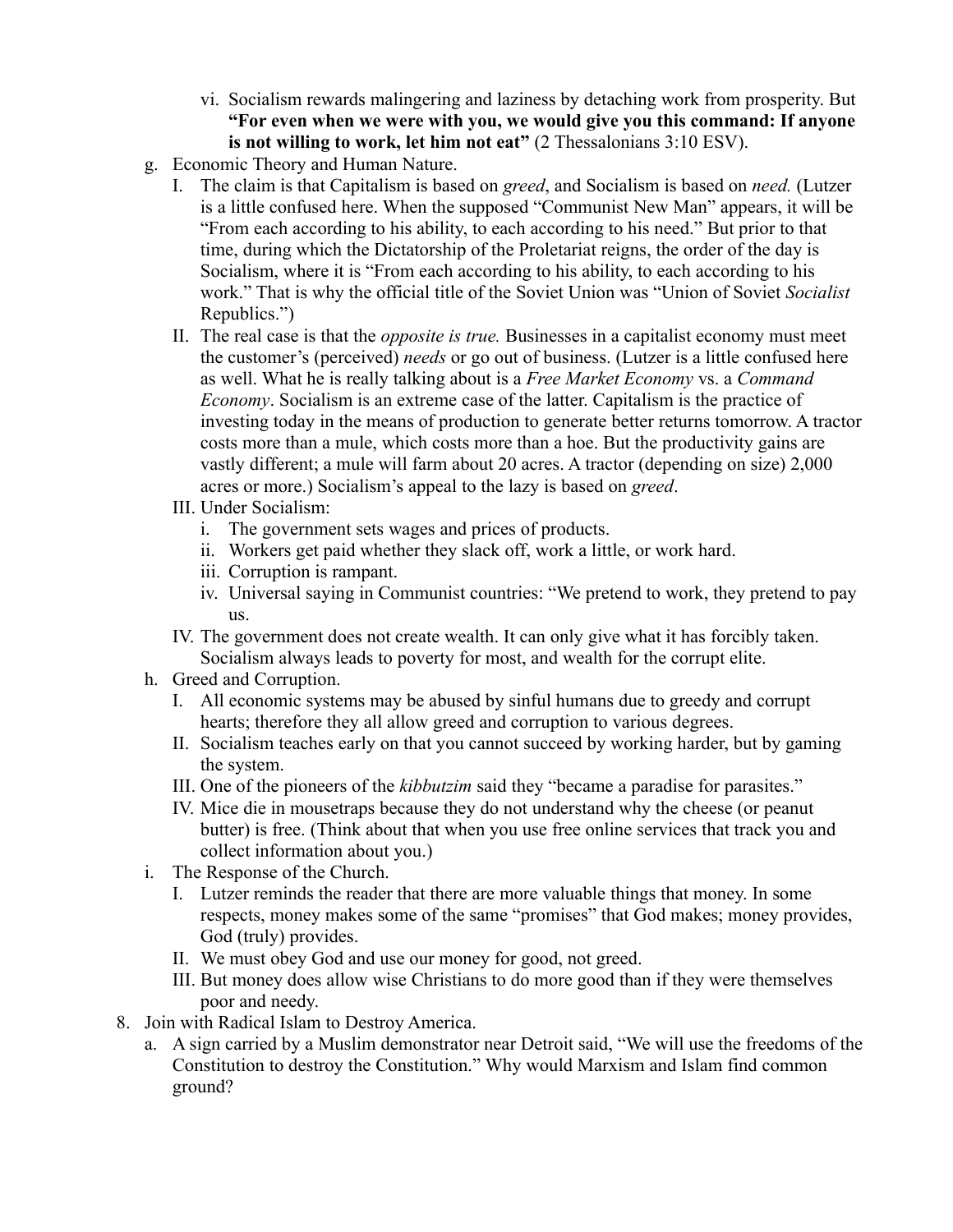- vi. Socialism rewards malingering and laziness by detaching work from prosperity. But **"For even when we were with you, we would give you this command: If anyone is not willing to work, let him not eat"** (2 Thessalonians 3:10 ESV).
- g. Economic Theory and Human Nature.
	- I. The claim is that Capitalism is based on *greed*, and Socialism is based on *need.* (Lutzer is a little confused here. When the supposed "Communist New Man" appears, it will be "From each according to his ability, to each according to his need." But prior to that time, during which the Dictatorship of the Proletariat reigns, the order of the day is Socialism, where it is "From each according to his ability, to each according to his work." That is why the official title of the Soviet Union was "Union of Soviet *Socialist* Republics.")
	- II. The real case is that the *opposite is true.* Businesses in a capitalist economy must meet the customer's (perceived) *needs* or go out of business. (Lutzer is a little confused here as well. What he is really talking about is a *Free Market Economy* vs. a *Command Economy*. Socialism is an extreme case of the latter. Capitalism is the practice of investing today in the means of production to generate better returns tomorrow. A tractor costs more than a mule, which costs more than a hoe. But the productivity gains are vastly different; a mule will farm about 20 acres. A tractor (depending on size) 2,000 acres or more.) Socialism's appeal to the lazy is based on *greed*.
	- III. Under Socialism:
		- i. The government sets wages and prices of products.
		- ii. Workers get paid whether they slack off, work a little, or work hard.
		- iii. Corruption is rampant.
		- iv. Universal saying in Communist countries: "We pretend to work, they pretend to pay us.
	- IV. The government does not create wealth. It can only give what it has forcibly taken. Socialism always leads to poverty for most, and wealth for the corrupt elite.
- h. Greed and Corruption.
	- I. All economic systems may be abused by sinful humans due to greedy and corrupt hearts; therefore they all allow greed and corruption to various degrees.
	- II. Socialism teaches early on that you cannot succeed by working harder, but by gaming the system.
	- III. One of the pioneers of the *kibbutzim* said they "became a paradise for parasites."
	- IV. Mice die in mousetraps because they do not understand why the cheese (or peanut butter) is free. (Think about that when you use free online services that track you and collect information about you.)
- i. The Response of the Church.
	- I. Lutzer reminds the reader that there are more valuable things that money. In some respects, money makes some of the same "promises" that God makes; money provides, God (truly) provides.
	- II. We must obey God and use our money for good, not greed.
	- III. But money does allow wise Christians to do more good than if they were themselves poor and needy.
- 8. Join with Radical Islam to Destroy America.
	- a. A sign carried by a Muslim demonstrator near Detroit said, "We will use the freedoms of the Constitution to destroy the Constitution." Why would Marxism and Islam find common ground?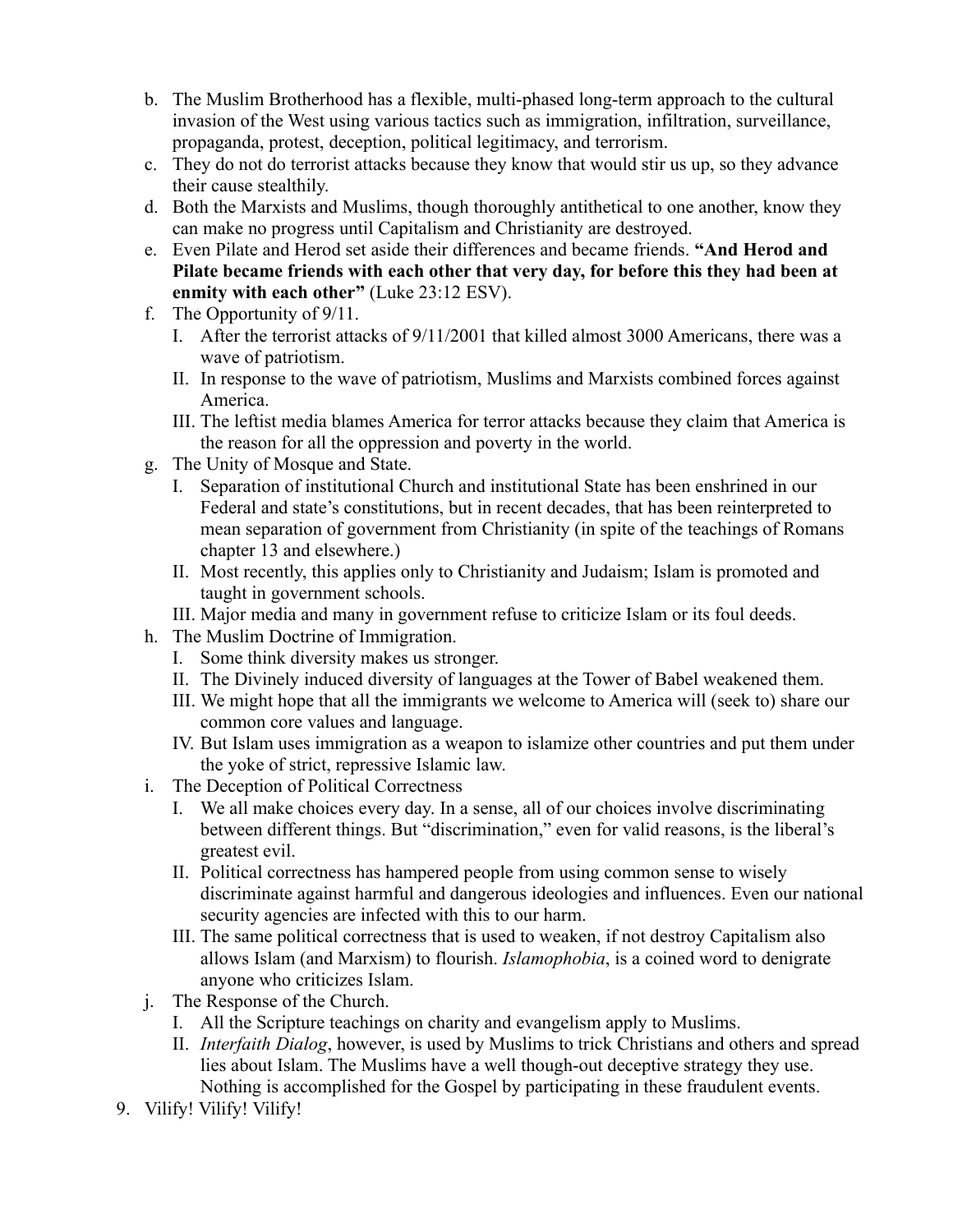- b. The Muslim Brotherhood has a flexible, multi-phased long-term approach to the cultural invasion of the West using various tactics such as immigration, infiltration, surveillance, propaganda, protest, deception, political legitimacy, and terrorism.
- c. They do not do terrorist attacks because they know that would stir us up, so they advance their cause stealthily.
- d. Both the Marxists and Muslims, though thoroughly antithetical to one another, know they can make no progress until Capitalism and Christianity are destroyed.
- e. Even Pilate and Herod set aside their differences and became friends. **"And Herod and Pilate became friends with each other that very day, for before this they had been at enmity with each other"** (Luke 23:12 ESV).
- f. The Opportunity of 9/11.
	- I. After the terrorist attacks of 9/11/2001 that killed almost 3000 Americans, there was a wave of patriotism.
	- II. In response to the wave of patriotism, Muslims and Marxists combined forces against America.
	- III. The leftist media blames America for terror attacks because they claim that America is the reason for all the oppression and poverty in the world.
- g. The Unity of Mosque and State.
	- I. Separation of institutional Church and institutional State has been enshrined in our Federal and state's constitutions, but in recent decades, that has been reinterpreted to mean separation of government from Christianity (in spite of the teachings of Romans chapter 13 and elsewhere.)
	- II. Most recently, this applies only to Christianity and Judaism; Islam is promoted and taught in government schools.
	- III. Major media and many in government refuse to criticize Islam or its foul deeds.
- h. The Muslim Doctrine of Immigration.
	- I. Some think diversity makes us stronger.
	- II. The Divinely induced diversity of languages at the Tower of Babel weakened them.
	- III. We might hope that all the immigrants we welcome to America will (seek to) share our common core values and language.
	- IV. But Islam uses immigration as a weapon to islamize other countries and put them under the yoke of strict, repressive Islamic law.
- i. The Deception of Political Correctness
	- I. We all make choices every day. In a sense, all of our choices involve discriminating between different things. But "discrimination," even for valid reasons, is the liberal's greatest evil.
	- II. Political correctness has hampered people from using common sense to wisely discriminate against harmful and dangerous ideologies and influences. Even our national security agencies are infected with this to our harm.
	- III. The same political correctness that is used to weaken, if not destroy Capitalism also allows Islam (and Marxism) to flourish. *Islamophobia*, is a coined word to denigrate anyone who criticizes Islam.
- j. The Response of the Church.
	- I. All the Scripture teachings on charity and evangelism apply to Muslims.
	- II. *Interfaith Dialog*, however, is used by Muslims to trick Christians and others and spread lies about Islam. The Muslims have a well though-out deceptive strategy they use. Nothing is accomplished for the Gospel by participating in these fraudulent events.
- 9. Vilify! Vilify! Vilify!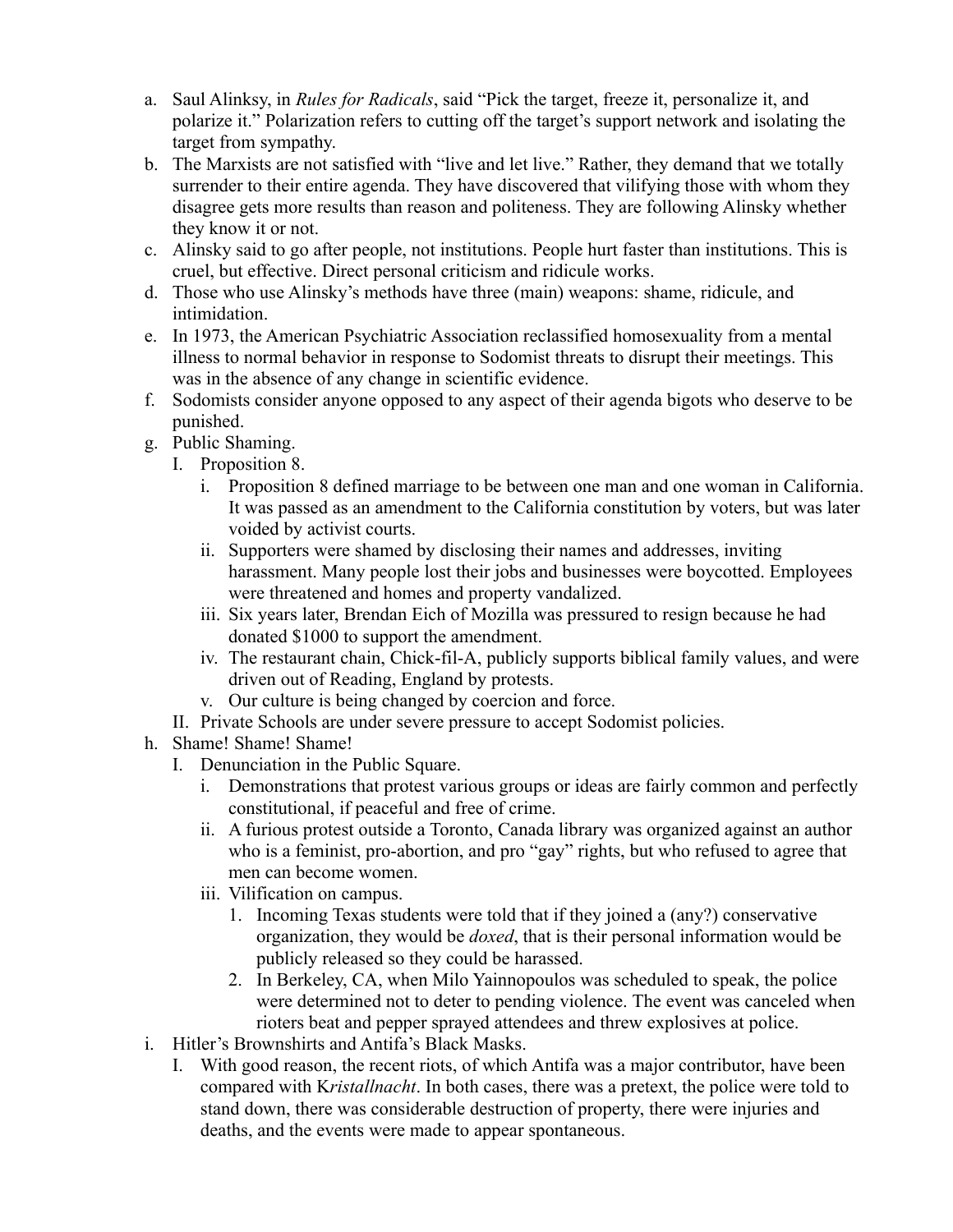- a. Saul Alinksy, in *Rules for Radicals*, said "Pick the target, freeze it, personalize it, and polarize it." Polarization refers to cutting off the target's support network and isolating the target from sympathy.
- b. The Marxists are not satisfied with "live and let live." Rather, they demand that we totally surrender to their entire agenda. They have discovered that vilifying those with whom they disagree gets more results than reason and politeness. They are following Alinsky whether they know it or not.
- c. Alinsky said to go after people, not institutions. People hurt faster than institutions. This is cruel, but effective. Direct personal criticism and ridicule works.
- d. Those who use Alinsky's methods have three (main) weapons: shame, ridicule, and intimidation.
- e. In 1973, the American Psychiatric Association reclassified homosexuality from a mental illness to normal behavior in response to Sodomist threats to disrupt their meetings. This was in the absence of any change in scientific evidence.
- f. Sodomists consider anyone opposed to any aspect of their agenda bigots who deserve to be punished.
- g. Public Shaming.
	- I. Proposition 8.
		- i. Proposition 8 defined marriage to be between one man and one woman in California. It was passed as an amendment to the California constitution by voters, but was later voided by activist courts.
		- ii. Supporters were shamed by disclosing their names and addresses, inviting harassment. Many people lost their jobs and businesses were boycotted. Employees were threatened and homes and property vandalized.
		- iii. Six years later, Brendan Eich of Mozilla was pressured to resign because he had donated \$1000 to support the amendment.
		- iv. The restaurant chain, Chick-fil-A, publicly supports biblical family values, and were driven out of Reading, England by protests.
		- v. Our culture is being changed by coercion and force.
	- II. Private Schools are under severe pressure to accept Sodomist policies.
- h. Shame! Shame! Shame!
	- I. Denunciation in the Public Square.
		- i. Demonstrations that protest various groups or ideas are fairly common and perfectly constitutional, if peaceful and free of crime.
		- ii. A furious protest outside a Toronto, Canada library was organized against an author who is a feminist, pro-abortion, and pro "gay" rights, but who refused to agree that men can become women.
		- iii. Vilification on campus.
			- 1. Incoming Texas students were told that if they joined a (any?) conservative organization, they would be *doxed*, that is their personal information would be publicly released so they could be harassed.
			- 2. In Berkeley, CA, when Milo Yainnopoulos was scheduled to speak, the police were determined not to deter to pending violence. The event was canceled when rioters beat and pepper sprayed attendees and threw explosives at police.
- i. Hitler's Brownshirts and Antifa's Black Masks.
	- I. With good reason, the recent riots, of which Antifa was a major contributor, have been compared with K*ristallnacht*. In both cases, there was a pretext, the police were told to stand down, there was considerable destruction of property, there were injuries and deaths, and the events were made to appear spontaneous.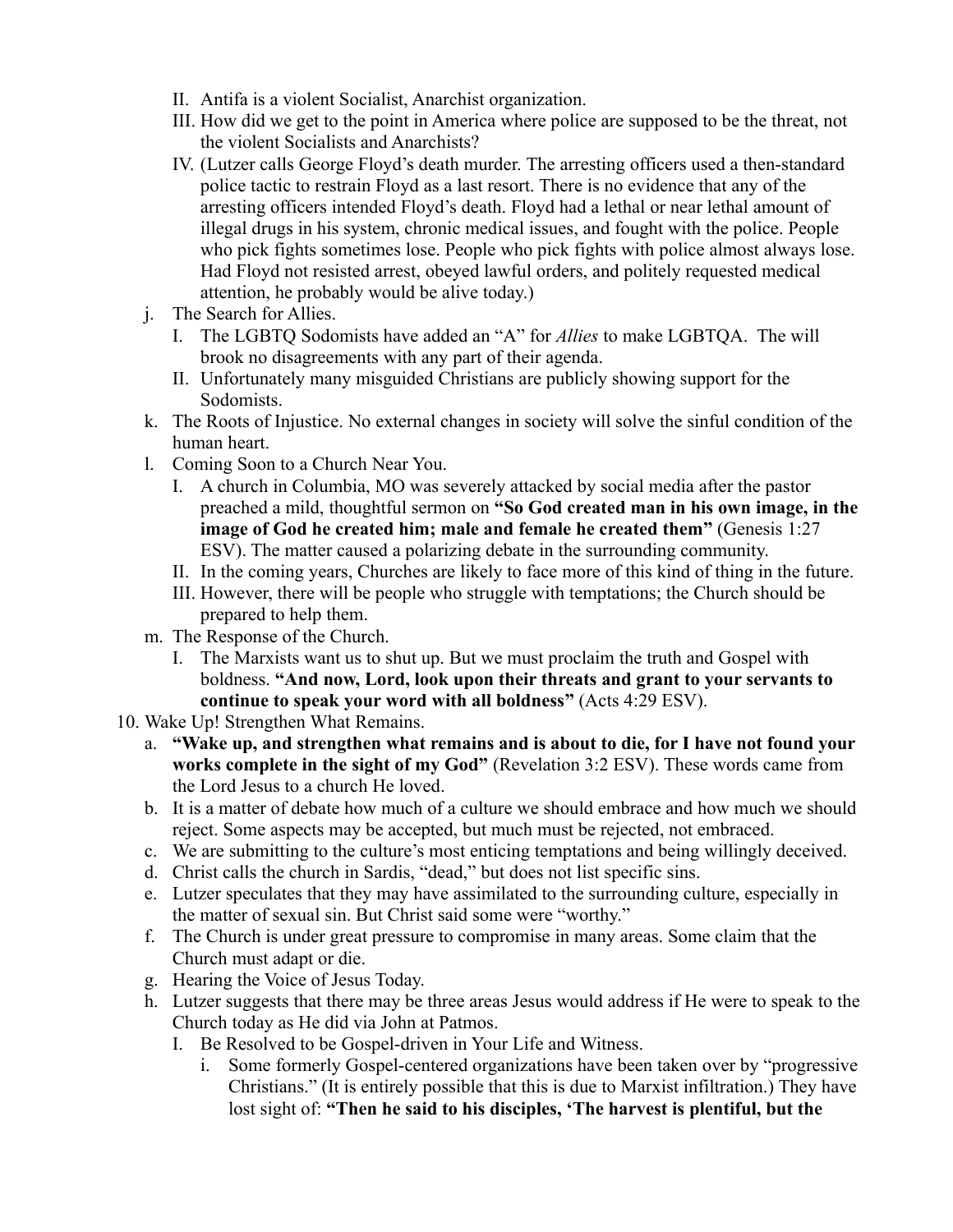- II. Antifa is a violent Socialist, Anarchist organization.
- III. How did we get to the point in America where police are supposed to be the threat, not the violent Socialists and Anarchists?
- IV. (Lutzer calls George Floyd's death murder. The arresting officers used a then-standard police tactic to restrain Floyd as a last resort. There is no evidence that any of the arresting officers intended Floyd's death. Floyd had a lethal or near lethal amount of illegal drugs in his system, chronic medical issues, and fought with the police. People who pick fights sometimes lose. People who pick fights with police almost always lose. Had Floyd not resisted arrest, obeyed lawful orders, and politely requested medical attention, he probably would be alive today.)
- j. The Search for Allies.
	- I. The LGBTQ Sodomists have added an "A" for *Allies* to make LGBTQA. The will brook no disagreements with any part of their agenda.
	- II. Unfortunately many misguided Christians are publicly showing support for the Sodomists.
- k. The Roots of Injustice. No external changes in society will solve the sinful condition of the human heart.
- l. Coming Soon to a Church Near You.
	- I. A church in Columbia, MO was severely attacked by social media after the pastor preached a mild, thoughtful sermon on **"So God created man in his own image, in the image of God he created him; male and female he created them"** (Genesis 1:27 ESV). The matter caused a polarizing debate in the surrounding community.
	- II. In the coming years, Churches are likely to face more of this kind of thing in the future.
	- III. However, there will be people who struggle with temptations; the Church should be prepared to help them.
- m. The Response of the Church.
	- I. The Marxists want us to shut up. But we must proclaim the truth and Gospel with boldness. **"And now, Lord, look upon their threats and grant to your servants to continue to speak your word with all boldness"** (Acts 4:29 ESV).
- 10. Wake Up! Strengthen What Remains.
	- a. **"Wake up, and strengthen what remains and is about to die, for I have not found your works complete in the sight of my God"** (Revelation 3:2 ESV). These words came from the Lord Jesus to a church He loved.
	- b. It is a matter of debate how much of a culture we should embrace and how much we should reject. Some aspects may be accepted, but much must be rejected, not embraced.
	- c. We are submitting to the culture's most enticing temptations and being willingly deceived.
	- d. Christ calls the church in Sardis, "dead," but does not list specific sins.
	- e. Lutzer speculates that they may have assimilated to the surrounding culture, especially in the matter of sexual sin. But Christ said some were "worthy."
	- f. The Church is under great pressure to compromise in many areas. Some claim that the Church must adapt or die.
	- g. Hearing the Voice of Jesus Today.
	- h. Lutzer suggests that there may be three areas Jesus would address if He were to speak to the Church today as He did via John at Patmos.
		- I. Be Resolved to be Gospel-driven in Your Life and Witness.
			- i. Some formerly Gospel-centered organizations have been taken over by "progressive Christians." (It is entirely possible that this is due to Marxist infiltration.) They have lost sight of: **"Then he said to his disciples, 'The harvest is plentiful, but the**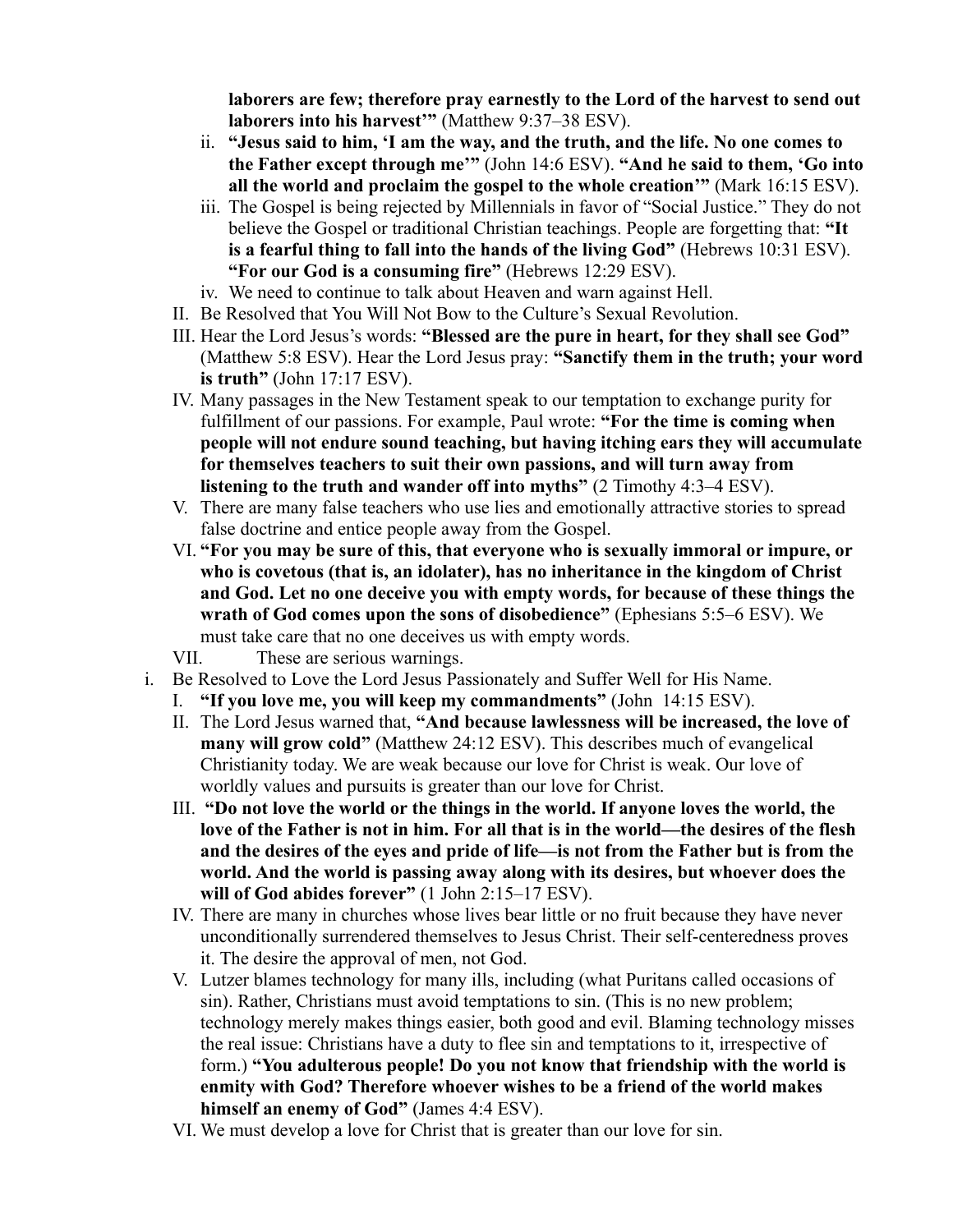**laborers are few; therefore pray earnestly to the Lord of the harvest to send out laborers into his harvest'"** (Matthew 9:37–38 ESV).

- ii. **"Jesus said to him, 'I am the way, and the truth, and the life. No one comes to the Father except through me'"** (John 14:6 ESV). **"And he said to them, 'Go into all the world and proclaim the gospel to the whole creation'"** (Mark 16:15 ESV).
- iii. The Gospel is being rejected by Millennials in favor of "Social Justice." They do not believe the Gospel or traditional Christian teachings. People are forgetting that: **"It is a fearful thing to fall into the hands of the living God"** (Hebrews 10:31 ESV). **"For our God is a consuming fire"** (Hebrews 12:29 ESV).
- iv. We need to continue to talk about Heaven and warn against Hell.
- II. Be Resolved that You Will Not Bow to the Culture's Sexual Revolution.
- III. Hear the Lord Jesus's words: **"Blessed are the pure in heart, for they shall see God"** (Matthew 5:8 ESV). Hear the Lord Jesus pray: **"Sanctify them in the truth; your word is truth"** (John 17:17 ESV).
- IV. Many passages in the New Testament speak to our temptation to exchange purity for fulfillment of our passions. For example, Paul wrote: **"For the time is coming when people will not endure sound teaching, but having itching ears they will accumulate for themselves teachers to suit their own passions, and will turn away from listening to the truth and wander off into myths"** (2 Timothy 4:3–4 ESV).
- V. There are many false teachers who use lies and emotionally attractive stories to spread false doctrine and entice people away from the Gospel.
- VI. **"For you may be sure of this, that everyone who is sexually immoral or impure, or who is covetous (that is, an idolater), has no inheritance in the kingdom of Christ and God. Let no one deceive you with empty words, for because of these things the wrath of God comes upon the sons of disobedience"** (Ephesians 5:5–6 ESV). We must take care that no one deceives us with empty words.
- VII. These are serious warnings.
- i. Be Resolved to Love the Lord Jesus Passionately and Suffer Well for His Name.
	- I. **"If you love me, you will keep my commandments"** (John 14:15 ESV).
	- II. The Lord Jesus warned that, **"And because lawlessness will be increased, the love of many will grow cold"** (Matthew 24:12 ESV). This describes much of evangelical Christianity today. We are weak because our love for Christ is weak. Our love of worldly values and pursuits is greater than our love for Christ.
	- III. **"Do not love the world or the things in the world. If anyone loves the world, the love of the Father is not in him. For all that is in the world—the desires of the flesh and the desires of the eyes and pride of life—is not from the Father but is from the world. And the world is passing away along with its desires, but whoever does the will of God abides forever"** (1 John 2:15–17 ESV).
	- IV. There are many in churches whose lives bear little or no fruit because they have never unconditionally surrendered themselves to Jesus Christ. Their self-centeredness proves it. The desire the approval of men, not God.
	- V. Lutzer blames technology for many ills, including (what Puritans called occasions of sin). Rather, Christians must avoid temptations to sin. (This is no new problem; technology merely makes things easier, both good and evil. Blaming technology misses the real issue: Christians have a duty to flee sin and temptations to it, irrespective of form.) **"You adulterous people! Do you not know that friendship with the world is enmity with God? Therefore whoever wishes to be a friend of the world makes himself an enemy of God"** (James 4:4 ESV).
	- VI. We must develop a love for Christ that is greater than our love for sin.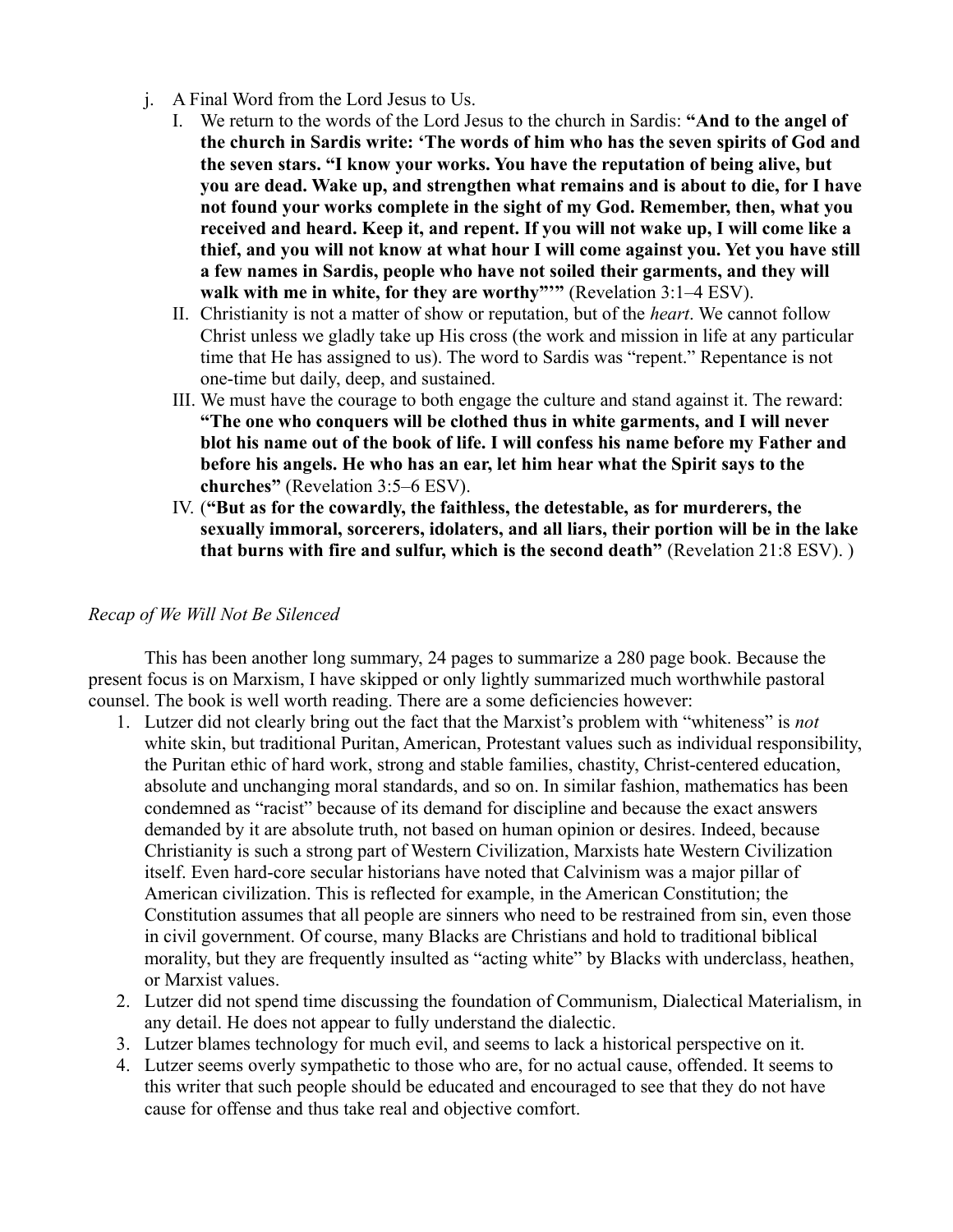- j. A Final Word from the Lord Jesus to Us.
	- I. We return to the words of the Lord Jesus to the church in Sardis: **"And to the angel of the church in Sardis write: 'The words of him who has the seven spirits of God and the seven stars. "I know your works. You have the reputation of being alive, but you are dead. Wake up, and strengthen what remains and is about to die, for I have not found your works complete in the sight of my God. Remember, then, what you received and heard. Keep it, and repent. If you will not wake up, I will come like a thief, and you will not know at what hour I will come against you. Yet you have still a few names in Sardis, people who have not soiled their garments, and they will walk with me in white, for they are worthy"'"** (Revelation 3:1–4 ESV).
	- II. Christianity is not a matter of show or reputation, but of the *heart*. We cannot follow Christ unless we gladly take up His cross (the work and mission in life at any particular time that He has assigned to us). The word to Sardis was "repent." Repentance is not one-time but daily, deep, and sustained.
	- III. We must have the courage to both engage the culture and stand against it. The reward: **"The one who conquers will be clothed thus in white garments, and I will never blot his name out of the book of life. I will confess his name before my Father and before his angels. He who has an ear, let him hear what the Spirit says to the churches"** (Revelation 3:5–6 ESV).
	- IV. (**"But as for the cowardly, the faithless, the detestable, as for murderers, the sexually immoral, sorcerers, idolaters, and all liars, their portion will be in the lake that burns with fire and sulfur, which is the second death"** (Revelation 21:8 ESV). )

### <span id="page-51-0"></span>*Recap of We Will Not Be Silenced*

This has been another long summary, 24 pages to summarize a 280 page book. Because the present focus is on Marxism, I have skipped or only lightly summarized much worthwhile pastoral counsel. The book is well worth reading. There are a some deficiencies however:

- 1. Lutzer did not clearly bring out the fact that the Marxist's problem with "whiteness" is *not* white skin, but traditional Puritan, American, Protestant values such as individual responsibility, the Puritan ethic of hard work, strong and stable families, chastity, Christ-centered education, absolute and unchanging moral standards, and so on. In similar fashion, mathematics has been condemned as "racist" because of its demand for discipline and because the exact answers demanded by it are absolute truth, not based on human opinion or desires. Indeed, because Christianity is such a strong part of Western Civilization, Marxists hate Western Civilization itself. Even hard-core secular historians have noted that Calvinism was a major pillar of American civilization. This is reflected for example, in the American Constitution; the Constitution assumes that all people are sinners who need to be restrained from sin, even those in civil government. Of course, many Blacks are Christians and hold to traditional biblical morality, but they are frequently insulted as "acting white" by Blacks with underclass, heathen, or Marxist values.
- 2. Lutzer did not spend time discussing the foundation of Communism, Dialectical Materialism, in any detail. He does not appear to fully understand the dialectic.
- 3. Lutzer blames technology for much evil, and seems to lack a historical perspective on it.
- 4. Lutzer seems overly sympathetic to those who are, for no actual cause, offended. It seems to this writer that such people should be educated and encouraged to see that they do not have cause for offense and thus take real and objective comfort.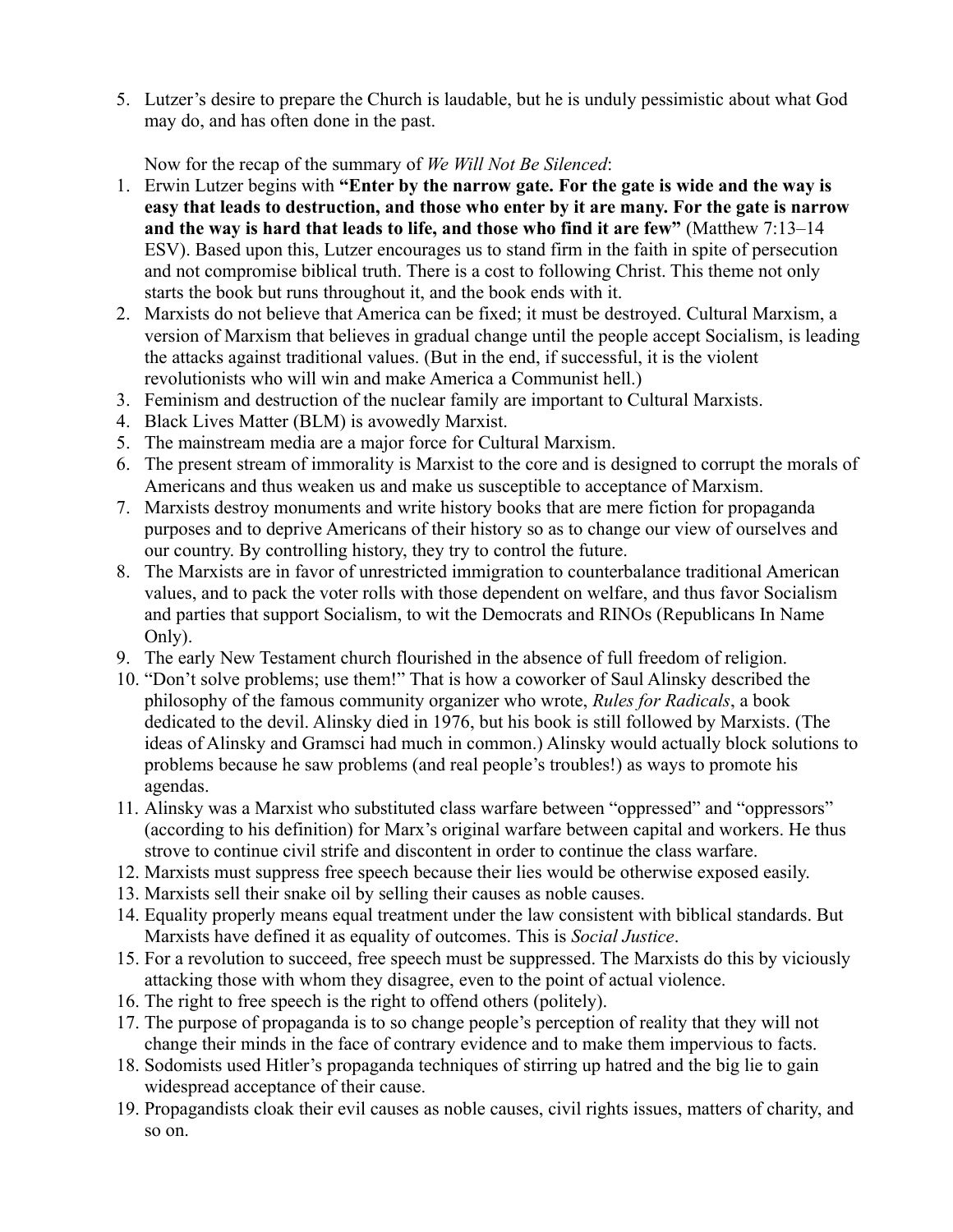5. Lutzer's desire to prepare the Church is laudable, but he is unduly pessimistic about what God may do, and has often done in the past.

Now for the recap of the summary of *We Will Not Be Silenced*:

- 1. Erwin Lutzer begins with **"Enter by the narrow gate. For the gate is wide and the way is easy that leads to destruction, and those who enter by it are many. For the gate is narrow and the way is hard that leads to life, and those who find it are few"** (Matthew 7:13–14 ESV). Based upon this, Lutzer encourages us to stand firm in the faith in spite of persecution and not compromise biblical truth. There is a cost to following Christ. This theme not only starts the book but runs throughout it, and the book ends with it.
- 2. Marxists do not believe that America can be fixed; it must be destroyed. Cultural Marxism, a version of Marxism that believes in gradual change until the people accept Socialism, is leading the attacks against traditional values. (But in the end, if successful, it is the violent revolutionists who will win and make America a Communist hell.)
- 3. Feminism and destruction of the nuclear family are important to Cultural Marxists.
- 4. Black Lives Matter (BLM) is avowedly Marxist.
- 5. The mainstream media are a major force for Cultural Marxism.
- 6. The present stream of immorality is Marxist to the core and is designed to corrupt the morals of Americans and thus weaken us and make us susceptible to acceptance of Marxism.
- 7. Marxists destroy monuments and write history books that are mere fiction for propaganda purposes and to deprive Americans of their history so as to change our view of ourselves and our country. By controlling history, they try to control the future.
- 8. The Marxists are in favor of unrestricted immigration to counterbalance traditional American values, and to pack the voter rolls with those dependent on welfare, and thus favor Socialism and parties that support Socialism, to wit the Democrats and RINOs (Republicans In Name Only).
- 9. The early New Testament church flourished in the absence of full freedom of religion.
- 10. "Don't solve problems; use them!" That is how a coworker of Saul Alinsky described the philosophy of the famous community organizer who wrote, *Rules for Radicals*, a book dedicated to the devil. Alinsky died in 1976, but his book is still followed by Marxists. (The ideas of Alinsky and Gramsci had much in common.) Alinsky would actually block solutions to problems because he saw problems (and real people's troubles!) as ways to promote his agendas.
- 11. Alinsky was a Marxist who substituted class warfare between "oppressed" and "oppressors" (according to his definition) for Marx's original warfare between capital and workers. He thus strove to continue civil strife and discontent in order to continue the class warfare.
- 12. Marxists must suppress free speech because their lies would be otherwise exposed easily.
- 13. Marxists sell their snake oil by selling their causes as noble causes.
- 14. Equality properly means equal treatment under the law consistent with biblical standards. But Marxists have defined it as equality of outcomes. This is *Social Justice*.
- 15. For a revolution to succeed, free speech must be suppressed. The Marxists do this by viciously attacking those with whom they disagree, even to the point of actual violence.
- 16. The right to free speech is the right to offend others (politely).
- 17. The purpose of propaganda is to so change people's perception of reality that they will not change their minds in the face of contrary evidence and to make them impervious to facts.
- 18. Sodomists used Hitler's propaganda techniques of stirring up hatred and the big lie to gain widespread acceptance of their cause.
- 19. Propagandists cloak their evil causes as noble causes, civil rights issues, matters of charity, and so on.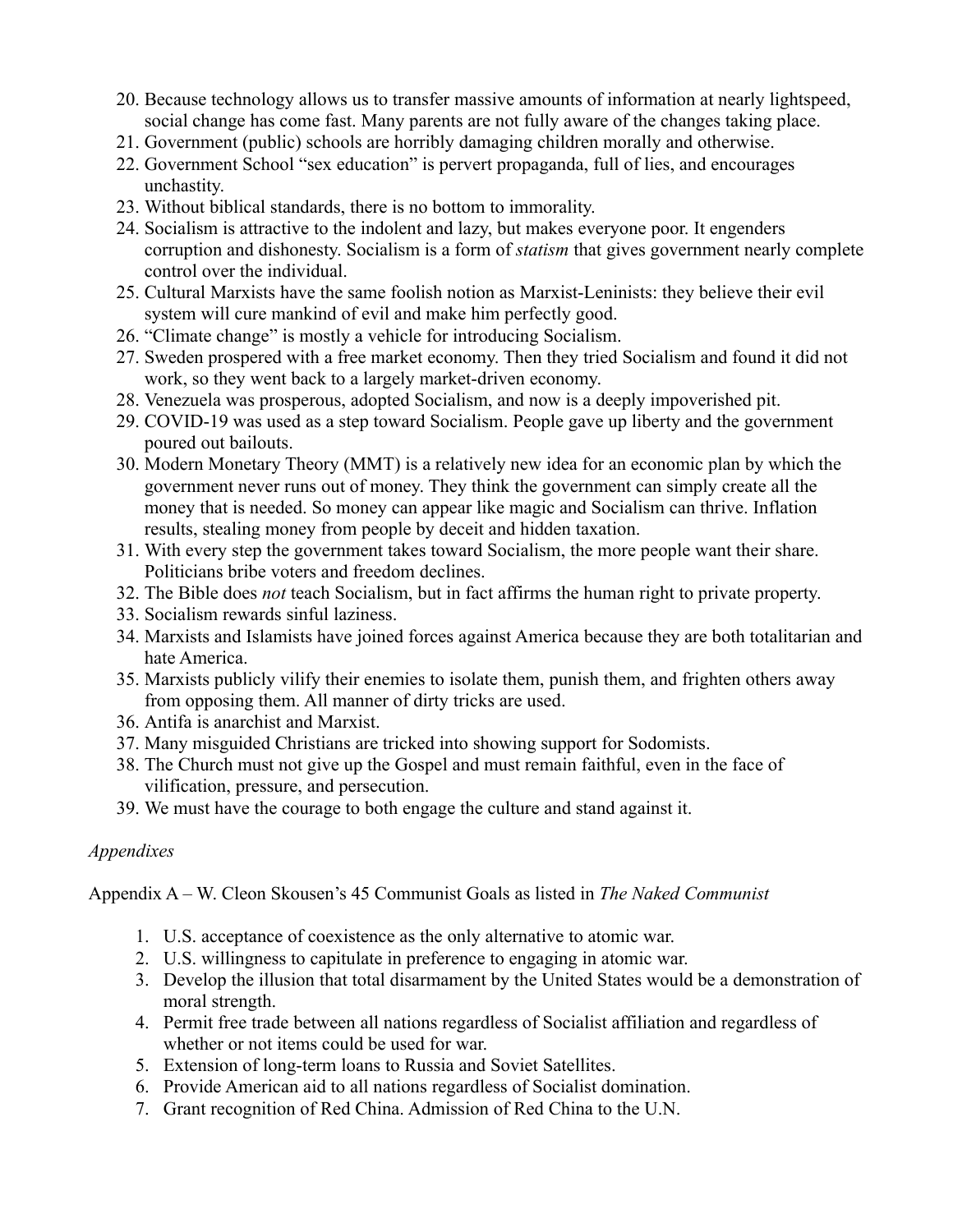- 20. Because technology allows us to transfer massive amounts of information at nearly lightspeed, social change has come fast. Many parents are not fully aware of the changes taking place.
- 21. Government (public) schools are horribly damaging children morally and otherwise.
- 22. Government School "sex education" is pervert propaganda, full of lies, and encourages unchastity.
- 23. Without biblical standards, there is no bottom to immorality.
- 24. Socialism is attractive to the indolent and lazy, but makes everyone poor. It engenders corruption and dishonesty. Socialism is a form of *statism* that gives government nearly complete control over the individual.
- 25. Cultural Marxists have the same foolish notion as Marxist-Leninists: they believe their evil system will cure mankind of evil and make him perfectly good.
- 26. "Climate change" is mostly a vehicle for introducing Socialism.
- 27. Sweden prospered with a free market economy. Then they tried Socialism and found it did not work, so they went back to a largely market-driven economy.
- 28. Venezuela was prosperous, adopted Socialism, and now is a deeply impoverished pit.
- 29. COVID-19 was used as a step toward Socialism. People gave up liberty and the government poured out bailouts.
- 30. Modern Monetary Theory (MMT) is a relatively new idea for an economic plan by which the government never runs out of money. They think the government can simply create all the money that is needed. So money can appear like magic and Socialism can thrive. Inflation results, stealing money from people by deceit and hidden taxation.
- 31. With every step the government takes toward Socialism, the more people want their share. Politicians bribe voters and freedom declines.
- 32. The Bible does *not* teach Socialism, but in fact affirms the human right to private property.
- 33. Socialism rewards sinful laziness.
- 34. Marxists and Islamists have joined forces against America because they are both totalitarian and hate America.
- 35. Marxists publicly vilify their enemies to isolate them, punish them, and frighten others away from opposing them. All manner of dirty tricks are used.
- 36. Antifa is anarchist and Marxist.
- 37. Many misguided Christians are tricked into showing support for Sodomists.
- 38. The Church must not give up the Gospel and must remain faithful, even in the face of vilification, pressure, and persecution.
- 39. We must have the courage to both engage the culture and stand against it.

# <span id="page-53-0"></span>*Appendixes*

Appendix A – W. Cleon Skousen's 45 Communist Goals as listed in *The Naked Communist*

- 1. U.S. acceptance of coexistence as the only alternative to atomic war.
- 2. U.S. willingness to capitulate in preference to engaging in atomic war.
- 3. Develop the illusion that total disarmament by the United States would be a demonstration of moral strength.
- 4. Permit free trade between all nations regardless of Socialist affiliation and regardless of whether or not items could be used for war.
- 5. Extension of long-term loans to Russia and Soviet Satellites.
- 6. Provide American aid to all nations regardless of Socialist domination.
- 7. Grant recognition of Red China. Admission of Red China to the U.N.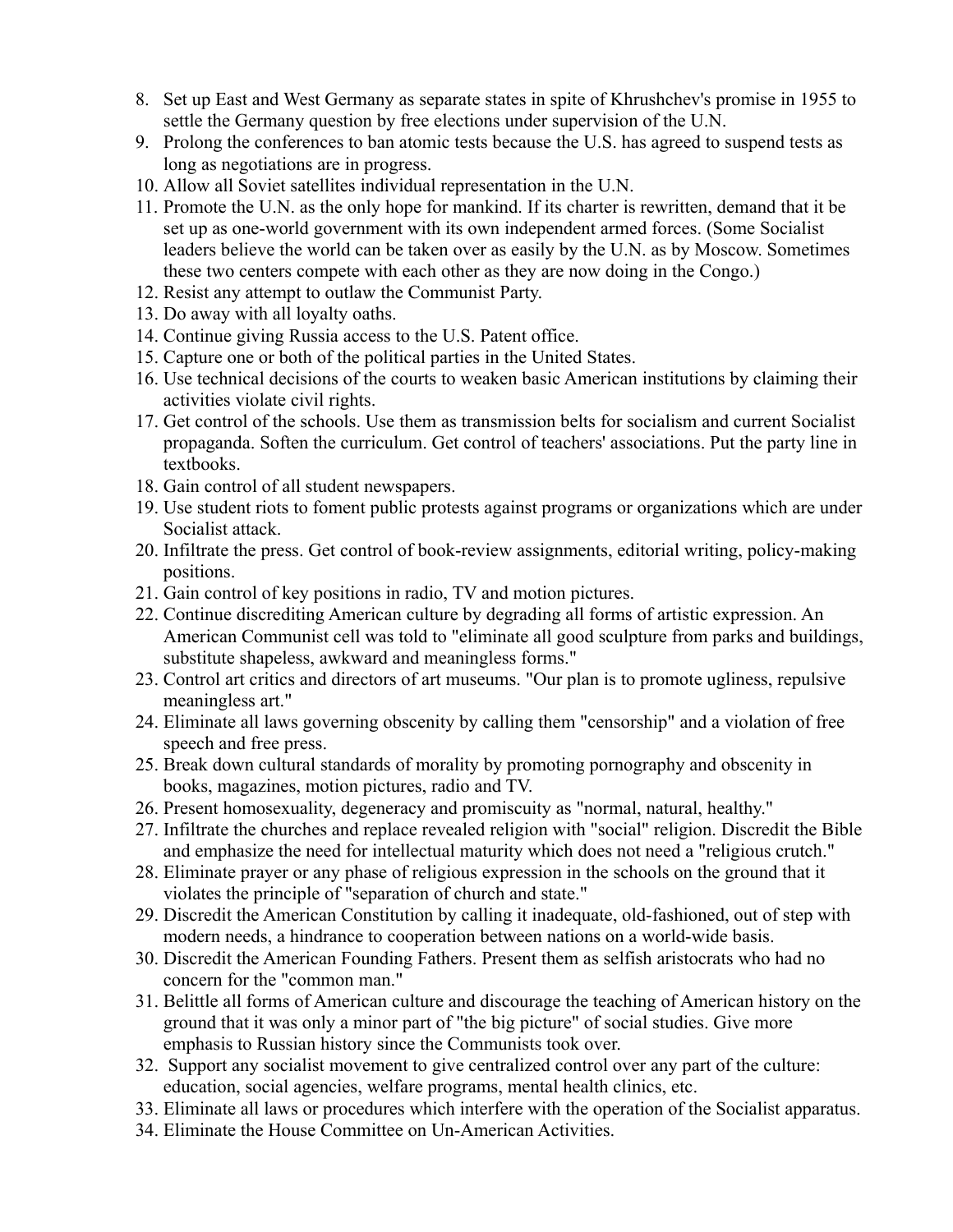- 8. Set up East and West Germany as separate states in spite of Khrushchev's promise in 1955 to settle the Germany question by free elections under supervision of the U.N.
- 9. Prolong the conferences to ban atomic tests because the U.S. has agreed to suspend tests as long as negotiations are in progress.
- 10. Allow all Soviet satellites individual representation in the U.N.
- 11. Promote the U.N. as the only hope for mankind. If its charter is rewritten, demand that it be set up as one-world government with its own independent armed forces. (Some Socialist leaders believe the world can be taken over as easily by the U.N. as by Moscow. Sometimes these two centers compete with each other as they are now doing in the Congo.)
- 12. Resist any attempt to outlaw the Communist Party.
- 13. Do away with all loyalty oaths.
- 14. Continue giving Russia access to the U.S. Patent office.
- 15. Capture one or both of the political parties in the United States.
- 16. Use technical decisions of the courts to weaken basic American institutions by claiming their activities violate civil rights.
- 17. Get control of the schools. Use them as transmission belts for socialism and current Socialist propaganda. Soften the curriculum. Get control of teachers' associations. Put the party line in textbooks.
- 18. Gain control of all student newspapers.
- 19. Use student riots to foment public protests against programs or organizations which are under Socialist attack.
- 20. Infiltrate the press. Get control of book-review assignments, editorial writing, policy-making positions.
- 21. Gain control of key positions in radio, TV and motion pictures.
- 22. Continue discrediting American culture by degrading all forms of artistic expression. An American Communist cell was told to "eliminate all good sculpture from parks and buildings, substitute shapeless, awkward and meaningless forms."
- 23. Control art critics and directors of art museums. "Our plan is to promote ugliness, repulsive meaningless art."
- 24. Eliminate all laws governing obscenity by calling them "censorship" and a violation of free speech and free press.
- 25. Break down cultural standards of morality by promoting pornography and obscenity in books, magazines, motion pictures, radio and TV.
- 26. Present homosexuality, degeneracy and promiscuity as "normal, natural, healthy."
- 27. Infiltrate the churches and replace revealed religion with "social" religion. Discredit the Bible and emphasize the need for intellectual maturity which does not need a "religious crutch."
- 28. Eliminate prayer or any phase of religious expression in the schools on the ground that it violates the principle of "separation of church and state."
- 29. Discredit the American Constitution by calling it inadequate, old-fashioned, out of step with modern needs, a hindrance to cooperation between nations on a world-wide basis.
- 30. Discredit the American Founding Fathers. Present them as selfish aristocrats who had no concern for the "common man."
- 31. Belittle all forms of American culture and discourage the teaching of American history on the ground that it was only a minor part of "the big picture" of social studies. Give more emphasis to Russian history since the Communists took over.
- 32. Support any socialist movement to give centralized control over any part of the culture: education, social agencies, welfare programs, mental health clinics, etc.
- 33. Eliminate all laws or procedures which interfere with the operation of the Socialist apparatus.
- 34. Eliminate the House Committee on Un-American Activities.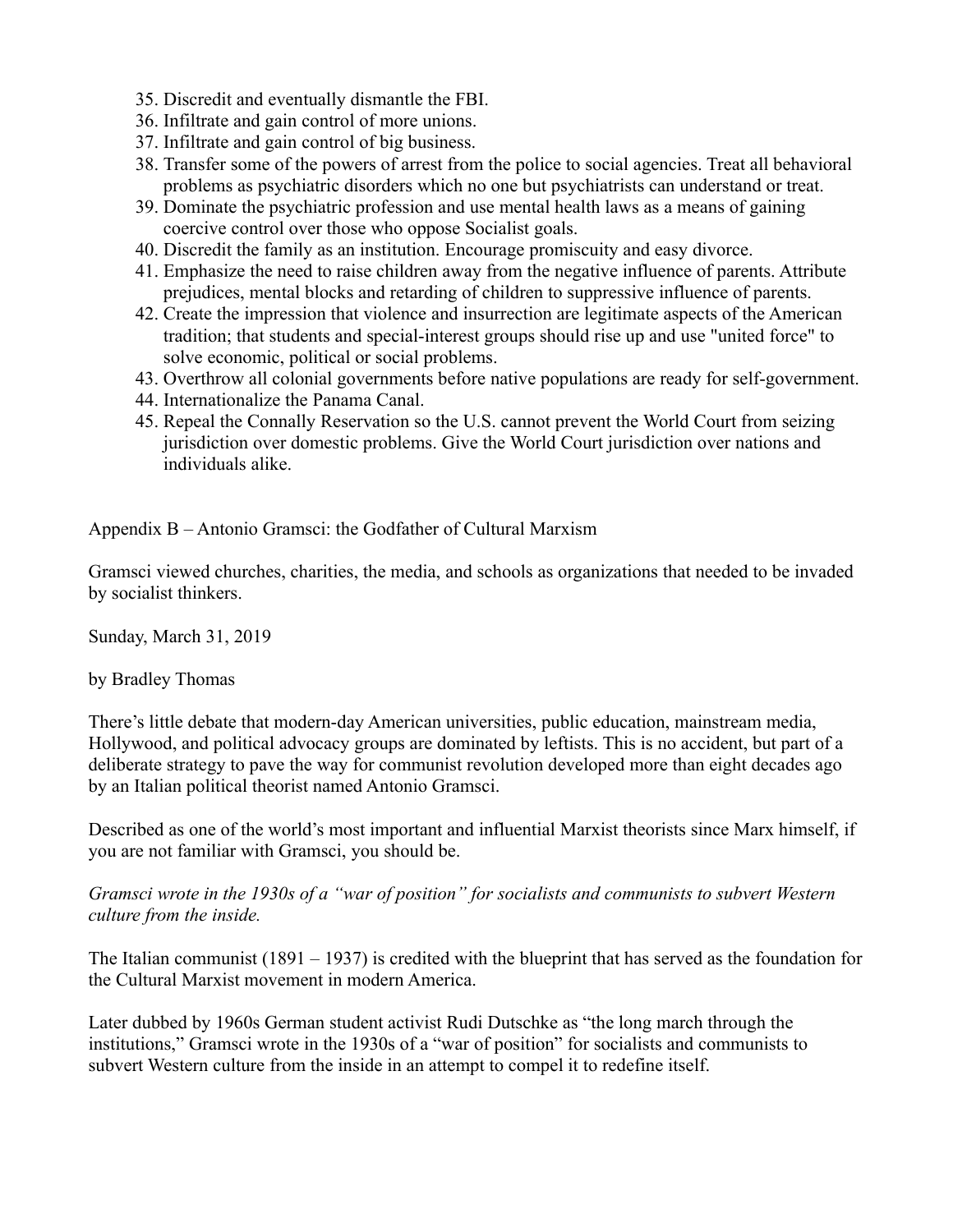- 35. Discredit and eventually dismantle the FBI.
- 36. Infiltrate and gain control of more unions.
- 37. Infiltrate and gain control of big business.
- 38. Transfer some of the powers of arrest from the police to social agencies. Treat all behavioral problems as psychiatric disorders which no one but psychiatrists can understand or treat.
- 39. Dominate the psychiatric profession and use mental health laws as a means of gaining coercive control over those who oppose Socialist goals.
- 40. Discredit the family as an institution. Encourage promiscuity and easy divorce.
- 41. Emphasize the need to raise children away from the negative influence of parents. Attribute prejudices, mental blocks and retarding of children to suppressive influence of parents.
- 42. Create the impression that violence and insurrection are legitimate aspects of the American tradition; that students and special-interest groups should rise up and use "united force" to solve economic, political or social problems.
- 43. Overthrow all colonial governments before native populations are ready for self-government.
- 44. Internationalize the Panama Canal.
- 45. Repeal the Connally Reservation so the U.S. cannot prevent the World Court from seizing jurisdiction over domestic problems. Give the World Court jurisdiction over nations and individuals alike.

Appendix B – Antonio Gramsci: the Godfather of Cultural Marxism

Gramsci viewed churches, charities, the media, and schools as organizations that needed to be invaded by socialist thinkers.

Sunday, March 31, 2019

by Bradley Thomas

There's little debate that modern-day American universities, public education, mainstream media, Hollywood, and political advocacy groups are dominated by leftists. This is no accident, but part of a deliberate strategy to pave the way for communist revolution developed more than eight decades ago by an Italian political theorist named Antonio Gramsci.

Described as one of the world's most important and influential Marxist theorists since Marx himself, if you are not familiar with Gramsci, you should be.

*Gramsci wrote in the 1930s of a "war of position" for socialists and communists to subvert Western culture from the inside.*

The Italian communist (1891 – 1937) is credited with the blueprint that has served as the foundation for the Cultural Marxist movement in modern America.

Later dubbed by 1960s German student activist Rudi Dutschke as "the long march through the institutions," Gramsci wrote in the 1930s of a "war of position" for socialists and communists to subvert Western culture from the inside in an attempt to compel it to redefine itself.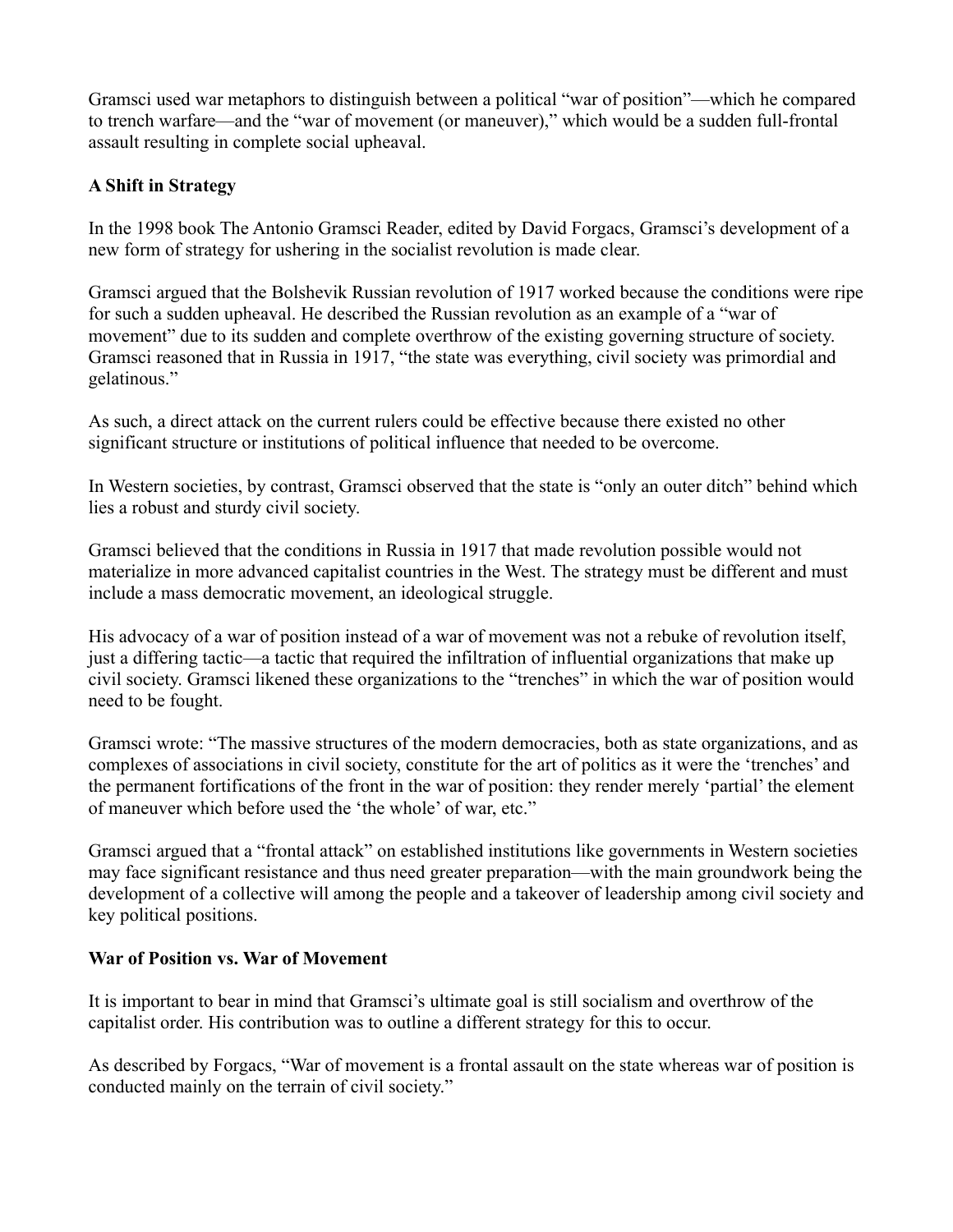Gramsci used war metaphors to distinguish between a political "war of position"—which he compared to trench warfare—and the "war of movement (or maneuver)," which would be a sudden full-frontal assault resulting in complete social upheaval.

# **A Shift in Strategy**

In the 1998 book The Antonio Gramsci Reader, edited by David Forgacs, Gramsci's development of a new form of strategy for ushering in the socialist revolution is made clear.

Gramsci argued that the Bolshevik Russian revolution of 1917 worked because the conditions were ripe for such a sudden upheaval. He described the Russian revolution as an example of a "war of movement" due to its sudden and complete overthrow of the existing governing structure of society. Gramsci reasoned that in Russia in 1917, "the state was everything, civil society was primordial and gelatinous."

As such, a direct attack on the current rulers could be effective because there existed no other significant structure or institutions of political influence that needed to be overcome.

In Western societies, by contrast, Gramsci observed that the state is "only an outer ditch" behind which lies a robust and sturdy civil society.

Gramsci believed that the conditions in Russia in 1917 that made revolution possible would not materialize in more advanced capitalist countries in the West. The strategy must be different and must include a mass democratic movement, an ideological struggle.

His advocacy of a war of position instead of a war of movement was not a rebuke of revolution itself, just a differing tactic—a tactic that required the infiltration of influential organizations that make up civil society. Gramsci likened these organizations to the "trenches" in which the war of position would need to be fought.

Gramsci wrote: "The massive structures of the modern democracies, both as state organizations, and as complexes of associations in civil society, constitute for the art of politics as it were the 'trenches' and the permanent fortifications of the front in the war of position: they render merely 'partial' the element of maneuver which before used the 'the whole' of war, etc."

Gramsci argued that a "frontal attack" on established institutions like governments in Western societies may face significant resistance and thus need greater preparation—with the main groundwork being the development of a collective will among the people and a takeover of leadership among civil society and key political positions.

# **War of Position vs. War of Movement**

It is important to bear in mind that Gramsci's ultimate goal is still socialism and overthrow of the capitalist order. His contribution was to outline a different strategy for this to occur.

As described by Forgacs, "War of movement is a frontal assault on the state whereas war of position is conducted mainly on the terrain of civil society."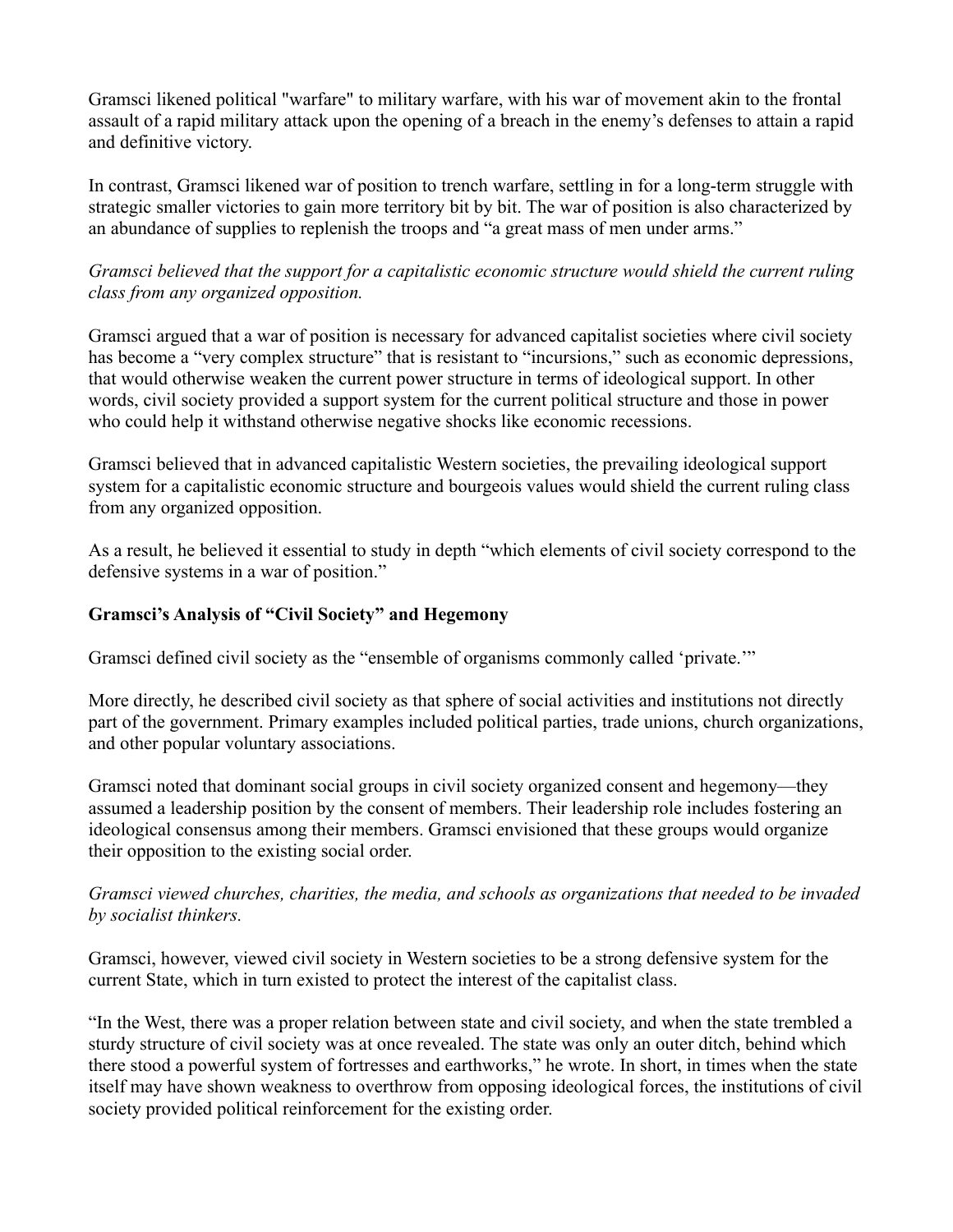Gramsci likened political "warfare" to military warfare, with his war of movement akin to the frontal assault of a rapid military attack upon the opening of a breach in the enemy's defenses to attain a rapid and definitive victory.

In contrast, Gramsci likened war of position to trench warfare, settling in for a long-term struggle with strategic smaller victories to gain more territory bit by bit. The war of position is also characterized by an abundance of supplies to replenish the troops and "a great mass of men under arms."

*Gramsci believed that the support for a capitalistic economic structure would shield the current ruling class from any organized opposition.*

Gramsci argued that a war of position is necessary for advanced capitalist societies where civil society has become a "very complex structure" that is resistant to "incursions," such as economic depressions, that would otherwise weaken the current power structure in terms of ideological support. In other words, civil society provided a support system for the current political structure and those in power who could help it withstand otherwise negative shocks like economic recessions.

Gramsci believed that in advanced capitalistic Western societies, the prevailing ideological support system for a capitalistic economic structure and bourgeois values would shield the current ruling class from any organized opposition.

As a result, he believed it essential to study in depth "which elements of civil society correspond to the defensive systems in a war of position."

### **Gramsci's Analysis of "Civil Society" and Hegemony**

Gramsci defined civil society as the "ensemble of organisms commonly called 'private.'"

More directly, he described civil society as that sphere of social activities and institutions not directly part of the government. Primary examples included political parties, trade unions, church organizations, and other popular voluntary associations.

Gramsci noted that dominant social groups in civil society organized consent and hegemony—they assumed a leadership position by the consent of members. Their leadership role includes fostering an ideological consensus among their members. Gramsci envisioned that these groups would organize their opposition to the existing social order.

# *Gramsci viewed churches, charities, the media, and schools as organizations that needed to be invaded by socialist thinkers.*

Gramsci, however, viewed civil society in Western societies to be a strong defensive system for the current State, which in turn existed to protect the interest of the capitalist class.

"In the West, there was a proper relation between state and civil society, and when the state trembled a sturdy structure of civil society was at once revealed. The state was only an outer ditch, behind which there stood a powerful system of fortresses and earthworks," he wrote. In short, in times when the state itself may have shown weakness to overthrow from opposing ideological forces, the institutions of civil society provided political reinforcement for the existing order.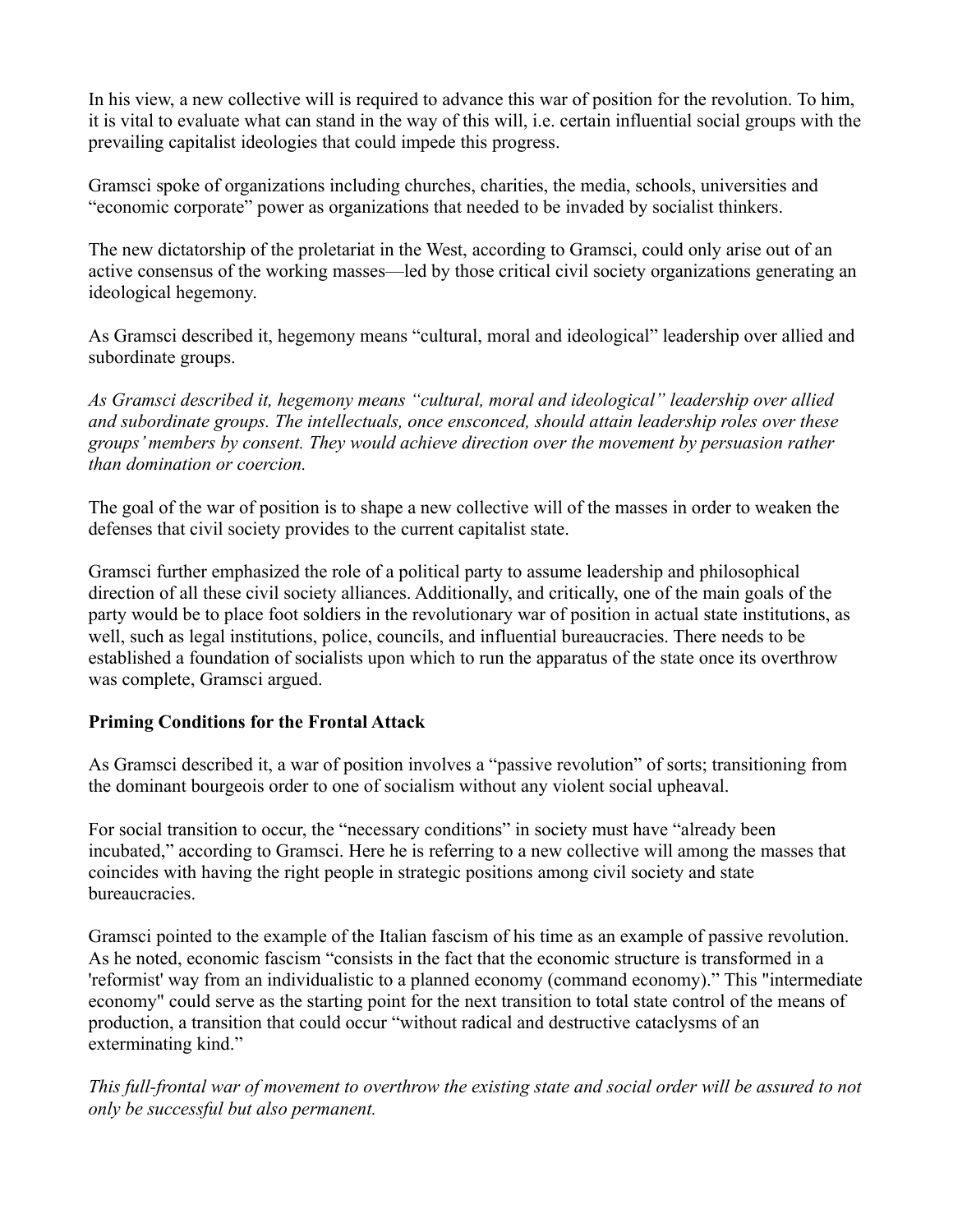In his view, a new collective will is required to advance this war of position for the revolution. To him, it is vital to evaluate what can stand in the way of this will, i.e. certain influential social groups with the prevailing capitalist ideologies that could impede this progress.

Gramsci spoke of organizations including churches, charities, the media, schools, universities and "economic corporate" power as organizations that needed to be invaded by socialist thinkers.

The new dictatorship of the proletariat in the West, according to Gramsci, could only arise out of an active consensus of the working masses—led by those critical civil society organizations generating an ideological hegemony.

As Gramsci described it, hegemony means "cultural, moral and ideological" leadership over allied and subordinate groups.

*As Gramsci described it, hegemony means "cultural, moral and ideological" leadership over allied and subordinate groups. The intellectuals, once ensconced, should attain leadership roles over these groups' members by consent. They would achieve direction over the movement by persuasion rather than domination or coercion.*

The goal of the war of position is to shape a new collective will of the masses in order to weaken the defenses that civil society provides to the current capitalist state.

Gramsci further emphasized the role of a political party to assume leadership and philosophical direction of all these civil society alliances. Additionally, and critically, one of the main goals of the party would be to place foot soldiers in the revolutionary war of position in actual state institutions, as well, such as legal institutions, police, councils, and influential bureaucracies. There needs to be established a foundation of socialists upon which to run the apparatus of the state once its overthrow was complete, Gramsci argued.

# **Priming Conditions for the Frontal Attack**

As Gramsci described it, a war of position involves a "passive revolution" of sorts; transitioning from the dominant bourgeois order to one of socialism without any violent social upheaval.

For social transition to occur, the "necessary conditions" in society must have "already been incubated," according to Gramsci. Here he is referring to a new collective will among the masses that coincides with having the right people in strategic positions among civil society and state bureaucracies.

Gramsci pointed to the example of the Italian fascism of his time as an example of passive revolution. As he noted, economic fascism "consists in the fact that the economic structure is transformed in a 'reformist' way from an individualistic to a planned economy (command economy)." This "intermediate economy" could serve as the starting point for the next transition to total state control of the means of production, a transition that could occur "without radical and destructive cataclysms of an exterminating kind."

*This full-frontal war of movement to overthrow the existing state and social order will be assured to not only be successful but also permanent.*